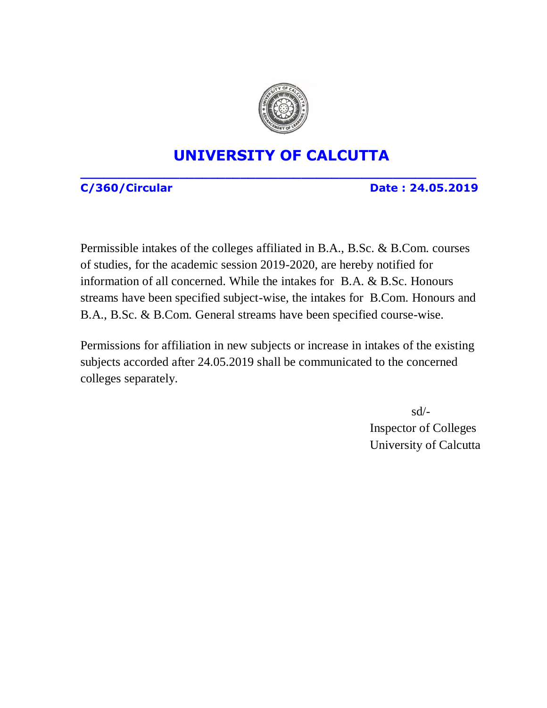

#### **UNIVERSITY OF CALCUTTA**

**\_\_\_\_\_\_\_\_\_\_\_\_\_\_\_\_\_\_\_\_\_\_\_\_\_\_\_\_\_\_\_\_\_\_\_\_\_\_\_\_\_\_\_\_\_\_\_\_\_\_\_\_**

**C/360/Circular Date : 24.05.2019**

Permissible intakes of the colleges affiliated in B.A., B.Sc. & B.Com. courses of studies, for the academic session 2019-2020, are hereby notified for information of all concerned. While the intakes for B.A. & B.Sc. Honours streams have been specified subject-wise, the intakes for B.Com. Honours and B.A., B.Sc. & B.Com. General streams have been specified course-wise.

Permissions for affiliation in new subjects or increase in intakes of the existing subjects accorded after 24.05.2019 shall be communicated to the concerned colleges separately.

> sd/- Inspector of Colleges University of Calcutta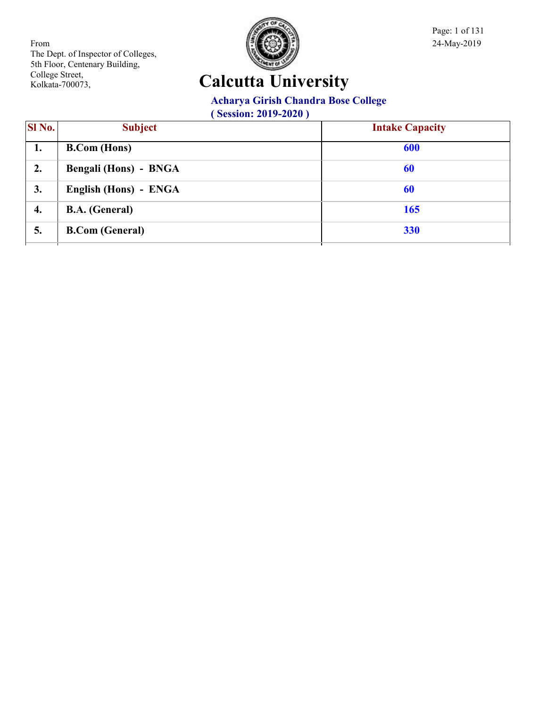

Page: 1 of 131

# **Calcutta University**

#### **Acharya Girish Chandra Bose College**

| <b>SI</b> No. | <b>Subject</b>               | <b>Intake Capacity</b> |
|---------------|------------------------------|------------------------|
| 1.            | <b>B.Com</b> (Hons)          | 600                    |
| 2.            | <b>Bengali (Hons) - BNGA</b> | 60                     |
| 3.            | English (Hons) - ENGA        | 60                     |
| 4.            | <b>B.A.</b> (General)        | 165                    |
| 5.            | <b>B.Com</b> (General)       | 330                    |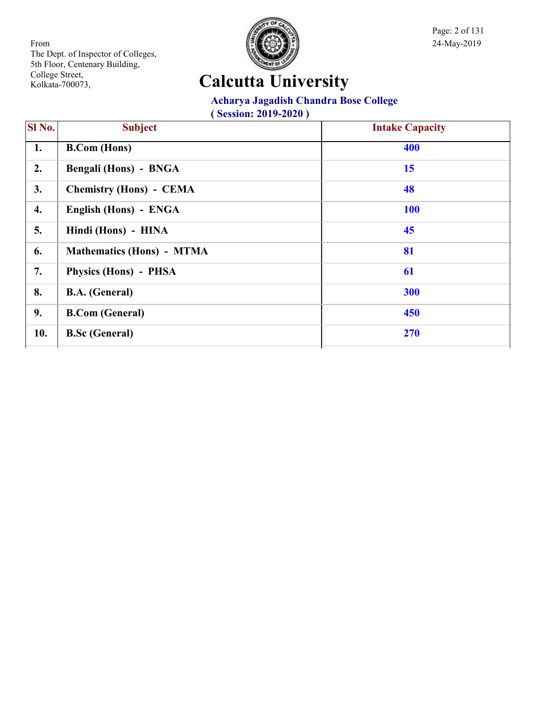

Page: 2 of 131

# **Calcutta University**

#### **Acharya Jagadish Chandra Bose College**

| <b>SI</b> No. | <b>Subject</b>                   | <b>Intake Capacity</b> |
|---------------|----------------------------------|------------------------|
| 1.            | <b>B.Com</b> (Hons)              | 400                    |
| 2.            | Bengali (Hons) - BNGA            | 15                     |
| 3.            | <b>Chemistry (Hons) - CEMA</b>   | 48                     |
| 4.            | English (Hons) - ENGA            | <b>100</b>             |
| 5.            | Hindi (Hons) - HINA              | 45                     |
| 6.            | <b>Mathematics (Hons) - MTMA</b> | 81                     |
| 7.            | Physics (Hons) - PHSA            | 61                     |
| 8.            | <b>B.A.</b> (General)            | 300                    |
| 9.            | <b>B.Com (General)</b>           | 450                    |
| 10.           | <b>B.Sc (General)</b>            | 270                    |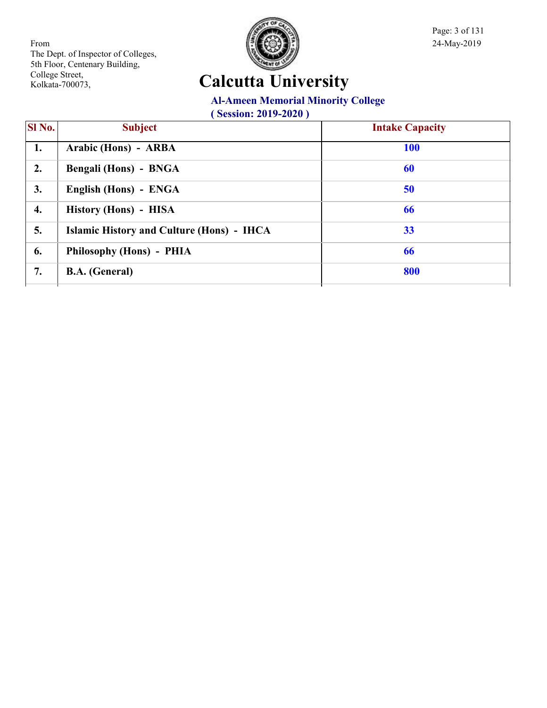

Page: 3 of 131

# **Calcutta University**

#### **Al-Ameen Memorial Minority College**

| SI No. | <b>Subject</b>                                   | <b>Intake Capacity</b> |
|--------|--------------------------------------------------|------------------------|
| 1.     | Arabic (Hons) - ARBA                             | <b>100</b>             |
| 2.     | Bengali (Hons) - BNGA                            | 60                     |
| 3.     | English (Hons) - ENGA                            | 50                     |
| 4.     | History (Hons) - HISA                            | 66                     |
| 5.     | <b>Islamic History and Culture (Hons) - IHCA</b> | 33                     |
| 6.     | Philosophy (Hons) - PHIA                         | 66                     |
| 7.     | <b>B.A.</b> (General)                            | 800                    |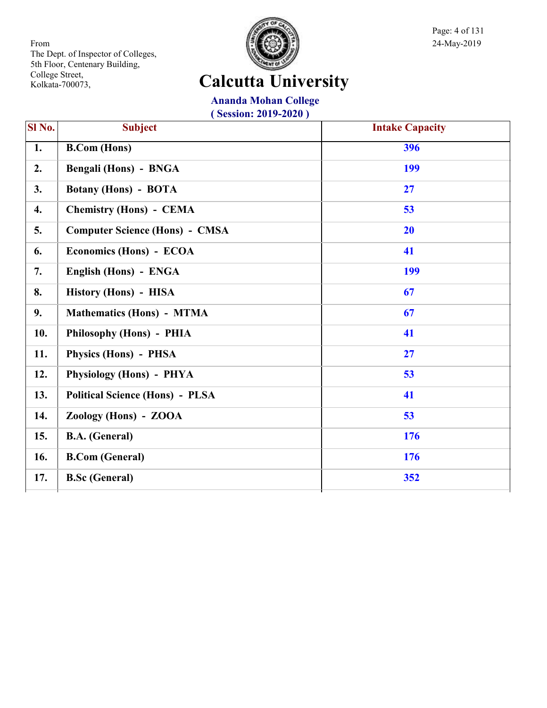

Page: 4 of 131

# **Calcutta University**

**Ananda Mohan College**

| SI No. | <b>Subject</b>                         | <b>Intake Capacity</b> |
|--------|----------------------------------------|------------------------|
| 1.     | <b>B.Com</b> (Hons)                    | 396                    |
| 2.     | Bengali (Hons) - BNGA                  | 199                    |
| 3.     | <b>Botany (Hons) - BOTA</b>            | 27                     |
| 4.     | <b>Chemistry (Hons) - CEMA</b>         | 53                     |
| 5.     | <b>Computer Science (Hons) - CMSA</b>  | 20                     |
| 6.     | Economics (Hons) - ECOA                | 41                     |
| 7.     | English (Hons) - ENGA                  | 199                    |
| 8.     | History (Hons) - HISA                  | 67                     |
| 9.     | <b>Mathematics (Hons) - MTMA</b>       | 67                     |
| 10.    | Philosophy (Hons) - PHIA               | 41                     |
| 11.    | Physics (Hons) - PHSA                  | 27                     |
| 12.    | <b>Physiology (Hons) - PHYA</b>        | 53                     |
| 13.    | <b>Political Science (Hons) - PLSA</b> | 41                     |
| 14.    | Zoology (Hons) - ZOOA                  | 53                     |
| 15.    | <b>B.A.</b> (General)                  | 176                    |
| 16.    | <b>B.Com</b> (General)                 | 176                    |
| 17.    | <b>B.Sc (General)</b>                  | 352                    |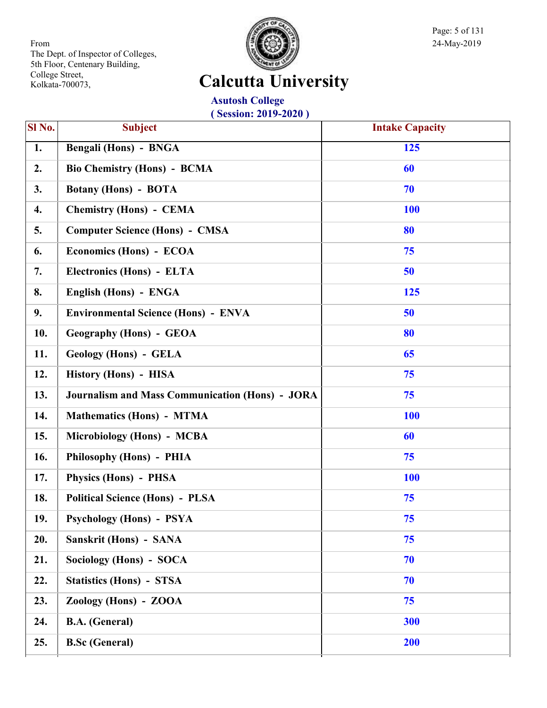

Page: 5 of 131

# **Calcutta University**

**Asutosh College ( Session: 2019-2020 )**

| SI No. | $\sqrt{68810}$ $\cdots$ $\sqrt{201}$<br><b>Subject</b> | <b>Intake Capacity</b> |
|--------|--------------------------------------------------------|------------------------|
| 1.     | Bengali (Hons) - BNGA                                  | 125                    |
| 2.     | <b>Bio Chemistry (Hons) - BCMA</b>                     | 60                     |
| 3.     | <b>Botany (Hons) - BOTA</b>                            | 70                     |
| 4.     | <b>Chemistry (Hons) - CEMA</b>                         | <b>100</b>             |
| 5.     | <b>Computer Science (Hons) - CMSA</b>                  | 80                     |
| 6.     | Economics (Hons) - ECOA                                | 75                     |
| 7.     | Electronics (Hons) - ELTA                              | 50                     |
| 8.     | English (Hons) - ENGA                                  | 125                    |
| 9.     | <b>Environmental Science (Hons) - ENVA</b>             | 50                     |
| 10.    | <b>Geography (Hons) - GEOA</b>                         | 80                     |
| 11.    | <b>Geology (Hons) - GELA</b>                           | 65                     |
| 12.    | History (Hons) - HISA                                  | 75                     |
| 13.    | <b>Journalism and Mass Communication (Hons) - JORA</b> | 75                     |
| 14.    | <b>Mathematics (Hons) - MTMA</b>                       | <b>100</b>             |
| 15.    | Microbiology (Hons) - MCBA                             | 60                     |
| 16.    | Philosophy (Hons) - PHIA                               | 75                     |
| 17.    | Physics (Hons) - PHSA                                  | <b>100</b>             |
| 18.    | <b>Political Science (Hons) - PLSA</b>                 | 75                     |
| 19.    | <b>Psychology (Hons) - PSYA</b>                        | 75                     |
| 20.    | Sanskrit (Hons) - SANA                                 | 75                     |
| 21.    | Sociology (Hons) - SOCA                                | 70                     |
| 22.    | <b>Statistics (Hons) - STSA</b>                        | 70                     |
| 23.    | Zoology (Hons) - ZOOA                                  | 75                     |
| 24.    | <b>B.A.</b> (General)                                  | 300                    |
| 25.    | <b>B.Sc (General)</b>                                  | 200                    |
|        |                                                        |                        |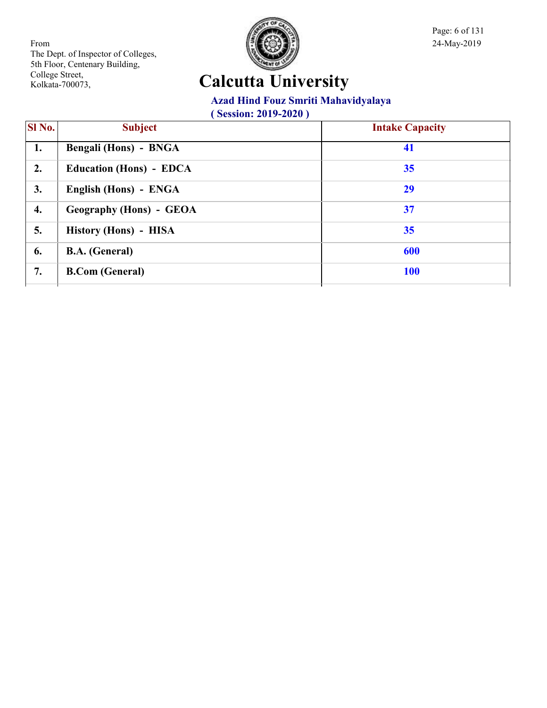

Page: 6 of 131

# **Calcutta University**

#### **Azad Hind Fouz Smriti Mahavidyalaya**

| SI No. | <b>Subject</b>                 | <b>Intake Capacity</b> |
|--------|--------------------------------|------------------------|
| 1.     | Bengali (Hons) - BNGA          | 41                     |
| 2.     | <b>Education (Hons) - EDCA</b> | 35                     |
| 3.     | English (Hons) - ENGA          | 29                     |
| 4.     | Geography (Hons) - GEOA        | 37                     |
| 5.     | History (Hons) - HISA          | 35                     |
| 6.     | <b>B.A.</b> (General)          | 600                    |
| 7.     | <b>B.Com (General)</b>         | <b>100</b>             |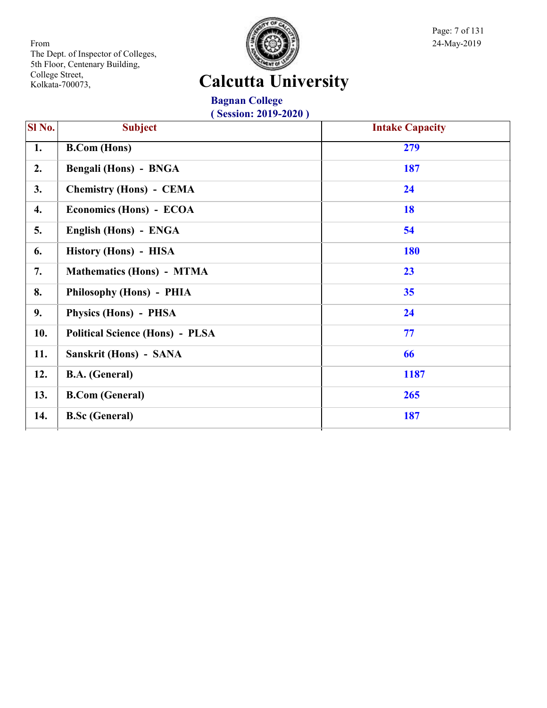

Page: 7 of 131

# **Calcutta University**

**Bagnan College ( Session: 2019-2020 )**

| Sl No. | <b>Subject</b>                         | <b>Intake Capacity</b> |
|--------|----------------------------------------|------------------------|
| 1.     | <b>B.Com</b> (Hons)                    | 279                    |
| 2.     | Bengali (Hons) - BNGA                  | 187                    |
| 3.     | <b>Chemistry (Hons) - CEMA</b>         | 24                     |
| 4.     | Economics (Hons) - ECOA                | 18                     |
| 5.     | English (Hons) - ENGA                  | 54                     |
| 6.     | History (Hons) - HISA                  | <b>180</b>             |
| 7.     | <b>Mathematics (Hons) - MTMA</b>       | 23                     |
| 8.     | Philosophy (Hons) - PHIA               | 35                     |
| 9.     | Physics (Hons) - PHSA                  | 24                     |
| 10.    | <b>Political Science (Hons) - PLSA</b> | 77                     |
| 11.    | Sanskrit (Hons) - SANA                 | 66                     |
| 12.    | <b>B.A.</b> (General)                  | 1187                   |
| 13.    | <b>B.Com (General)</b>                 | 265                    |
| 14.    | <b>B.Sc (General)</b>                  | 187                    |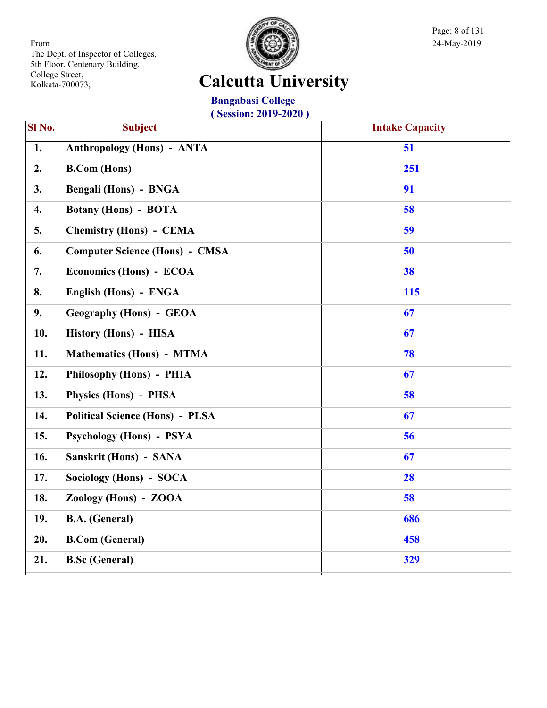

Page: 8 of 131

# **Calcutta University**

**Bangabasi College ( Session: 2019-2020 )**

| $\overline{SI N_0}$ . | <b>Subject</b>                         | <b>Intake Capacity</b> |
|-----------------------|----------------------------------------|------------------------|
| $\overline{1}$ .      | <b>Anthropology (Hons) - ANTA</b>      | 51                     |
| 2.                    | <b>B.Com</b> (Hons)                    | 251                    |
| 3.                    | <b>Bengali (Hons) - BNGA</b>           | 91                     |
| 4.                    | <b>Botany (Hons) - BOTA</b>            | 58                     |
| 5.                    | <b>Chemistry (Hons) - CEMA</b>         | 59                     |
| 6.                    | <b>Computer Science (Hons) - CMSA</b>  | 50                     |
| 7.                    | Economics (Hons) - ECOA                | 38                     |
| 8.                    | English (Hons) - ENGA                  | 115                    |
| 9.                    | <b>Geography (Hons) - GEOA</b>         | 67                     |
| 10.                   | History (Hons) - HISA                  | 67                     |
| 11.                   | <b>Mathematics (Hons) - MTMA</b>       | 78                     |
| 12.                   | Philosophy (Hons) - PHIA               | 67                     |
| 13.                   | Physics (Hons) - PHSA                  | 58                     |
| 14.                   | <b>Political Science (Hons) - PLSA</b> | 67                     |
| 15.                   | <b>Psychology (Hons) - PSYA</b>        | 56                     |
| 16.                   | Sanskrit (Hons) - SANA                 | 67                     |
| 17.                   | Sociology (Hons) - SOCA                | 28                     |
| 18.                   | Zoology (Hons) - ZOOA                  | 58                     |
| 19.                   | <b>B.A.</b> (General)                  | 686                    |
| 20.                   | <b>B.Com (General)</b>                 | 458                    |
| 21.                   | <b>B.Sc (General)</b>                  | 329                    |
|                       |                                        |                        |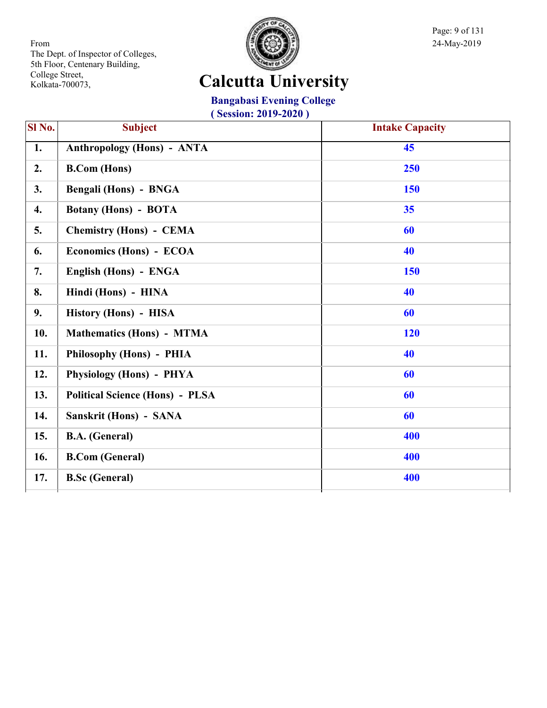

Page: 9 of 131

# **Calcutta University**

#### **Bangabasi Evening College**

| Sl No. | <b>Subject</b>                         | <b>Intake Capacity</b> |
|--------|----------------------------------------|------------------------|
| 1.     | <b>Anthropology (Hons) - ANTA</b>      | 45                     |
| 2.     | <b>B.Com</b> (Hons)                    | 250                    |
| 3.     | Bengali (Hons) - BNGA                  | 150                    |
| 4.     | <b>Botany (Hons) - BOTA</b>            | 35                     |
| 5.     | <b>Chemistry (Hons) - CEMA</b>         | 60                     |
| 6.     | Economics (Hons) - ECOA                | 40                     |
| 7.     | English (Hons) - ENGA                  | 150                    |
| 8.     | Hindi (Hons) - HINA                    | 40                     |
| 9.     | History (Hons) - HISA                  | 60                     |
| 10.    | <b>Mathematics (Hons) - MTMA</b>       | 120                    |
| 11.    | Philosophy (Hons) - PHIA               | 40                     |
| 12.    | Physiology (Hons) - PHYA               | 60                     |
| 13.    | <b>Political Science (Hons) - PLSA</b> | 60                     |
| 14.    | Sanskrit (Hons) - SANA                 | 60                     |
| 15.    | <b>B.A.</b> (General)                  | 400                    |
| 16.    | <b>B.Com (General)</b>                 | 400                    |
| 17.    | <b>B.Sc</b> (General)                  | 400                    |
|        |                                        |                        |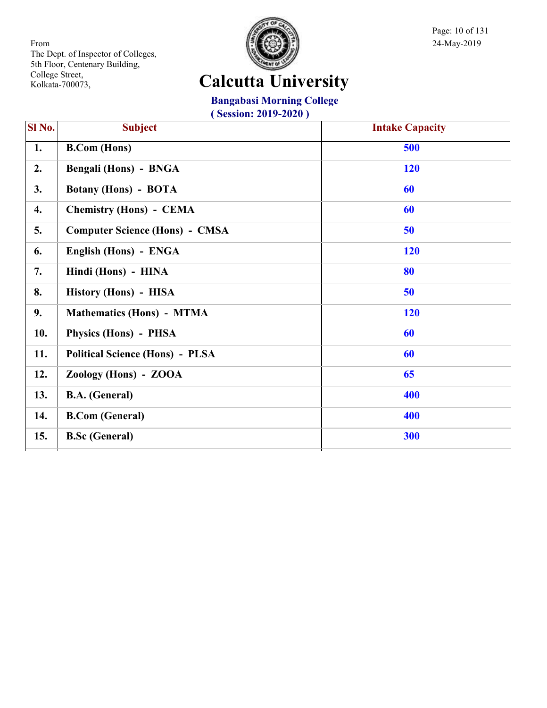

Page: 10 of 131

# **Calcutta University**

#### **Bangabasi Morning College**

| Sl No. | <b>Subject</b>                         | <b>Intake Capacity</b> |
|--------|----------------------------------------|------------------------|
| 1.     | <b>B.Com</b> (Hons)                    | 500                    |
| 2.     | Bengali (Hons) - BNGA                  | <b>120</b>             |
| 3.     | <b>Botany (Hons) - BOTA</b>            | 60                     |
| 4.     | <b>Chemistry (Hons) - CEMA</b>         | 60                     |
| 5.     | <b>Computer Science (Hons) - CMSA</b>  | 50                     |
| 6.     | English (Hons) - ENGA                  | <b>120</b>             |
| 7.     | Hindi (Hons) - HINA                    | 80                     |
| 8.     | History (Hons) - HISA                  | 50                     |
| 9.     | <b>Mathematics (Hons) - MTMA</b>       | <b>120</b>             |
| 10.    | Physics (Hons) - PHSA                  | 60                     |
| 11.    | <b>Political Science (Hons) - PLSA</b> | 60                     |
| 12.    | Zoology (Hons) - ZOOA                  | 65                     |
| 13.    | <b>B.A.</b> (General)                  | 400                    |
| 14.    | <b>B.Com</b> (General)                 | 400                    |
| 15.    | <b>B.Sc</b> (General)                  | 300                    |
|        |                                        |                        |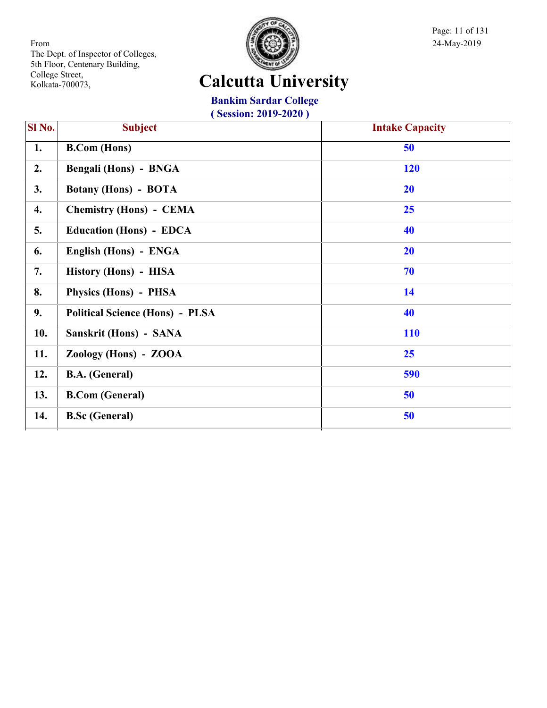

Page: 11 of 131

# **Calcutta University**

**Bankim Sardar College**

| SI No. | <b>Subject</b>                         | <b>Intake Capacity</b> |
|--------|----------------------------------------|------------------------|
| 1.     | <b>B.Com</b> (Hons)                    | 50                     |
| 2.     | Bengali (Hons) - BNGA                  | 120                    |
| 3.     | <b>Botany (Hons) - BOTA</b>            | <b>20</b>              |
| 4.     | <b>Chemistry (Hons) - CEMA</b>         | 25                     |
| 5.     | <b>Education (Hons) - EDCA</b>         | 40                     |
| 6.     | English (Hons) - ENGA                  | <b>20</b>              |
| 7.     | History (Hons) - HISA                  | 70                     |
| 8.     | Physics (Hons) - PHSA                  | 14                     |
| 9.     | <b>Political Science (Hons) - PLSA</b> | 40                     |
| 10.    | Sanskrit (Hons) - SANA                 | <b>110</b>             |
| 11.    | Zoology (Hons) - ZOOA                  | 25                     |
| 12.    | <b>B.A.</b> (General)                  | 590                    |
| 13.    | <b>B.Com (General)</b>                 | 50                     |
| 14.    | <b>B.Sc</b> (General)                  | 50                     |
|        |                                        |                        |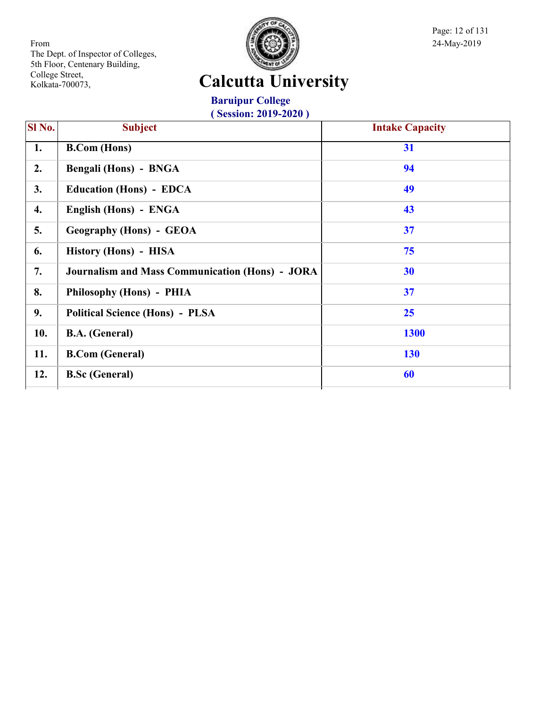

Page: 12 of 131

# **Calcutta University**

**Baruipur College ( Session: 2019-2020 )**

| $\overline{\text{SI No.}}$ | <b>Subject</b>                                         | <b>Intake Capacity</b> |
|----------------------------|--------------------------------------------------------|------------------------|
| 1.                         | <b>B.Com</b> (Hons)                                    | 31                     |
| 2.                         | <b>Bengali (Hons) - BNGA</b>                           | 94                     |
| 3.                         | <b>Education (Hons) - EDCA</b>                         | 49                     |
| 4.                         | English (Hons) - ENGA                                  | 43                     |
| 5.                         | <b>Geography (Hons) - GEOA</b>                         | 37                     |
| 6.                         | History (Hons) - HISA                                  | 75                     |
| 7.                         | <b>Journalism and Mass Communication (Hons) - JORA</b> | 30                     |
| 8.                         | Philosophy (Hons) - PHIA                               | 37                     |
| 9.                         | <b>Political Science (Hons) - PLSA</b>                 | 25                     |
| 10.                        | <b>B.A.</b> (General)                                  | <b>1300</b>            |
| 11.                        | <b>B.Com (General)</b>                                 | <b>130</b>             |
| 12.                        | <b>B.Sc (General)</b>                                  | 60                     |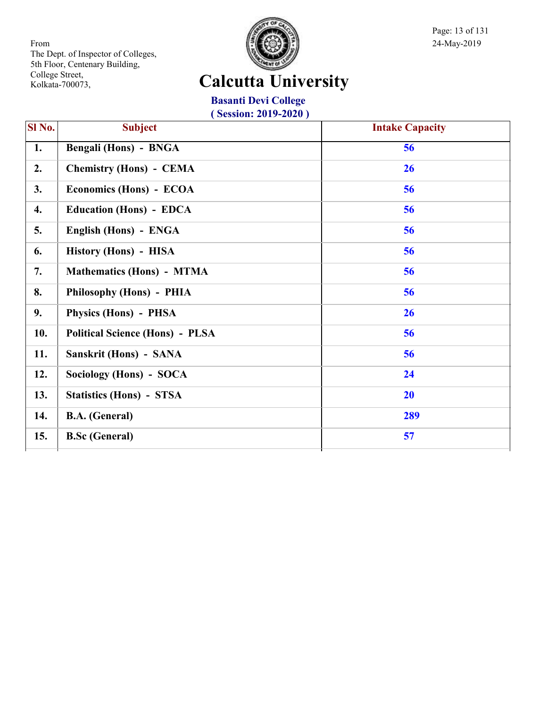

Page: 13 of 131

# **Calcutta University**

**Basanti Devi College ( Session: 2019-2020 )**

| $\overline{\textbf{SI No.}}$ | <b>Subject</b>                         | <b>Intake Capacity</b> |
|------------------------------|----------------------------------------|------------------------|
| 1.                           | Bengali (Hons) - BNGA                  | 56                     |
| 2.                           | <b>Chemistry (Hons) - CEMA</b>         | 26                     |
| 3.                           | Economics (Hons) - ECOA                | 56                     |
| 4.                           | <b>Education (Hons) - EDCA</b>         | 56                     |
| 5.                           | English (Hons) - ENGA                  | 56                     |
| 6.                           | History (Hons) - HISA                  | 56                     |
| 7.                           | <b>Mathematics (Hons) - MTMA</b>       | 56                     |
| 8.                           | Philosophy (Hons) - PHIA               | 56                     |
| 9.                           | Physics (Hons) - PHSA                  | 26                     |
| 10.                          | <b>Political Science (Hons) - PLSA</b> | 56                     |
| 11.                          | Sanskrit (Hons) - SANA                 | 56                     |
| 12.                          | Sociology (Hons) - SOCA                | 24                     |
| 13.                          | <b>Statistics (Hons) - STSA</b>        | <b>20</b>              |
| 14.                          | <b>B.A.</b> (General)                  | 289                    |
| 15.                          | <b>B.Sc (General)</b>                  | 57                     |
|                              |                                        |                        |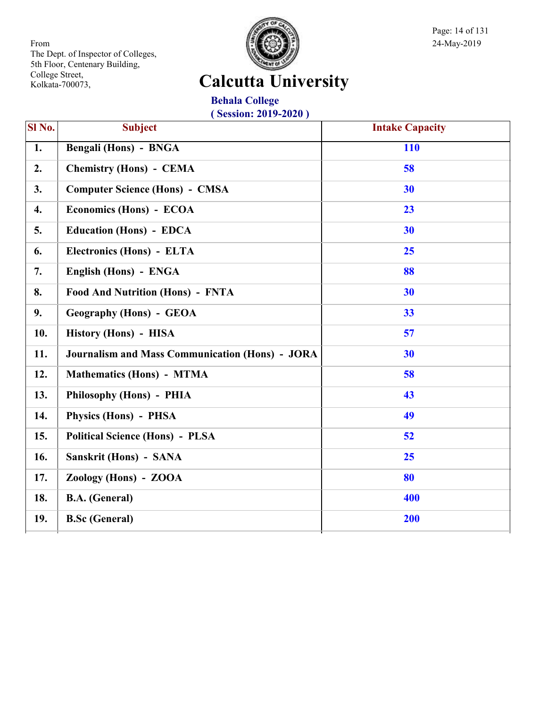

Page: 14 of 131

# **Calcutta University**

**Behala College ( Session: 2019-2020 )**

| Sl No. | <b>Subject</b>                                         | <b>Intake Capacity</b> |
|--------|--------------------------------------------------------|------------------------|
| 1.     | Bengali (Hons) - BNGA                                  | <b>110</b>             |
| 2.     | <b>Chemistry (Hons) - CEMA</b>                         | 58                     |
| 3.     | <b>Computer Science (Hons) - CMSA</b>                  | 30                     |
| 4.     | Economics (Hons) - ECOA                                | 23                     |
| 5.     | <b>Education (Hons) - EDCA</b>                         | 30                     |
| 6.     | Electronics (Hons) - ELTA                              | 25                     |
| 7.     | English (Hons) - ENGA                                  | 88                     |
| 8.     | <b>Food And Nutrition (Hons) - FNTA</b>                | 30                     |
| 9.     | <b>Geography (Hons) - GEOA</b>                         | 33                     |
| 10.    | History (Hons) - HISA                                  | 57                     |
| 11.    | <b>Journalism and Mass Communication (Hons) - JORA</b> | 30                     |
| 12.    | <b>Mathematics (Hons) - MTMA</b>                       | 58                     |
| 13.    | Philosophy (Hons) - PHIA                               | 43                     |
| 14.    | Physics (Hons) - PHSA                                  | 49                     |
| 15.    | <b>Political Science (Hons) - PLSA</b>                 | 52                     |
| 16.    | Sanskrit (Hons) - SANA                                 | 25                     |
| 17.    | Zoology (Hons) - ZOOA                                  | 80                     |
| 18.    | <b>B.A.</b> (General)                                  | 400                    |
| 19.    | <b>B.Sc</b> (General)                                  | 200                    |
|        |                                                        |                        |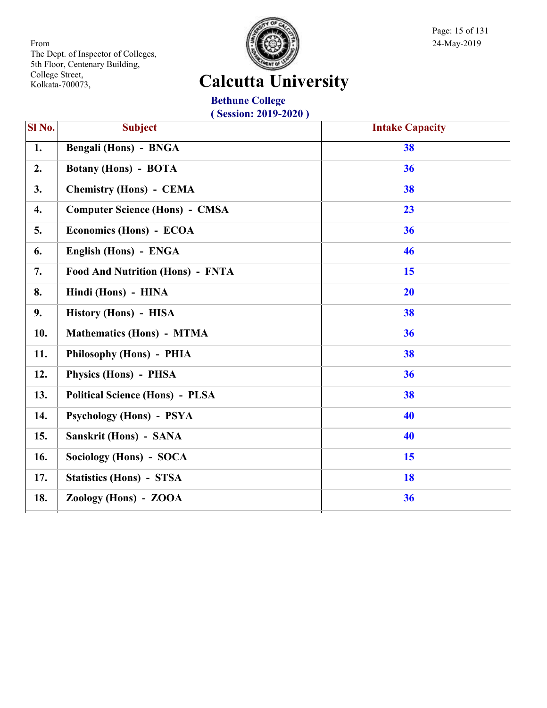

Page: 15 of 131

# **Calcutta University**

**Bethune College ( Session: 2019-2020 )**

| $SI$ No. | <b>Subject</b>                          | <b>Intake Capacity</b> |
|----------|-----------------------------------------|------------------------|
| 1.       | Bengali (Hons) - BNGA                   | 38                     |
| 2.       | <b>Botany (Hons) - BOTA</b>             | 36                     |
| 3.       | <b>Chemistry (Hons) - CEMA</b>          | 38                     |
| 4.       | <b>Computer Science (Hons) - CMSA</b>   | 23                     |
| 5.       | Economics (Hons) - ECOA                 | 36                     |
| 6.       | English (Hons) - ENGA                   | 46                     |
| 7.       | <b>Food And Nutrition (Hons) - FNTA</b> | 15                     |
| 8.       | Hindi (Hons) - HINA                     | 20                     |
| 9.       | History (Hons) - HISA                   | 38                     |
| 10.      | <b>Mathematics (Hons) - MTMA</b>        | 36                     |
| 11.      | Philosophy (Hons) - PHIA                | 38                     |
| 12.      | Physics (Hons) - PHSA                   | 36                     |
| 13.      | <b>Political Science (Hons) - PLSA</b>  | 38                     |
| 14.      | Psychology (Hons) - PSYA                | 40                     |
| 15.      | <b>Sanskrit (Hons) - SANA</b>           | 40                     |
| 16.      | Sociology (Hons) - SOCA                 | 15                     |
| 17.      | <b>Statistics (Hons) - STSA</b>         | 18                     |
| 18.      | Zoology (Hons) - ZOOA                   | 36                     |
|          |                                         |                        |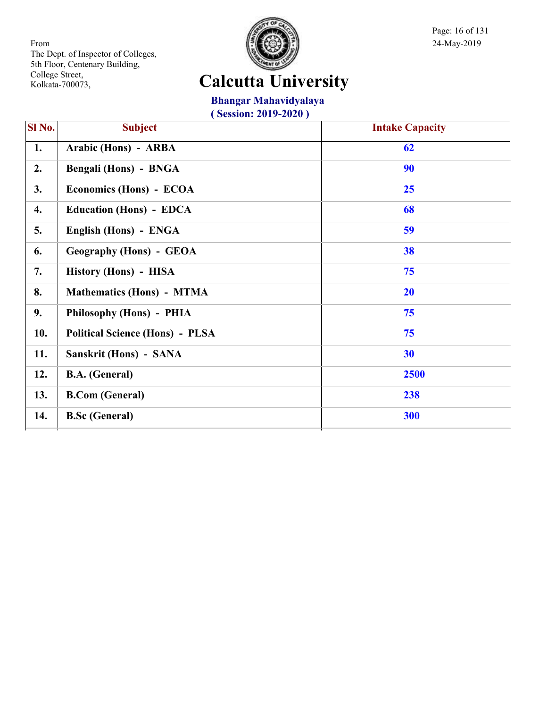

Page: 16 of 131

# **Calcutta University**

**Bhangar Mahavidyalaya**

| Sl No. | <b>Subject</b>                         | <b>Intake Capacity</b> |
|--------|----------------------------------------|------------------------|
| 1.     | Arabic (Hons) - ARBA                   | 62                     |
| 2.     | Bengali (Hons) - BNGA                  | 90                     |
| 3.     | Economics (Hons) - ECOA                | 25                     |
| 4.     | <b>Education (Hons) - EDCA</b>         | 68                     |
| 5.     | English (Hons) - ENGA                  | 59                     |
| 6.     | <b>Geography (Hons) - GEOA</b>         | 38                     |
| 7.     | History (Hons) - HISA                  | 75                     |
| 8.     | <b>Mathematics (Hons) - MTMA</b>       | 20                     |
| 9.     | Philosophy (Hons) - PHIA               | 75                     |
| 10.    | <b>Political Science (Hons) - PLSA</b> | 75                     |
| 11.    | Sanskrit (Hons) - SANA                 | 30                     |
| 12.    | <b>B.A.</b> (General)                  | 2500                   |
| 13.    | <b>B.Com</b> (General)                 | 238                    |
| 14.    | <b>B.Sc</b> (General)                  | 300                    |
|        |                                        |                        |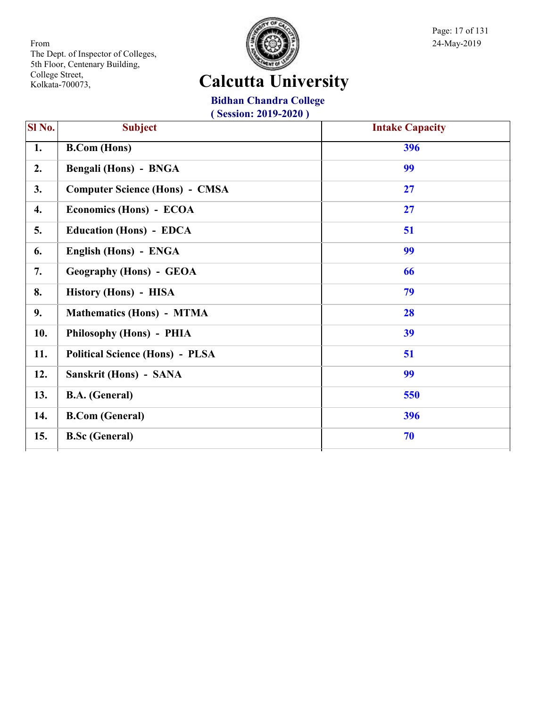

Page: 17 of 131

# **Calcutta University**

**Bidhan Chandra College ( Session: 2019-2020 )**

| SI No. | <b>Subject</b>                         | <b>Intake Capacity</b> |
|--------|----------------------------------------|------------------------|
| 1.     | <b>B.Com (Hons)</b>                    | 396                    |
| 2.     | <b>Bengali (Hons) - BNGA</b>           | 99                     |
| 3.     | <b>Computer Science (Hons) - CMSA</b>  | 27                     |
| 4.     | Economics (Hons) - ECOA                | 27                     |
| 5.     | <b>Education (Hons) - EDCA</b>         | 51                     |
| 6.     | English (Hons) - ENGA                  | 99                     |
| 7.     | <b>Geography (Hons) - GEOA</b>         | 66                     |
| 8.     | History (Hons) - HISA                  | 79                     |
| 9.     | <b>Mathematics (Hons) - MTMA</b>       | 28                     |
| 10.    | Philosophy (Hons) - PHIA               | 39                     |
| 11.    | <b>Political Science (Hons) - PLSA</b> | 51                     |
| 12.    | <b>Sanskrit (Hons) - SANA</b>          | 99                     |
| 13.    | <b>B.A.</b> (General)                  | 550                    |
| 14.    | <b>B.Com (General)</b>                 | 396                    |
| 15.    | <b>B.Sc (General)</b>                  | 70                     |
|        |                                        |                        |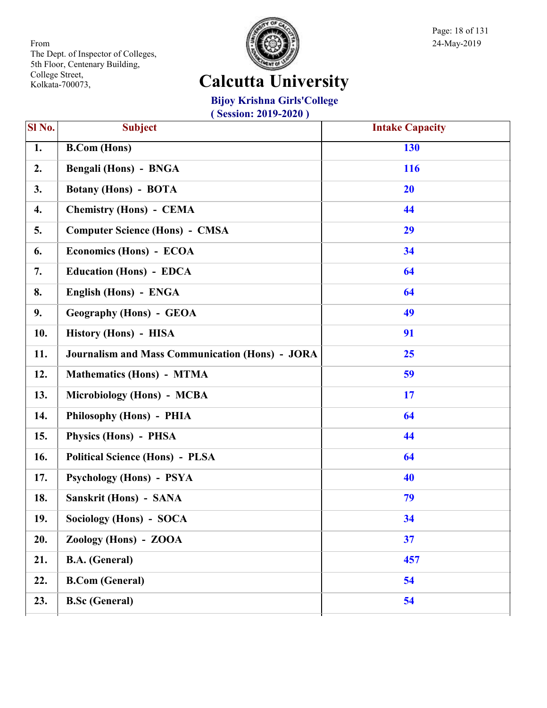

Page: 18 of 131

# **Calcutta University**

**Bijoy Krishna Girls'College**

| SI No. | Subject                                                | <b>Intake Capacity</b> |
|--------|--------------------------------------------------------|------------------------|
| 1.     | <b>B.Com (Hons)</b>                                    | 130                    |
| 2.     | <b>Bengali (Hons) - BNGA</b>                           | 116                    |
| 3.     | <b>Botany (Hons) - BOTA</b>                            | 20                     |
| 4.     | <b>Chemistry (Hons) - CEMA</b>                         | 44                     |
| 5.     | <b>Computer Science (Hons) - CMSA</b>                  | 29                     |
| 6.     | Economics (Hons) - ECOA                                | 34                     |
| 7.     | <b>Education (Hons) - EDCA</b>                         | 64                     |
| 8.     | English (Hons) - ENGA                                  | 64                     |
| 9.     | <b>Geography (Hons) - GEOA</b>                         | 49                     |
| 10.    | History (Hons) - HISA                                  | 91                     |
| 11.    | <b>Journalism and Mass Communication (Hons) - JORA</b> | 25                     |
| 12.    | <b>Mathematics (Hons) - MTMA</b>                       | 59                     |
| 13.    | Microbiology (Hons) - MCBA                             | 17                     |
| 14.    | Philosophy (Hons) - PHIA                               | 64                     |
| 15.    | Physics (Hons) - PHSA                                  | 44                     |
| 16.    | <b>Political Science (Hons) - PLSA</b>                 | 64                     |
| 17.    | <b>Psychology (Hons) - PSYA</b>                        | 40                     |
| 18.    | Sanskrit (Hons) - SANA                                 | 79                     |
| 19.    | Sociology (Hons) - SOCA                                | 34                     |
| 20.    | Zoology (Hons) - ZOOA                                  | 37                     |
| 21.    | <b>B.A.</b> (General)                                  | 457                    |
| 22.    | <b>B.Com (General)</b>                                 | 54                     |
| 23.    | <b>B.Sc (General)</b>                                  | 54                     |
|        |                                                        |                        |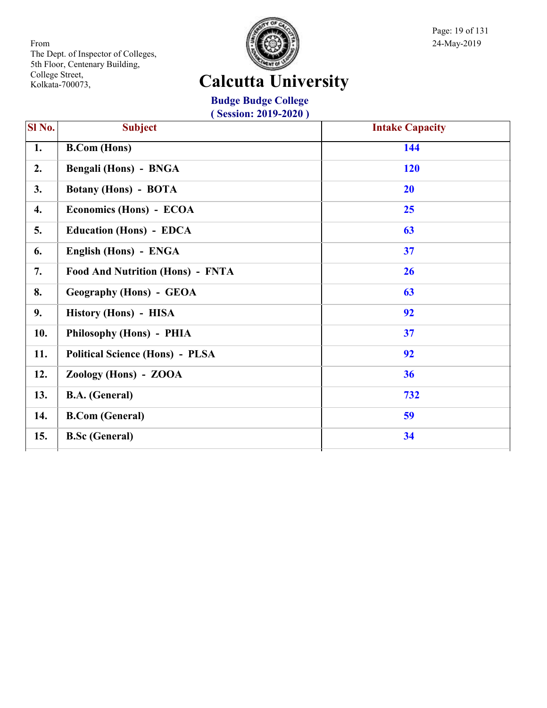

Page: 19 of 131

# **Calcutta University**

**Budge Budge College ( Session: 2019-2020 )**

| SI No. | <b>Subject</b>                          | <b>Intake Capacity</b> |
|--------|-----------------------------------------|------------------------|
| 1.     | <b>B.Com</b> (Hons)                     | 144                    |
| 2.     | Bengali (Hons) - BNGA                   | 120                    |
| 3.     | <b>Botany (Hons) - BOTA</b>             | 20                     |
| 4.     | Economics (Hons) - ECOA                 | 25                     |
| 5.     | <b>Education (Hons) - EDCA</b>          | 63                     |
| 6.     | English (Hons) - ENGA                   | 37                     |
| 7.     | <b>Food And Nutrition (Hons) - FNTA</b> | 26                     |
| 8.     | <b>Geography (Hons) - GEOA</b>          | 63                     |
| 9.     | History (Hons) - HISA                   | 92                     |
| 10.    | Philosophy (Hons) - PHIA                | 37                     |
| 11.    | <b>Political Science (Hons) - PLSA</b>  | 92                     |
| 12.    | Zoology (Hons) - ZOOA                   | 36                     |
| 13.    | <b>B.A.</b> (General)                   | 732                    |
| 14.    | <b>B.Com (General)</b>                  | 59                     |
| 15.    | <b>B.Sc (General)</b>                   | 34                     |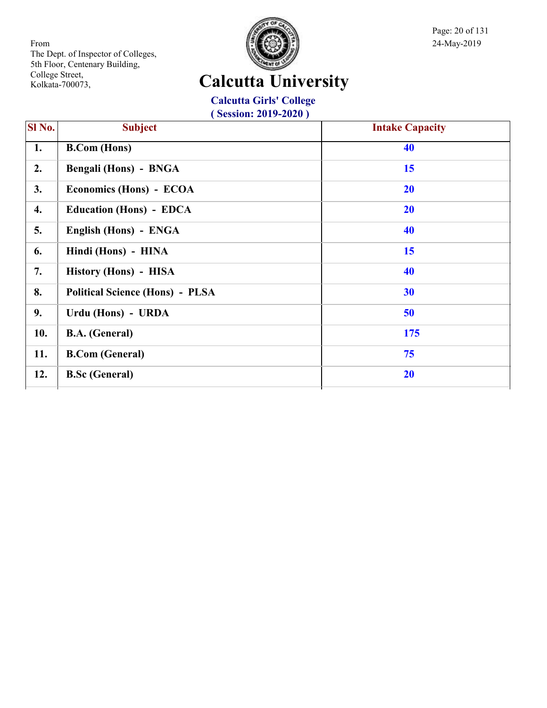

Page: 20 of 131

# **Calcutta University**

**Calcutta Girls' College ( Session: 2019-2020 )**

| Sl No. | <b>Subject</b>                         | <b>Intake Capacity</b> |
|--------|----------------------------------------|------------------------|
| 1.     | <b>B.Com</b> (Hons)                    | 40                     |
| 2.     | Bengali (Hons) - BNGA                  | 15                     |
| 3.     | Economics (Hons) - ECOA                | 20                     |
| 4.     | <b>Education (Hons) - EDCA</b>         | 20                     |
| 5.     | English (Hons) - ENGA                  | 40                     |
| 6.     | Hindi (Hons) - HINA                    | 15                     |
| 7.     | History (Hons) - HISA                  | 40                     |
| 8.     | <b>Political Science (Hons) - PLSA</b> | 30                     |
| 9.     | Urdu (Hons) - URDA                     | 50                     |
| 10.    | <b>B.A.</b> (General)                  | 175                    |
| 11.    | <b>B.Com (General)</b>                 | 75                     |
| 12.    | <b>B.Sc</b> (General)                  | <b>20</b>              |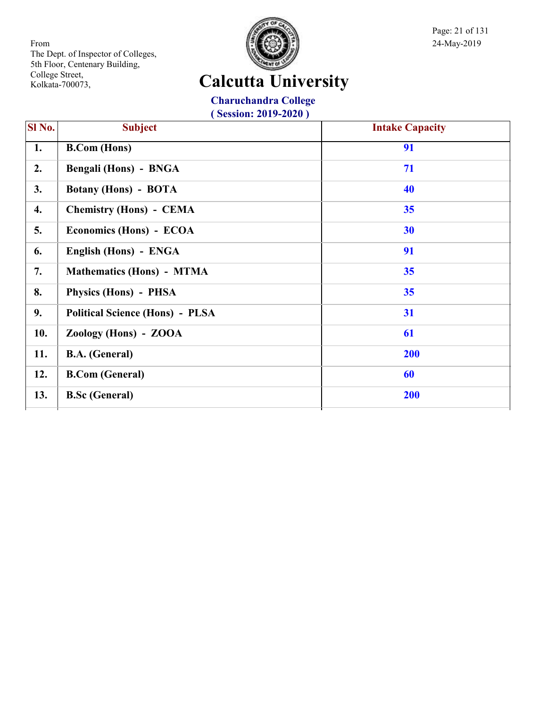

Page: 21 of 131

# **Calcutta University**

**Charuchandra College ( Session: 2019-2020 )**

| SI <sub>No.</sub> | <b>Subject</b>                         | <b>Intake Capacity</b> |
|-------------------|----------------------------------------|------------------------|
| 1.                | <b>B.Com</b> (Hons)                    | 91                     |
| 2.                | Bengali (Hons) - BNGA                  | 71                     |
| 3.                | <b>Botany (Hons) - BOTA</b>            | 40                     |
| 4.                | <b>Chemistry (Hons) - CEMA</b>         | 35                     |
| 5.                | Economics (Hons) - ECOA                | 30                     |
| 6.                | English (Hons) - ENGA                  | 91                     |
| 7.                | <b>Mathematics (Hons) - MTMA</b>       | 35                     |
| 8.                | Physics (Hons) - PHSA                  | 35                     |
| 9.                | <b>Political Science (Hons) - PLSA</b> | 31                     |
| 10.               | Zoology (Hons) - ZOOA                  | 61                     |
| 11.               | <b>B.A.</b> (General)                  | <b>200</b>             |
| 12.               | <b>B.Com (General)</b>                 | 60                     |
| 13.               | <b>B.Sc (General)</b>                  | 200                    |
|                   |                                        |                        |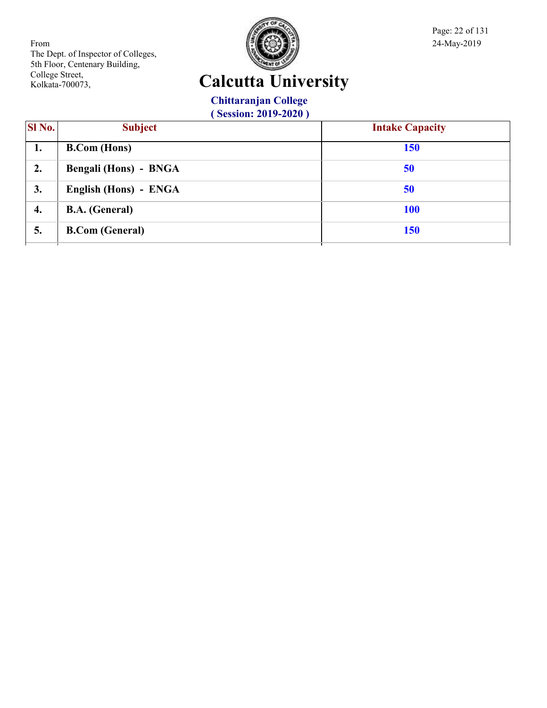

Page: 22 of 131

# **Calcutta University**

**Chittaranjan College**

| SI No. | <b>Subject</b>               | <b>Intake Capacity</b> |
|--------|------------------------------|------------------------|
| 1.     | <b>B.Com</b> (Hons)          | <b>150</b>             |
| 2.     | <b>Bengali (Hons) - BNGA</b> | 50                     |
| 3.     | English (Hons) - ENGA        | 50                     |
| 4.     | <b>B.A.</b> (General)        | <b>100</b>             |
| 5.     | <b>B.Com</b> (General)       | <b>150</b>             |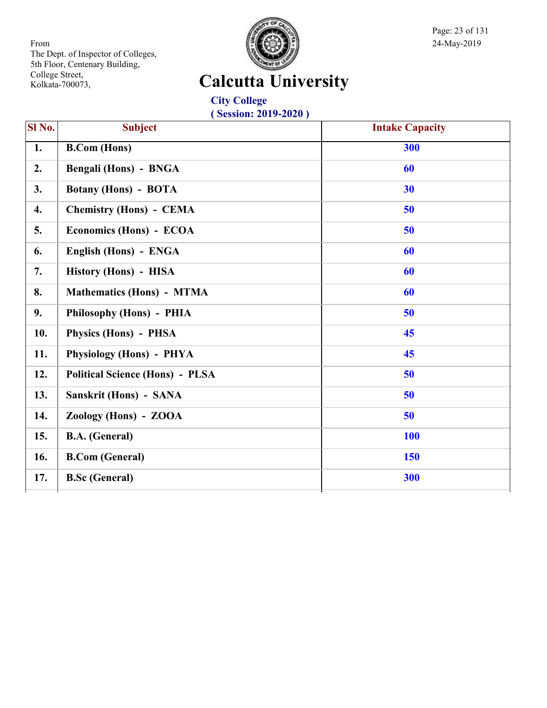

Page: 23 of 131

# **Calcutta University**

**City College ( Session: 2019-2020 )**

| Sl No. | <b>Subject</b>                         | <b>Intake Capacity</b> |
|--------|----------------------------------------|------------------------|
| 1.     | <b>B.Com (Hons)</b>                    | 300                    |
| 2.     | <b>Bengali (Hons) - BNGA</b>           | 60                     |
| 3.     | <b>Botany (Hons) - BOTA</b>            | 30                     |
| 4.     | <b>Chemistry (Hons) - CEMA</b>         | 50                     |
| 5.     | Economics (Hons) - ECOA                | 50                     |
| 6.     | English (Hons) - ENGA                  | 60                     |
| 7.     | History (Hons) - HISA                  | 60                     |
| 8.     | <b>Mathematics (Hons) - MTMA</b>       | 60                     |
| 9.     | Philosophy (Hons) - PHIA               | 50                     |
| 10.    | Physics (Hons) - PHSA                  | 45                     |
| 11.    | Physiology (Hons) - PHYA               | 45                     |
| 12.    | <b>Political Science (Hons) - PLSA</b> | 50                     |
| 13.    | Sanskrit (Hons) - SANA                 | 50                     |
| 14.    | Zoology (Hons) - ZOOA                  | 50                     |
| 15.    | <b>B.A.</b> (General)                  | <b>100</b>             |
| 16.    | <b>B.Com (General)</b>                 | <b>150</b>             |
| 17.    | <b>B.Sc</b> (General)                  | 300                    |
|        |                                        |                        |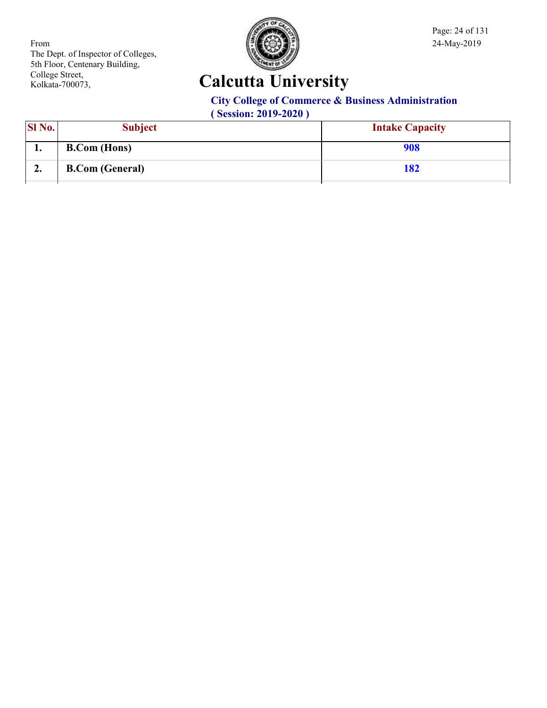

Page: 24 of 131

# **Calcutta University**

#### **City College of Commerce & Business Administration**

| <b>SI</b> No. | <b>Subject</b>         | <b>Intake Capacity</b> |
|---------------|------------------------|------------------------|
| ı.            | <b>B.Com</b> (Hons)    | 908                    |
| ∠.            | <b>B.Com (General)</b> | 182                    |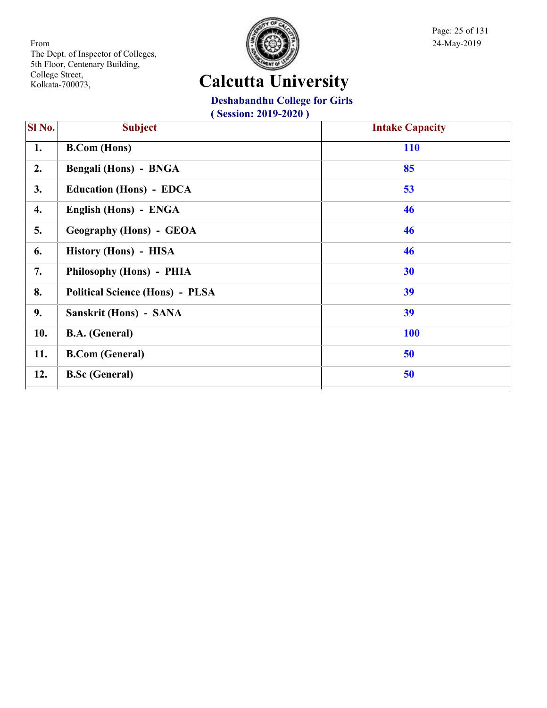

Page: 25 of 131

# **Calcutta University**

**Deshabandhu College for Girls**

| SI <sub>No.</sub> | <b>Subject</b>                         | <b>Intake Capacity</b> |
|-------------------|----------------------------------------|------------------------|
| 1.                | <b>B.Com</b> (Hons)                    | <b>110</b>             |
| 2.                | Bengali (Hons) - BNGA                  | 85                     |
| 3.                | <b>Education (Hons) - EDCA</b>         | 53                     |
| 4.                | English (Hons) - ENGA                  | 46                     |
| 5.                | <b>Geography (Hons) - GEOA</b>         | 46                     |
| 6.                | History (Hons) - HISA                  | 46                     |
| 7.                | Philosophy (Hons) - PHIA               | 30                     |
| 8.                | <b>Political Science (Hons) - PLSA</b> | 39                     |
| 9.                | Sanskrit (Hons) - SANA                 | 39                     |
| 10.               | <b>B.A.</b> (General)                  | <b>100</b>             |
| 11.               | <b>B.Com (General)</b>                 | 50                     |
| 12.               | <b>B.Sc (General)</b>                  | 50                     |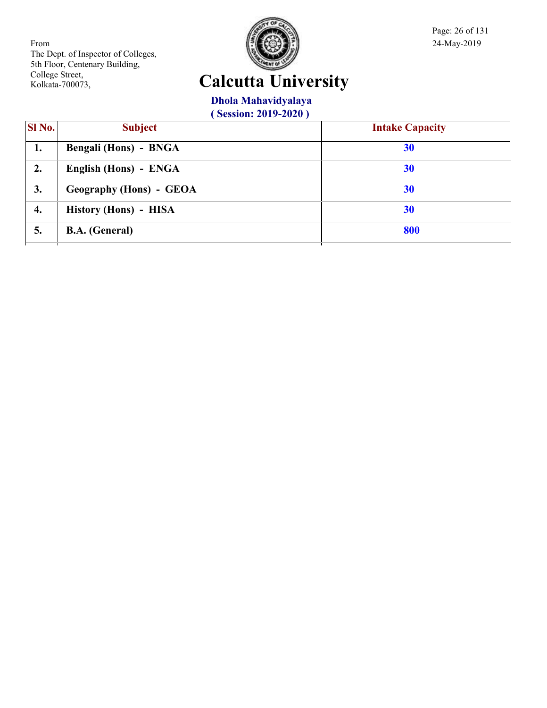

Page: 26 of 131

# **Calcutta University**

#### **Dhola Mahavidyalaya**

| SI No. | <b>Subject</b>          | <b>Intake Capacity</b> |
|--------|-------------------------|------------------------|
| 1.     | Bengali (Hons) - BNGA   | 30                     |
| 2.     | English (Hons) - ENGA   | <b>30</b>              |
| 3.     | Geography (Hons) - GEOA | <b>30</b>              |
| 4.     | History (Hons) - HISA   | 30                     |
| 5.     | <b>B.A.</b> (General)   | 800                    |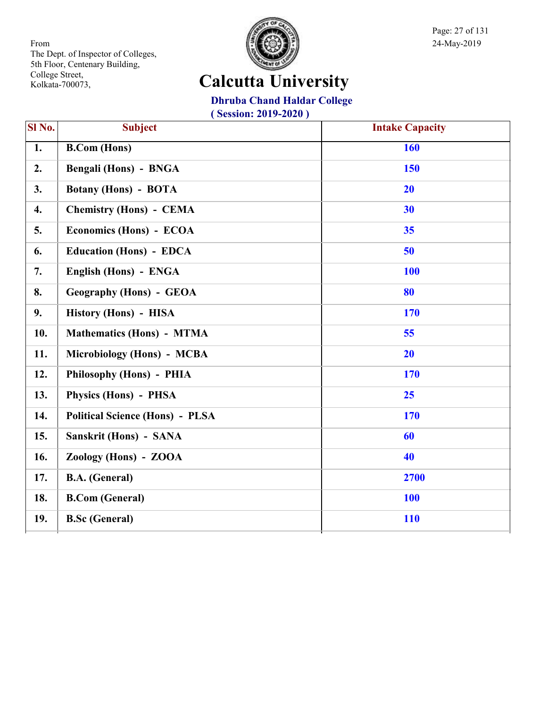

Page: 27 of 131

#### **Calcutta University**

**Dhruba Chand Haldar College**

| Sl No.           | <b>Subject</b>                         | <b>Intake Capacity</b> |
|------------------|----------------------------------------|------------------------|
| $\overline{1}$ . | <b>B.Com (Hons)</b>                    | 160                    |
| 2.               | Bengali (Hons) - BNGA                  | 150                    |
| 3.               | <b>Botany (Hons) - BOTA</b>            | 20                     |
| 4.               | <b>Chemistry (Hons) - CEMA</b>         | 30                     |
| 5.               | Economics (Hons) - ECOA                | 35                     |
| 6.               | <b>Education (Hons) - EDCA</b>         | 50                     |
| 7.               | English (Hons) - ENGA                  | <b>100</b>             |
| 8.               | <b>Geography (Hons) - GEOA</b>         | 80                     |
| 9.               | History (Hons) - HISA                  | 170                    |
| 10.              | <b>Mathematics (Hons) - MTMA</b>       | 55                     |
| 11.              | Microbiology (Hons) - MCBA             | <b>20</b>              |
| 12.              | Philosophy (Hons) - PHIA               | 170                    |
| 13.              | Physics (Hons) - PHSA                  | 25                     |
| 14.              | <b>Political Science (Hons) - PLSA</b> | 170                    |
| 15.              | Sanskrit (Hons) - SANA                 | 60                     |
| 16.              | Zoology (Hons) - ZOOA                  | 40                     |
| 17.              | <b>B.A.</b> (General)                  | 2700                   |
| 18.              | <b>B.Com (General)</b>                 | <b>100</b>             |
| 19.              | <b>B.Sc (General)</b>                  | <b>110</b>             |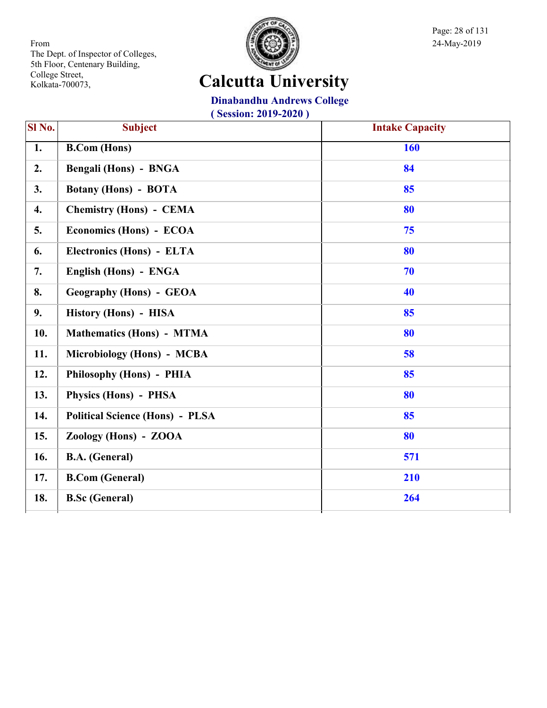

Page: 28 of 131

# **Calcutta University**

**Dinabandhu Andrews College**

| Sl No.             | <b>Subject</b>                         | <b>Intake Capacity</b> |
|--------------------|----------------------------------------|------------------------|
| $\overline{1.}$    | <b>B.Com (Hons)</b>                    | 160                    |
| 2.                 | Bengali (Hons) - BNGA                  | 84                     |
| 3.                 | <b>Botany (Hons) - BOTA</b>            | 85                     |
| $\boldsymbol{4}$ . | <b>Chemistry (Hons) - CEMA</b>         | 80                     |
| 5.                 | Economics (Hons) - ECOA                | 75                     |
| 6.                 | Electronics (Hons) - ELTA              | 80                     |
| 7.                 | English (Hons) - ENGA                  | 70                     |
| 8.                 | <b>Geography (Hons) - GEOA</b>         | 40                     |
| 9.                 | History (Hons) - HISA                  | 85                     |
| 10.                | <b>Mathematics (Hons) - MTMA</b>       | 80                     |
| 11.                | Microbiology (Hons) - MCBA             | 58                     |
| 12.                | Philosophy (Hons) - PHIA               | 85                     |
| 13.                | Physics (Hons) - PHSA                  | 80                     |
| 14.                | <b>Political Science (Hons) - PLSA</b> | 85                     |
| 15.                | Zoology (Hons) - ZOOA                  | 80                     |
| 16.                | <b>B.A.</b> (General)                  | 571                    |
| 17.                | <b>B.Com (General)</b>                 | 210                    |
| 18.                | <b>B.Sc (General)</b>                  | 264                    |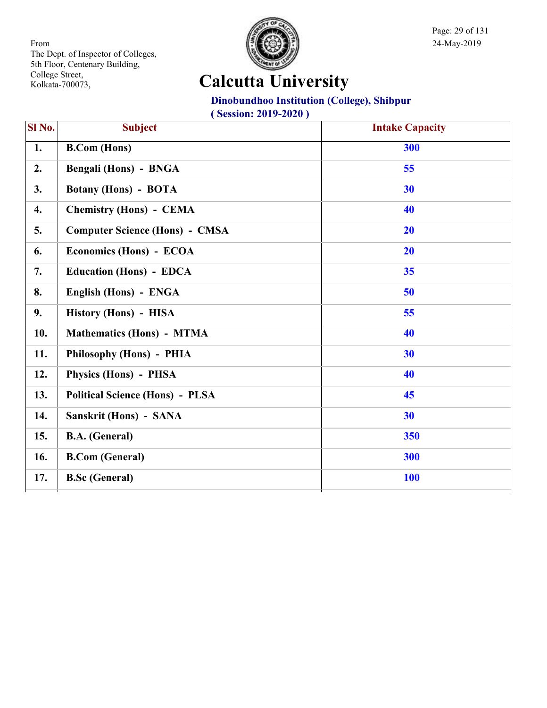

Page: 29 of 131

# **Calcutta University**

#### **Dinobundhoo Institution (College), Shibpur**

| Sl No.             | <b>Subject</b>                         | <b>Intake Capacity</b> |
|--------------------|----------------------------------------|------------------------|
| 1.                 | <b>B.Com (Hons)</b>                    | 300                    |
| 2.                 | <b>Bengali (Hons) - BNGA</b>           | 55                     |
| 3.                 | <b>Botany (Hons) - BOTA</b>            | 30                     |
| $\boldsymbol{4}$ . | <b>Chemistry (Hons) - CEMA</b>         | 40                     |
| 5.                 | <b>Computer Science (Hons) - CMSA</b>  | 20                     |
| 6.                 | Economics (Hons) - ECOA                | 20                     |
| 7.                 | <b>Education (Hons) - EDCA</b>         | 35                     |
| 8.                 | English (Hons) - ENGA                  | 50                     |
| 9.                 | History (Hons) - HISA                  | 55                     |
| 10.                | <b>Mathematics (Hons) - MTMA</b>       | 40                     |
| 11.                | Philosophy (Hons) - PHIA               | 30                     |
| 12.                | Physics (Hons) - PHSA                  | 40                     |
| 13.                | <b>Political Science (Hons) - PLSA</b> | 45                     |
| 14.                | Sanskrit (Hons) - SANA                 | 30                     |
| 15.                | <b>B.A.</b> (General)                  | 350                    |
| 16.                | <b>B.Com (General)</b>                 | 300                    |
| 17.                | <b>B.Sc (General)</b>                  | <b>100</b>             |
|                    |                                        |                        |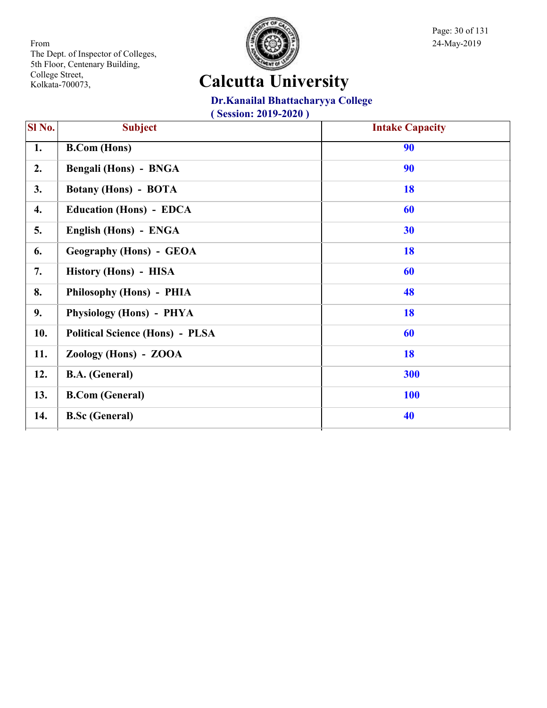

Page: 30 of 131

# **Calcutta University**

#### **Dr.Kanailal Bhattacharyya College**

|                                        | 90                  |
|----------------------------------------|---------------------|
| Bengali (Hons) - BNGA                  | 90                  |
| <b>Botany (Hons) - BOTA</b>            | 18                  |
| <b>Education (Hons) - EDCA</b>         | 60                  |
| English (Hons) - ENGA                  | 30                  |
| <b>Geography (Hons) - GEOA</b>         | 18                  |
| History (Hons) - HISA                  | 60                  |
| Philosophy (Hons) - PHIA               | 48                  |
| Physiology (Hons) - PHYA               | 18                  |
| <b>Political Science (Hons) - PLSA</b> | 60                  |
| Zoology (Hons) - ZOOA                  | 18                  |
| <b>B.A.</b> (General)                  | 300                 |
| <b>B.Com</b> (General)                 | <b>100</b>          |
| <b>B.Sc (General)</b>                  | 40                  |
|                                        | <b>B.Com</b> (Hons) |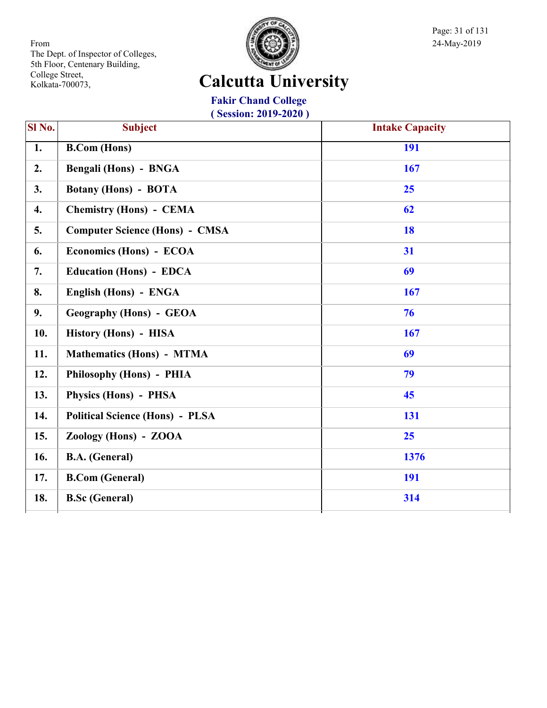

Page: 31 of 131

# **Calcutta University**

**Fakir Chand College ( Session: 2019-2020 )**

| SI No. | <b>Subject</b>                         | <b>Intake Capacity</b> |
|--------|----------------------------------------|------------------------|
| 1.     | <b>B.Com</b> (Hons)                    | 191                    |
| 2.     | <b>Bengali (Hons) - BNGA</b>           | 167                    |
| 3.     | <b>Botany (Hons) - BOTA</b>            | 25                     |
| 4.     | <b>Chemistry (Hons) - CEMA</b>         | 62                     |
| 5.     | <b>Computer Science (Hons) - CMSA</b>  | 18                     |
| 6.     | Economics (Hons) - ECOA                | 31                     |
| 7.     | <b>Education (Hons) - EDCA</b>         | 69                     |
| 8.     | English (Hons) - ENGA                  | 167                    |
| 9.     | <b>Geography (Hons) - GEOA</b>         | 76                     |
| 10.    | History (Hons) - HISA                  | 167                    |
| 11.    | <b>Mathematics (Hons) - MTMA</b>       | 69                     |
| 12.    | Philosophy (Hons) - PHIA               | 79                     |
| 13.    | Physics (Hons) - PHSA                  | 45                     |
| 14.    | <b>Political Science (Hons) - PLSA</b> | 131                    |
| 15.    | Zoology (Hons) - ZOOA                  | 25                     |
| 16.    | <b>B.A.</b> (General)                  | 1376                   |
| 17.    | <b>B.Com (General)</b>                 | 191                    |
| 18.    | <b>B.Sc (General)</b>                  | 314                    |
|        |                                        |                        |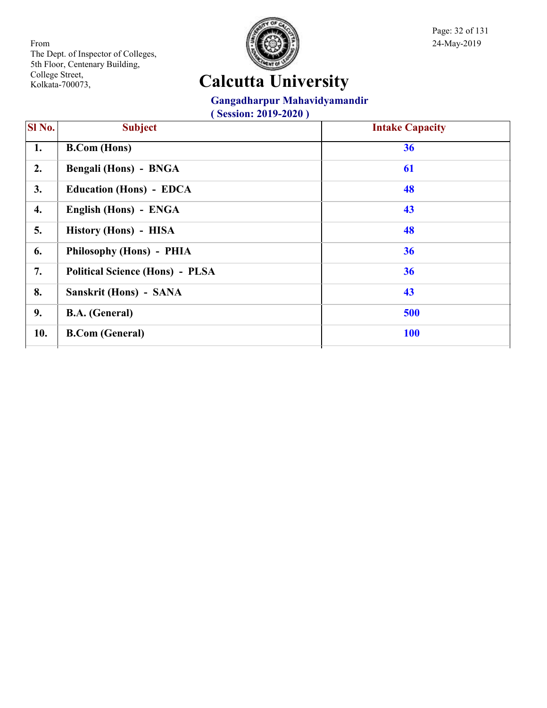

Page: 32 of 131

# **Calcutta University**

#### **Gangadharpur Mahavidyamandir**

| <b>SI</b> No. | <b>Subject</b>                         | <b>Intake Capacity</b> |
|---------------|----------------------------------------|------------------------|
| 1.            | <b>B.Com</b> (Hons)                    | 36                     |
| 2.            | Bengali (Hons) - BNGA                  | 61                     |
| 3.            | <b>Education (Hons) - EDCA</b>         | 48                     |
| 4.            | English (Hons) - ENGA                  | 43                     |
| 5.            | History (Hons) - HISA                  | 48                     |
| 6.            | Philosophy (Hons) - PHIA               | 36                     |
| 7.            | <b>Political Science (Hons) - PLSA</b> | 36                     |
| 8.            | Sanskrit (Hons) - SANA                 | 43                     |
| 9.            | <b>B.A.</b> (General)                  | 500                    |
| 10.           | <b>B.Com</b> (General)                 | <b>100</b>             |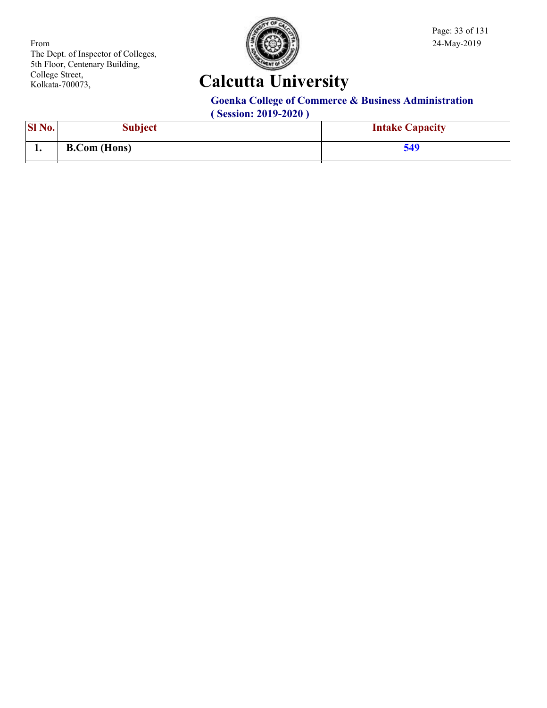

Page: 33 of 131

# **Calcutta University**

#### **Goenka College of Commerce & Business Administration**

| SI No.<br>ப்பட | Subject             | <b>Intake Capacity</b> |
|----------------|---------------------|------------------------|
| . .            | <b>B.Com</b> (Hons) | 540                    |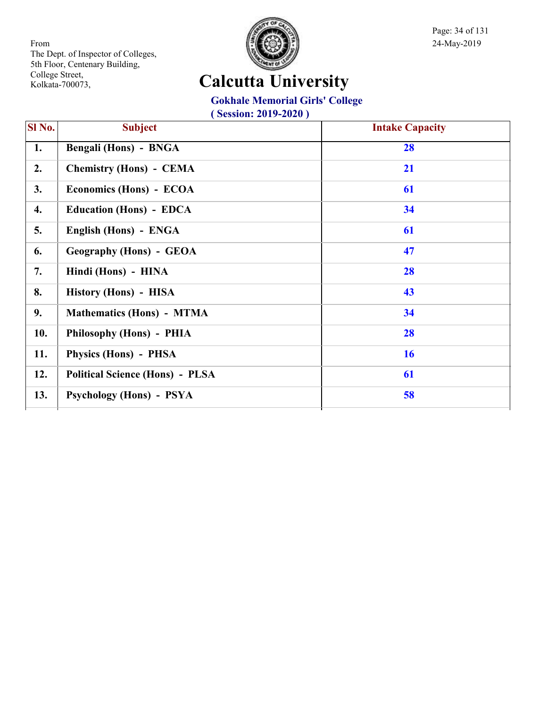

Page: 34 of 131

#### **Calcutta University**

#### **Gokhale Memorial Girls' College**

| SI No. | <b>Subject</b>                         | <b>Intake Capacity</b> |
|--------|----------------------------------------|------------------------|
| 1.     | Bengali (Hons) - BNGA                  | 28                     |
| 2.     | <b>Chemistry (Hons) - CEMA</b>         | 21                     |
| 3.     | Economics (Hons) - ECOA                | 61                     |
| 4.     | <b>Education (Hons) - EDCA</b>         | 34                     |
| 5.     | English (Hons) - ENGA                  | 61                     |
| 6.     | <b>Geography (Hons) - GEOA</b>         | 47                     |
| 7.     | Hindi (Hons) - HINA                    | 28                     |
| 8.     | History (Hons) - HISA                  | 43                     |
| 9.     | <b>Mathematics (Hons) - MTMA</b>       | 34                     |
| 10.    | Philosophy (Hons) - PHIA               | 28                     |
| 11.    | Physics (Hons) - PHSA                  | <b>16</b>              |
| 12.    | <b>Political Science (Hons) - PLSA</b> | 61                     |
| 13.    | Psychology (Hons) - PSYA               | 58                     |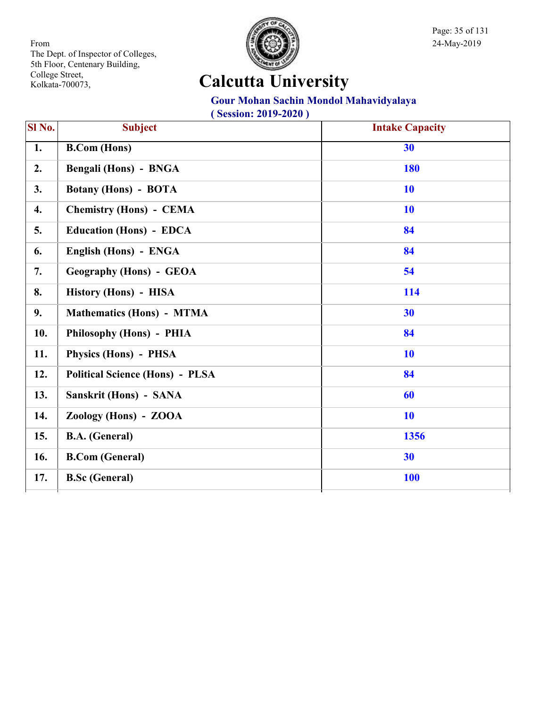

Page: 35 of 131

# **Calcutta University**

#### **Gour Mohan Sachin Mondol Mahavidyalaya**

| SI No. | <b>Subject</b>                         | <b>Intake Capacity</b> |
|--------|----------------------------------------|------------------------|
| 1.     | <b>B.Com</b> (Hons)                    | 30                     |
| 2.     | Bengali (Hons) - BNGA                  | <b>180</b>             |
| 3.     | <b>Botany (Hons) - BOTA</b>            | <b>10</b>              |
| 4.     | <b>Chemistry (Hons) - CEMA</b>         | 10                     |
| 5.     | <b>Education (Hons) - EDCA</b>         | 84                     |
| 6.     | English (Hons) - ENGA                  | 84                     |
| 7.     | <b>Geography (Hons) - GEOA</b>         | 54                     |
| 8.     | History (Hons) - HISA                  | 114                    |
| 9.     | <b>Mathematics (Hons) - MTMA</b>       | 30                     |
| 10.    | Philosophy (Hons) - PHIA               | 84                     |
| 11.    | Physics (Hons) - PHSA                  | <b>10</b>              |
| 12.    | <b>Political Science (Hons) - PLSA</b> | 84                     |
| 13.    | Sanskrit (Hons) - SANA                 | 60                     |
| 14.    | Zoology (Hons) - ZOOA                  | <b>10</b>              |
| 15.    | <b>B.A.</b> (General)                  | 1356                   |
| 16.    | <b>B.Com (General)</b>                 | 30                     |
| 17.    | <b>B.Sc (General)</b>                  | <b>100</b>             |
|        |                                        |                        |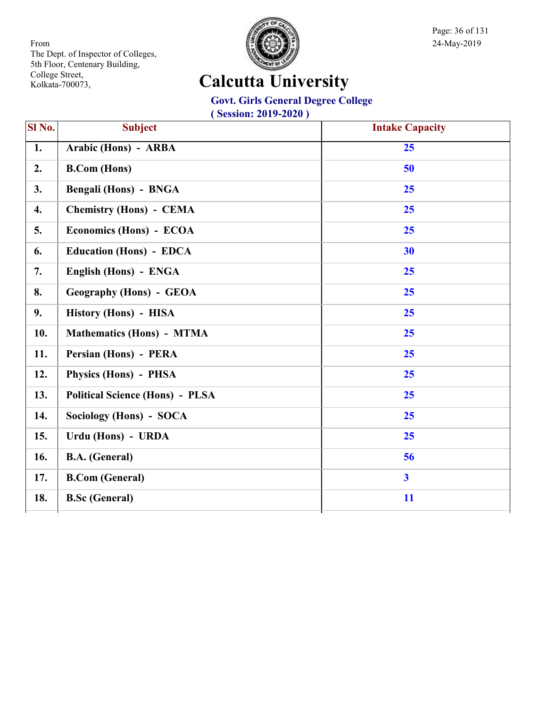

Page: 36 of 131

# **Calcutta University**

#### **Govt. Girls General Degree College**

| Sl No.          | <b>Subject</b>                         | <b>Intake Capacity</b>  |
|-----------------|----------------------------------------|-------------------------|
| $\overline{1.}$ | Arabic (Hons) - ARBA                   | 25                      |
| 2.              | <b>B.Com</b> (Hons)                    | 50                      |
| 3.              | <b>Bengali (Hons) - BNGA</b>           | 25                      |
| 4.              | <b>Chemistry (Hons) - CEMA</b>         | 25                      |
| 5.              | Economics (Hons) - ECOA                | 25                      |
| 6.              | <b>Education (Hons) - EDCA</b>         | 30                      |
| 7.              | English (Hons) - ENGA                  | 25                      |
| 8.              | <b>Geography (Hons) - GEOA</b>         | 25                      |
| 9.              | History (Hons) - HISA                  | 25                      |
| 10.             | <b>Mathematics (Hons) - MTMA</b>       | 25                      |
| 11.             | Persian (Hons) - PERA                  | 25                      |
| 12.             | Physics (Hons) - PHSA                  | 25                      |
| 13.             | <b>Political Science (Hons) - PLSA</b> | 25                      |
| 14.             | Sociology (Hons) - SOCA                | 25                      |
| 15.             | Urdu (Hons) - URDA                     | 25                      |
| 16.             | <b>B.A.</b> (General)                  | 56                      |
| 17.             | <b>B.Com (General)</b>                 | $\overline{\mathbf{3}}$ |
| 18.             | <b>B.Sc (General)</b>                  | 11                      |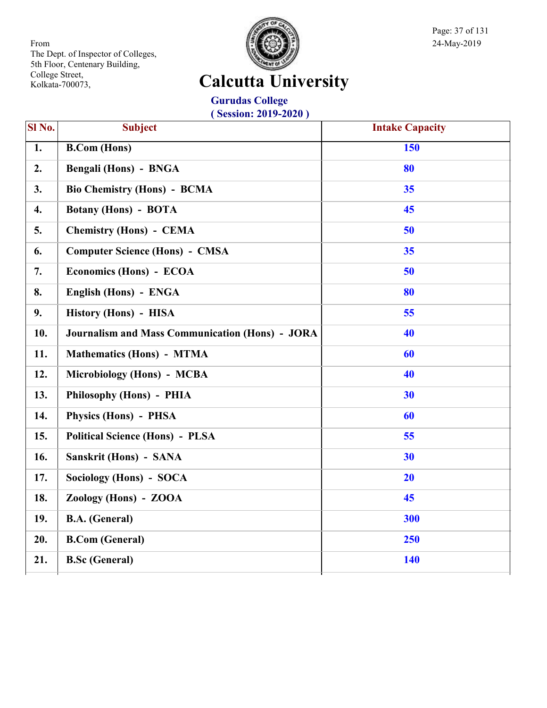

Page: 37 of 131

## **Calcutta University**

**Gurudas College ( Session: 2019-2020 )**

| SI <sub>No.</sub>  | <b>Subject</b>                                         | <b>Intake Capacity</b> |
|--------------------|--------------------------------------------------------|------------------------|
| $\overline{1}$ .   | <b>B.Com (Hons)</b>                                    | 150                    |
| 2.                 | <b>Bengali (Hons) - BNGA</b>                           | 80                     |
| 3.                 | <b>Bio Chemistry (Hons) - BCMA</b>                     | 35                     |
| $\boldsymbol{4}$ . | <b>Botany (Hons) - BOTA</b>                            | 45                     |
| 5.                 | <b>Chemistry (Hons) - CEMA</b>                         | 50                     |
| 6.                 | <b>Computer Science (Hons) - CMSA</b>                  | 35                     |
| 7.                 | Economics (Hons) - ECOA                                | 50                     |
| 8.                 | English (Hons) - ENGA                                  | 80                     |
| 9.                 | History (Hons) - HISA                                  | 55                     |
| 10.                | <b>Journalism and Mass Communication (Hons) - JORA</b> | 40                     |
| 11.                | <b>Mathematics (Hons) - MTMA</b>                       | 60                     |
| 12.                | Microbiology (Hons) - MCBA                             | 40                     |
| 13.                | Philosophy (Hons) - PHIA                               | 30                     |
| 14.                | <b>Physics (Hons) - PHSA</b>                           | 60                     |
| 15.                | <b>Political Science (Hons) - PLSA</b>                 | 55                     |
| 16.                | Sanskrit (Hons) - SANA                                 | 30                     |
| 17.                | Sociology (Hons) - SOCA                                | 20                     |
| 18.                | Zoology (Hons) - ZOOA                                  | 45                     |
| 19.                | <b>B.A.</b> (General)                                  | 300                    |
| 20.                | <b>B.Com (General)</b>                                 | 250                    |
| 21.                | <b>B.Sc</b> (General)                                  | 140                    |
|                    |                                                        |                        |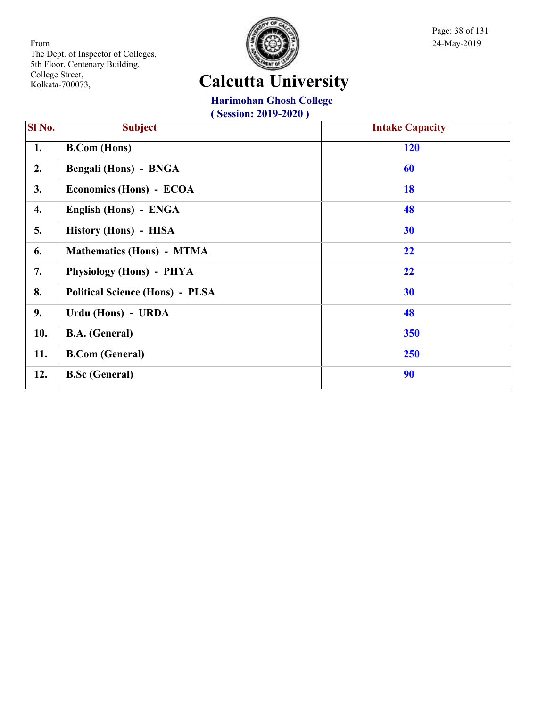

Page: 38 of 131

## **Calcutta University**

### **Harimohan Ghosh College**

| <b>SI</b> No. | <b>Subject</b>                         | <b>Intake Capacity</b> |
|---------------|----------------------------------------|------------------------|
| 1.            | <b>B.Com</b> (Hons)                    | <b>120</b>             |
| 2.            | <b>Bengali (Hons) - BNGA</b>           | 60                     |
| 3.            | Economics (Hons) - ECOA                | 18                     |
| 4.            | English (Hons) - ENGA                  | 48                     |
| 5.            | History (Hons) - HISA                  | 30                     |
| 6.            | Mathematics (Hons) - MTMA              | 22                     |
| 7.            | Physiology (Hons) - PHYA               | 22                     |
| 8.            | <b>Political Science (Hons) - PLSA</b> | 30                     |
| 9.            | Urdu (Hons) - URDA                     | 48                     |
| 10.           | <b>B.A.</b> (General)                  | 350                    |
| 11.           | <b>B.Com (General)</b>                 | 250                    |
| 12.           | <b>B.Sc (General)</b>                  | 90                     |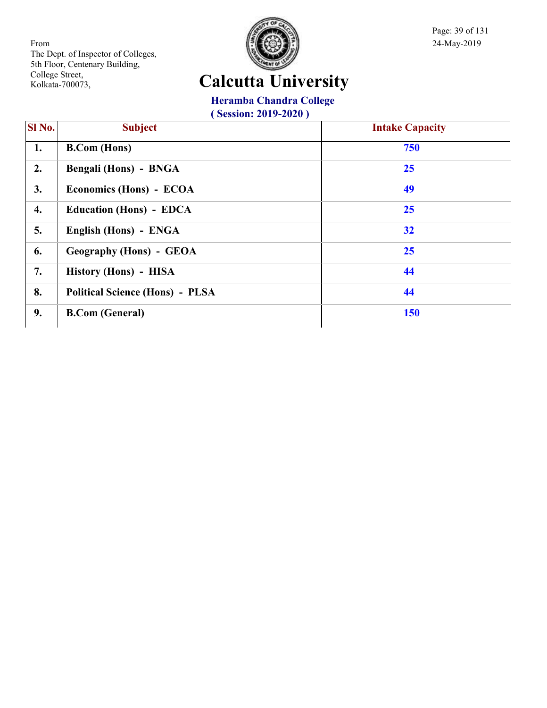

Page: 39 of 131

## **Calcutta University**

### **Heramba Chandra College**

| <b>Subject</b>                         | <b>Intake Capacity</b> |
|----------------------------------------|------------------------|
| <b>B.Com</b> (Hons)                    | 750                    |
| Bengali (Hons) - BNGA                  | 25                     |
| Economics (Hons) - ECOA                | 49                     |
| <b>Education (Hons) - EDCA</b>         | 25                     |
| English (Hons) - ENGA                  | 32                     |
| <b>Geography (Hons) - GEOA</b>         | 25                     |
| History (Hons) - HISA                  | 44                     |
| <b>Political Science (Hons) - PLSA</b> | 44                     |
| <b>B.Com</b> (General)                 | <b>150</b>             |
|                                        |                        |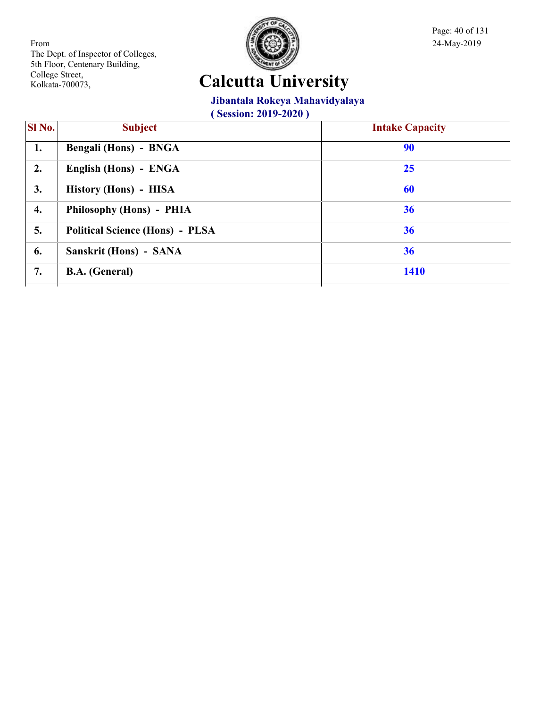

Page: 40 of 131

## **Calcutta University**

### **Jibantala Rokeya Mahavidyalaya**

| <b>SI</b> No. | <b>Subject</b>                         | <b>Intake Capacity</b> |
|---------------|----------------------------------------|------------------------|
| 1.            | Bengali (Hons) - BNGA                  | 90                     |
| 2.            | English (Hons) - ENGA                  | 25                     |
| 3.            | History (Hons) - HISA                  | 60                     |
| 4.            | Philosophy (Hons) - PHIA               | 36                     |
| 5.            | <b>Political Science (Hons) - PLSA</b> | 36                     |
| 6.            | Sanskrit (Hons) - SANA                 | 36                     |
| 7.            | <b>B.A.</b> (General)                  | <b>1410</b>            |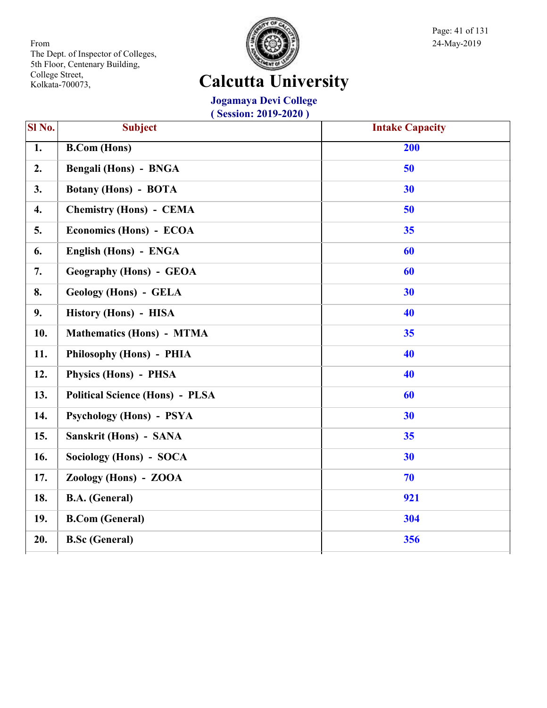

Page: 41 of 131

## **Calcutta University**

**Jogamaya Devi College**

| Sl No. | <b>Subject</b>                         | <b>Intake Capacity</b> |
|--------|----------------------------------------|------------------------|
| 1.     | <b>B.Com</b> (Hons)                    | 200                    |
| 2.     | Bengali (Hons) - BNGA                  | 50                     |
| 3.     | <b>Botany (Hons) - BOTA</b>            | 30                     |
| 4.     | <b>Chemistry (Hons) - CEMA</b>         | 50                     |
| 5.     | Economics (Hons) - ECOA                | 35                     |
| 6.     | English (Hons) - ENGA                  | 60                     |
| 7.     | <b>Geography (Hons) - GEOA</b>         | 60                     |
| 8.     | <b>Geology (Hons) - GELA</b>           | 30                     |
| 9.     | History (Hons) - HISA                  | 40                     |
| 10.    | <b>Mathematics (Hons) - MTMA</b>       | 35                     |
| 11.    | Philosophy (Hons) - PHIA               | 40                     |
| 12.    | Physics (Hons) - PHSA                  | 40                     |
| 13.    | <b>Political Science (Hons) - PLSA</b> | 60                     |
| 14.    | <b>Psychology (Hons) - PSYA</b>        | 30                     |
| 15.    | Sanskrit (Hons) - SANA                 | 35                     |
| 16.    | Sociology (Hons) - SOCA                | 30                     |
| 17.    | Zoology (Hons) - ZOOA                  | 70                     |
| 18.    | <b>B.A.</b> (General)                  | 921                    |
| 19.    | <b>B.Com (General)</b>                 | 304                    |
| 20.    | <b>B.Sc</b> (General)                  | 356                    |
|        |                                        |                        |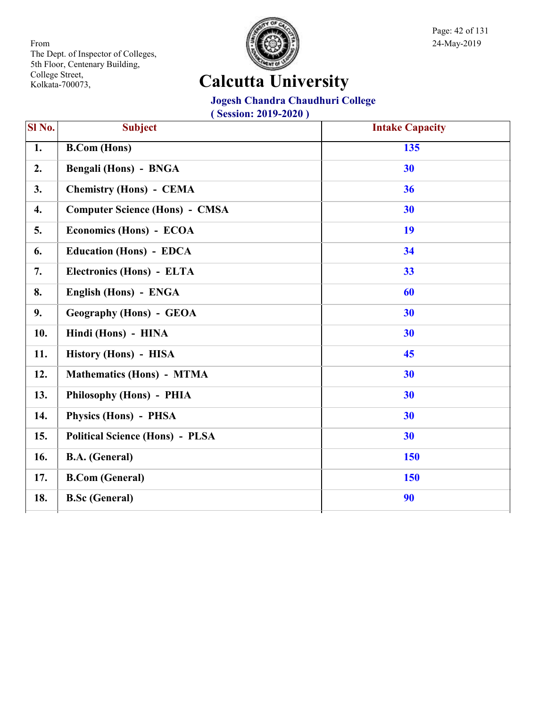

Page: 42 of 131

## **Calcutta University**

#### **Jogesh Chandra Chaudhuri College**

| Sl No.           | <b>Subject</b>                         | <b>Intake Capacity</b> |
|------------------|----------------------------------------|------------------------|
| $\overline{1}$ . | <b>B.Com</b> (Hons)                    | $\overline{135}$       |
| 2.               | <b>Bengali (Hons) - BNGA</b>           | 30                     |
| 3.               | <b>Chemistry (Hons) - CEMA</b>         | 36                     |
| $\overline{4}$ . | <b>Computer Science (Hons) - CMSA</b>  | 30                     |
| 5.               | Economics (Hons) - ECOA                | 19                     |
| 6.               | <b>Education (Hons) - EDCA</b>         | 34                     |
| 7.               | Electronics (Hons) - ELTA              | 33                     |
| 8.               | English (Hons) - ENGA                  | 60                     |
| 9.               | <b>Geography (Hons) - GEOA</b>         | 30                     |
| 10.              | Hindi (Hons) - HINA                    | 30                     |
| 11.              | History (Hons) - HISA                  | 45                     |
| 12.              | <b>Mathematics (Hons) - MTMA</b>       | 30                     |
| 13.              | Philosophy (Hons) - PHIA               | 30                     |
| 14.              | Physics (Hons) - PHSA                  | 30                     |
| 15.              | <b>Political Science (Hons) - PLSA</b> | 30                     |
| 16.              | <b>B.A.</b> (General)                  | 150                    |
| 17.              | <b>B.Com (General)</b>                 | 150                    |
| 18.              | <b>B.Sc (General)</b>                  | 90                     |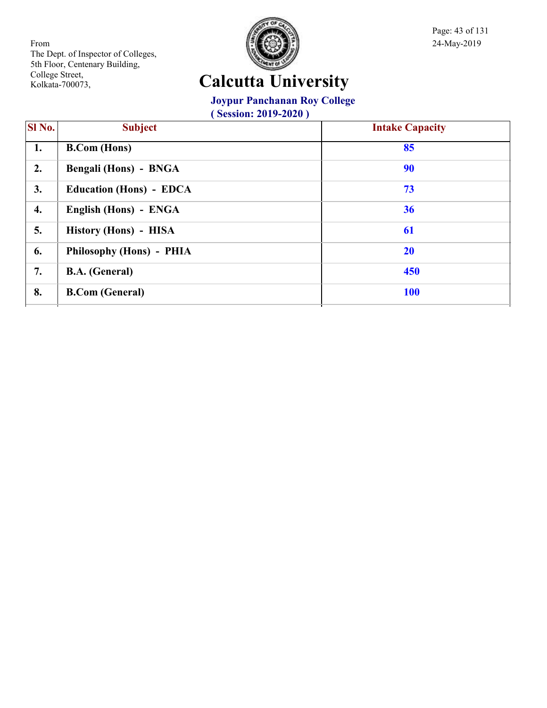

Page: 43 of 131

## **Calcutta University**

### **Joypur Panchanan Roy College**

| SI No. | <b>Subject</b>                 | <b>Intake Capacity</b> |
|--------|--------------------------------|------------------------|
| 1.     | <b>B.Com</b> (Hons)            | 85                     |
| 2.     | Bengali (Hons) - BNGA          | 90                     |
| 3.     | <b>Education (Hons) - EDCA</b> | 73                     |
| 4.     | English (Hons) - ENGA          | 36                     |
| 5.     | History (Hons) - HISA          | 61                     |
| 6.     | Philosophy (Hons) - PHIA       | 20                     |
| 7.     | <b>B.A.</b> (General)          | 450                    |
| 8.     | <b>B.Com (General)</b>         | <b>100</b>             |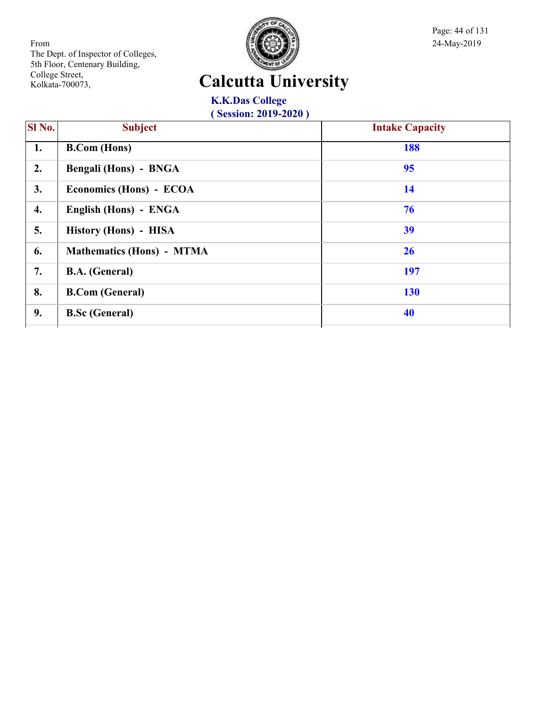

Page: 44 of 131

## **Calcutta University**

**K.K.Das College ( Session: 2019-2020 )**

| SI No. | <b>Subject</b>                   | <b>Intake Capacity</b> |
|--------|----------------------------------|------------------------|
| 1.     | <b>B.Com</b> (Hons)              | 188                    |
| 2.     | Bengali (Hons) - BNGA            | 95                     |
| 3.     | Economics (Hons) - ECOA          | 14                     |
| 4.     | English (Hons) - ENGA            | 76                     |
| 5.     | History (Hons) - HISA            | 39                     |
| 6.     | <b>Mathematics (Hons) - MTMA</b> | 26                     |
| 7.     | <b>B.A.</b> (General)            | 197                    |
| 8.     | <b>B.Com</b> (General)           | <b>130</b>             |
| 9.     | <b>B.Sc (General)</b>            | 40                     |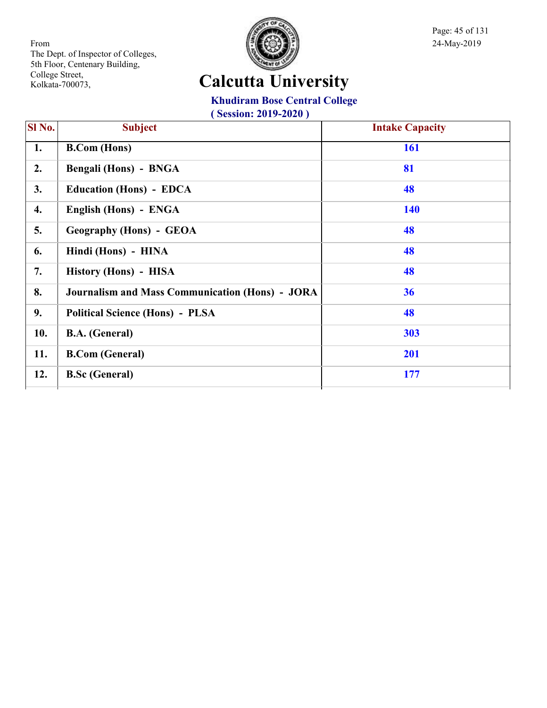

Page: 45 of 131

## **Calcutta University**

#### **Khudiram Bose Central College**

| <b>SI</b> No. | <b>Subject</b>                                         | <b>Intake Capacity</b> |
|---------------|--------------------------------------------------------|------------------------|
| 1.            | <b>B.Com</b> (Hons)                                    | <b>161</b>             |
| 2.            | Bengali (Hons) - BNGA                                  | 81                     |
| 3.            | <b>Education (Hons) - EDCA</b>                         | 48                     |
| 4.            | English (Hons) - ENGA                                  | <b>140</b>             |
| 5.            | <b>Geography (Hons) - GEOA</b>                         | 48                     |
| 6.            | Hindi (Hons) - HINA                                    | 48                     |
| 7.            | History (Hons) - HISA                                  | 48                     |
| 8.            | <b>Journalism and Mass Communication (Hons) - JORA</b> | 36                     |
| 9.            | <b>Political Science (Hons) - PLSA</b>                 | 48                     |
| 10.           | <b>B.A.</b> (General)                                  | 303                    |
| 11.           | <b>B.Com (General)</b>                                 | 201                    |
| 12.           | <b>B.Sc (General)</b>                                  | 177                    |
|               |                                                        |                        |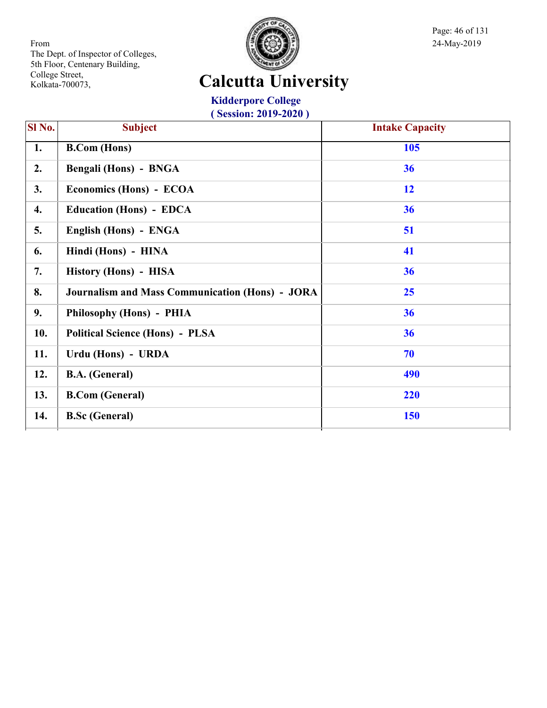

Page: 46 of 131

## **Calcutta University**

**Kidderpore College ( Session: 2019-2020 )**

| SI No. | <b>Subject</b>                                         | <b>Intake Capacity</b> |
|--------|--------------------------------------------------------|------------------------|
| 1.     | <b>B.Com</b> (Hons)                                    | 105                    |
| 2.     | Bengali (Hons) - BNGA                                  | 36                     |
| 3.     | Economics (Hons) - ECOA                                | 12                     |
| 4.     | <b>Education (Hons) - EDCA</b>                         | 36                     |
| 5.     | English (Hons) - ENGA                                  | 51                     |
| 6.     | Hindi (Hons) - HINA                                    | 41                     |
| 7.     | History (Hons) - HISA                                  | 36                     |
| 8.     | <b>Journalism and Mass Communication (Hons) - JORA</b> | 25                     |
| 9.     | Philosophy (Hons) - PHIA                               | 36                     |
| 10.    | <b>Political Science (Hons) - PLSA</b>                 | 36                     |
| 11.    | Urdu (Hons) - URDA                                     | 70                     |
| 12.    | <b>B.A.</b> (General)                                  | 490                    |
| 13.    | <b>B.Com (General)</b>                                 | 220                    |
| 14.    | <b>B.Sc (General)</b>                                  | <b>150</b>             |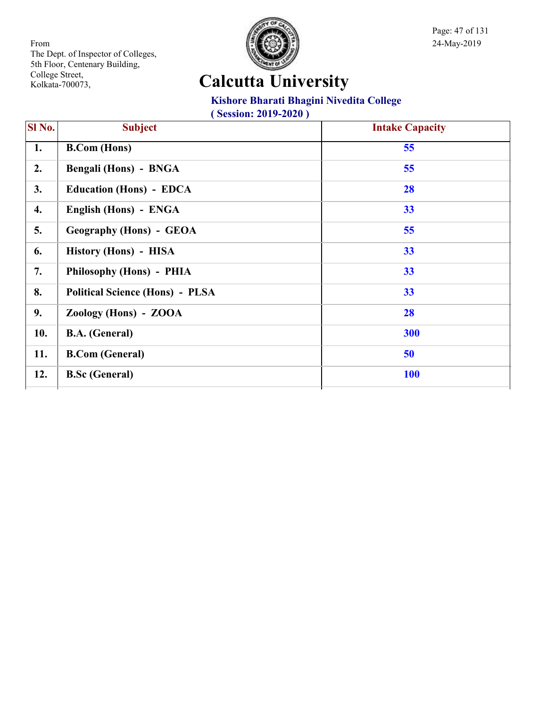

Page: 47 of 131

## **Calcutta University**

#### **Kishore Bharati Bhagini Nivedita College**

| SI No. | <b>Subject</b>                         | <b>Intake Capacity</b> |
|--------|----------------------------------------|------------------------|
| 1.     | <b>B.Com</b> (Hons)                    | 55                     |
| 2.     | Bengali (Hons) - BNGA                  | 55                     |
| 3.     | <b>Education (Hons) - EDCA</b>         | 28                     |
| 4.     | English (Hons) - ENGA                  | 33                     |
| 5.     | <b>Geography (Hons) - GEOA</b>         | 55                     |
| 6.     | History (Hons) - HISA                  | 33                     |
| 7.     | Philosophy (Hons) - PHIA               | 33                     |
| 8.     | <b>Political Science (Hons) - PLSA</b> | 33                     |
| 9.     | Zoology (Hons) - ZOOA                  | 28                     |
| 10.    | <b>B.A.</b> (General)                  | 300                    |
| 11.    | <b>B.Com (General)</b>                 | 50                     |
| 12.    | <b>B.Sc (General)</b>                  | <b>100</b>             |
|        |                                        |                        |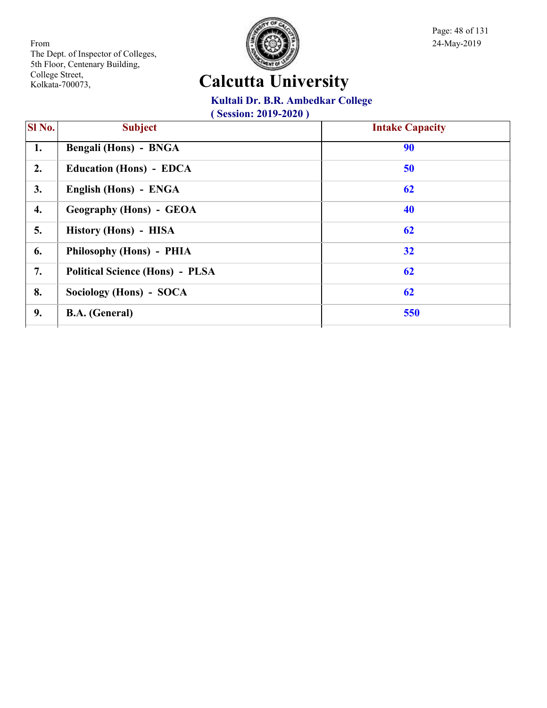

Page: 48 of 131

## **Calcutta University**

#### **Kultali Dr. B.R. Ambedkar College**

| SI <sub>No.</sub> | <b>Subject</b>                         | <b>Intake Capacity</b> |
|-------------------|----------------------------------------|------------------------|
| 1.                | <b>Bengali (Hons) - BNGA</b>           | 90                     |
| 2.                | <b>Education (Hons) - EDCA</b>         | 50                     |
| 3.                | English (Hons) - ENGA                  | 62                     |
| 4.                | <b>Geography (Hons) - GEOA</b>         | 40                     |
| 5.                | History (Hons) - HISA                  | 62                     |
| 6.                | Philosophy (Hons) - PHIA               | 32                     |
| 7.                | <b>Political Science (Hons) - PLSA</b> | 62                     |
| 8.                | Sociology (Hons) - SOCA                | 62                     |
| 9.                | <b>B.A.</b> (General)                  | 550                    |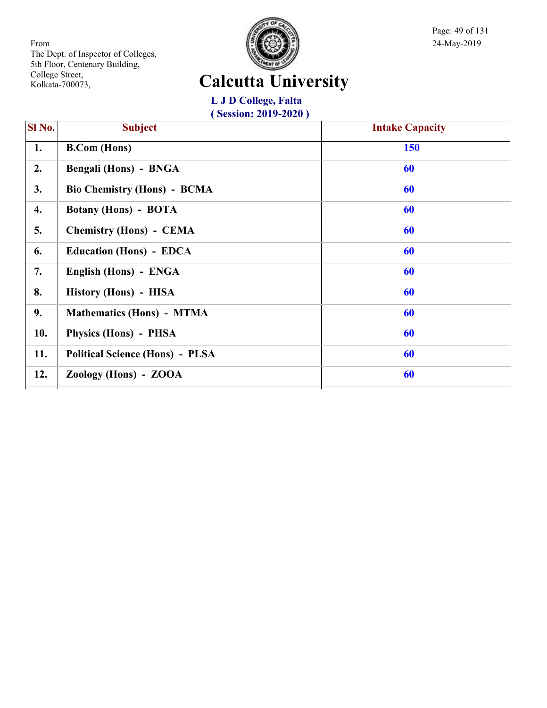

Page: 49 of 131

## **Calcutta University**

**L J D College, Falta ( Session: 2019-2020 )**

| SI No. | <b>Subject</b>                         | <b>Intake Capacity</b> |
|--------|----------------------------------------|------------------------|
| 1.     | <b>B.Com</b> (Hons)                    | <b>150</b>             |
| 2.     | Bengali (Hons) - BNGA                  | 60                     |
| 3.     | <b>Bio Chemistry (Hons) - BCMA</b>     | 60                     |
| 4.     | <b>Botany (Hons) - BOTA</b>            | 60                     |
| 5.     | <b>Chemistry (Hons) - CEMA</b>         | 60                     |
| 6.     | <b>Education (Hons) - EDCA</b>         | 60                     |
| 7.     | English (Hons) - ENGA                  | 60                     |
| 8.     | History (Hons) - HISA                  | 60                     |
| 9.     | <b>Mathematics (Hons) - MTMA</b>       | 60                     |
| 10.    | Physics (Hons) - PHSA                  | 60                     |
| 11.    | <b>Political Science (Hons) - PLSA</b> | 60                     |
| 12.    | Zoology (Hons) - ZOOA                  | 60                     |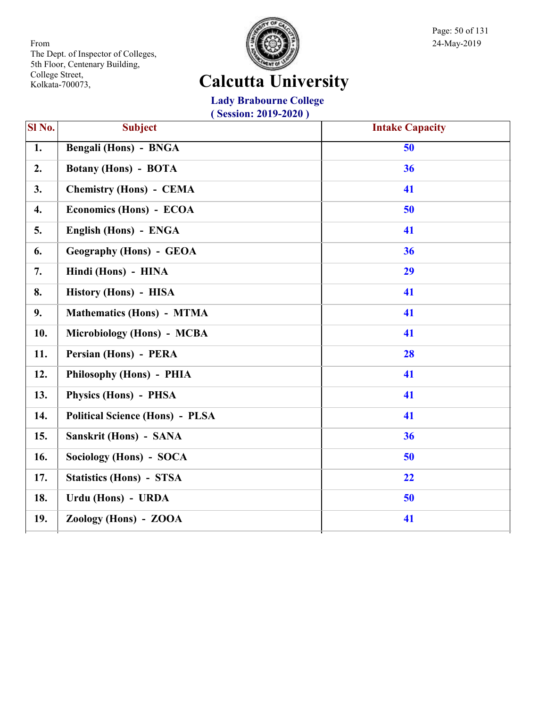

Page: 50 of 131

### **Calcutta University**

**Lady Brabourne College**

| SI No. | <b>Subject</b>                         | <b>Intake Capacity</b> |
|--------|----------------------------------------|------------------------|
| 1.     | Bengali (Hons) - BNGA                  | 50                     |
| 2.     | <b>Botany (Hons) - BOTA</b>            | 36                     |
| 3.     | <b>Chemistry (Hons) - CEMA</b>         | 41                     |
| 4.     | Economics (Hons) - ECOA                | 50                     |
| 5.     | English (Hons) - ENGA                  | 41                     |
| 6.     | <b>Geography (Hons) - GEOA</b>         | 36                     |
| 7.     | Hindi (Hons) - HINA                    | 29                     |
| 8.     | History (Hons) - HISA                  | 41                     |
| 9.     | <b>Mathematics (Hons) - MTMA</b>       | 41                     |
| 10.    | Microbiology (Hons) - MCBA             | 41                     |
| 11.    | Persian (Hons) - PERA                  | 28                     |
| 12.    | Philosophy (Hons) - PHIA               | 41                     |
| 13.    | Physics (Hons) - PHSA                  | 41                     |
| 14.    | <b>Political Science (Hons) - PLSA</b> | 41                     |
| 15.    | Sanskrit (Hons) - SANA                 | 36                     |
| 16.    | Sociology (Hons) - SOCA                | 50                     |
| 17.    | <b>Statistics (Hons) - STSA</b>        | 22                     |
| 18.    | Urdu (Hons) - URDA                     | 50                     |
| 19.    | Zoology (Hons) - ZOOA                  | 41                     |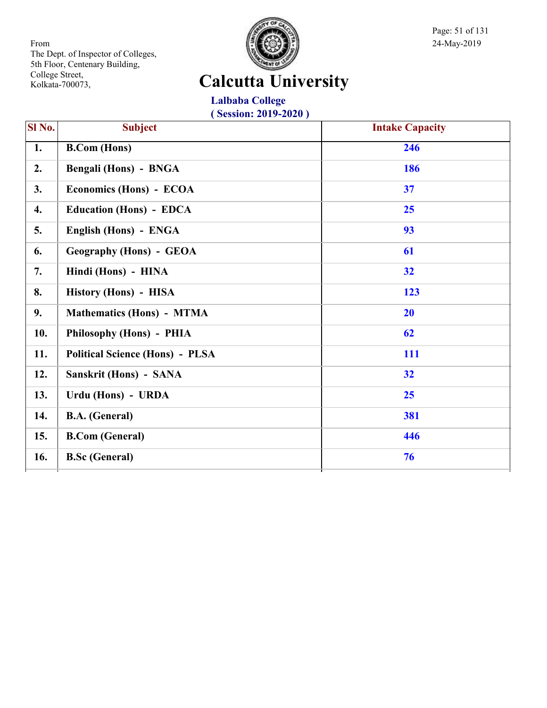

Page: 51 of 131

## **Calcutta University**

**Lalbaba College ( Session: 2019-2020 )**

| SI No. | <b>Subject</b>                         | <b>Intake Capacity</b> |
|--------|----------------------------------------|------------------------|
| 1.     | <b>B.Com (Hons)</b>                    | 246                    |
| 2.     | <b>Bengali (Hons) - BNGA</b>           | 186                    |
| 3.     | Economics (Hons) - ECOA                | 37                     |
| 4.     | <b>Education (Hons) - EDCA</b>         | 25                     |
| 5.     | English (Hons) - ENGA                  | 93                     |
| 6.     | <b>Geography (Hons) - GEOA</b>         | 61                     |
| 7.     | Hindi (Hons) - HINA                    | 32                     |
| 8.     | History (Hons) - HISA                  | 123                    |
| 9.     | <b>Mathematics (Hons) - MTMA</b>       | 20                     |
| 10.    | Philosophy (Hons) - PHIA               | 62                     |
| 11.    | <b>Political Science (Hons) - PLSA</b> | 111                    |
| 12.    | Sanskrit (Hons) - SANA                 | 32                     |
| 13.    | Urdu (Hons) - URDA                     | 25                     |
| 14.    | <b>B.A.</b> (General)                  | 381                    |
| 15.    | <b>B.Com (General)</b>                 | 446                    |
| 16.    | <b>B.Sc (General)</b>                  | 76                     |
|        |                                        |                        |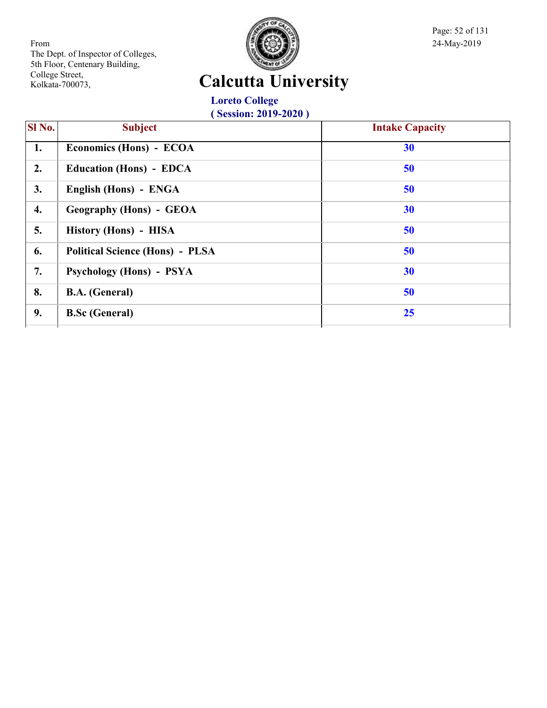

Page: 52 of 131

## **Calcutta University**

**Loreto College ( Session: 2019-2020 )**

| <b>SI</b> No. | <b>Subject</b>                         | <b>Intake Capacity</b> |
|---------------|----------------------------------------|------------------------|
| 1.            | Economics (Hons) - ECOA                | 30                     |
| 2.            | <b>Education (Hons) - EDCA</b>         | 50                     |
| 3.            | English (Hons) - ENGA                  | 50                     |
| 4.            | <b>Geography (Hons) - GEOA</b>         | 30                     |
| 5.            | History (Hons) - HISA                  | 50                     |
| 6.            | <b>Political Science (Hons) - PLSA</b> | 50                     |
| 7.            | Psychology (Hons) - PSYA               | 30                     |
| 8.            | <b>B.A.</b> (General)                  | 50                     |
| 9.            | <b>B.Sc (General)</b>                  | 25                     |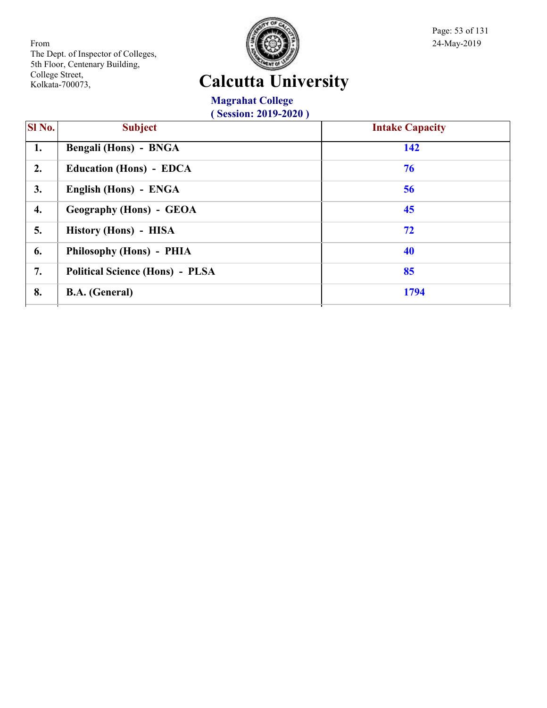

Page: 53 of 131

## **Calcutta University**

**Magrahat College ( Session: 2019-2020 )**

| $\overline{SI}$ No. | <b>Subject</b>                         | <b>Intake Capacity</b> |
|---------------------|----------------------------------------|------------------------|
| 1.                  | Bengali (Hons) - BNGA                  | 142                    |
| 2.                  | <b>Education (Hons) - EDCA</b>         | 76                     |
| 3.                  | English (Hons) - ENGA                  | 56                     |
| 4.                  | Geography (Hons) - GEOA                | 45                     |
| 5.                  | History (Hons) - HISA                  | 72                     |
| 6.                  | Philosophy (Hons) - PHIA               | 40                     |
| 7.                  | <b>Political Science (Hons) - PLSA</b> | 85                     |
| 8.                  | <b>B.A.</b> (General)                  | 1794                   |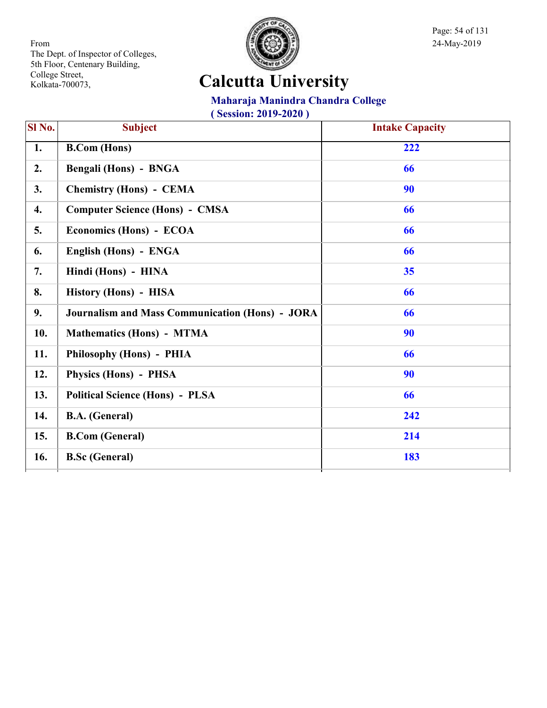

Page: 54 of 131

## **Calcutta University**

### **Maharaja Manindra Chandra College**

| SI No. | <b>Subject</b>                                         | <b>Intake Capacity</b> |
|--------|--------------------------------------------------------|------------------------|
| 1.     | <b>B.Com</b> (Hons)                                    | 222                    |
| 2.     | Bengali (Hons) - BNGA                                  | 66                     |
| 3.     | <b>Chemistry (Hons) - CEMA</b>                         | 90                     |
| 4.     | <b>Computer Science (Hons) - CMSA</b>                  | 66                     |
| 5.     | Economics (Hons) - ECOA                                | 66                     |
| 6.     | English (Hons) - ENGA                                  | 66                     |
| 7.     | Hindi (Hons) - HINA                                    | 35                     |
| 8.     | History (Hons) - HISA                                  | 66                     |
| 9.     | <b>Journalism and Mass Communication (Hons) - JORA</b> | 66                     |
| 10.    | <b>Mathematics (Hons) - MTMA</b>                       | 90                     |
| 11.    | Philosophy (Hons) - PHIA                               | 66                     |
| 12.    | Physics (Hons) - PHSA                                  | 90                     |
| 13.    | <b>Political Science (Hons) - PLSA</b>                 | 66                     |
| 14.    | <b>B.A.</b> (General)                                  | 242                    |
| 15.    | <b>B.Com (General)</b>                                 | 214                    |
| 16.    | <b>B.Sc (General)</b>                                  | 183                    |
|        |                                                        |                        |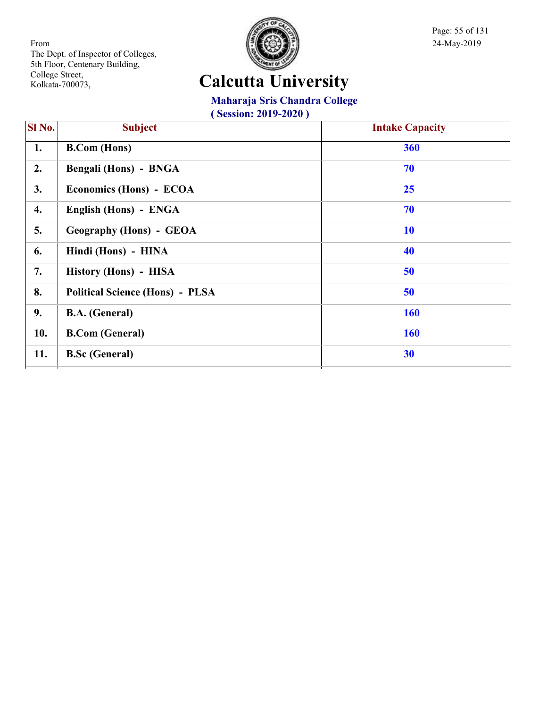

Page: 55 of 131

## **Calcutta University**

### **Maharaja Sris Chandra College**

| SI <sub>No.</sub> | <b>Subject</b>                         | <b>Intake Capacity</b> |
|-------------------|----------------------------------------|------------------------|
| 1.                | <b>B.Com</b> (Hons)                    | 360                    |
| 2.                | Bengali (Hons) - BNGA                  | 70                     |
| 3.                | Economics (Hons) - ECOA                | 25                     |
| 4.                | English (Hons) - ENGA                  | 70                     |
| 5.                | <b>Geography (Hons) - GEOA</b>         | <b>10</b>              |
| 6.                | Hindi (Hons) - HINA                    | 40                     |
| 7.                | History (Hons) - HISA                  | 50                     |
| 8.                | <b>Political Science (Hons) - PLSA</b> | 50                     |
| 9.                | <b>B.A.</b> (General)                  | <b>160</b>             |
| 10.               | <b>B.Com</b> (General)                 | <b>160</b>             |
| 11.               | <b>B.Sc (General)</b>                  | 30                     |
|                   |                                        |                        |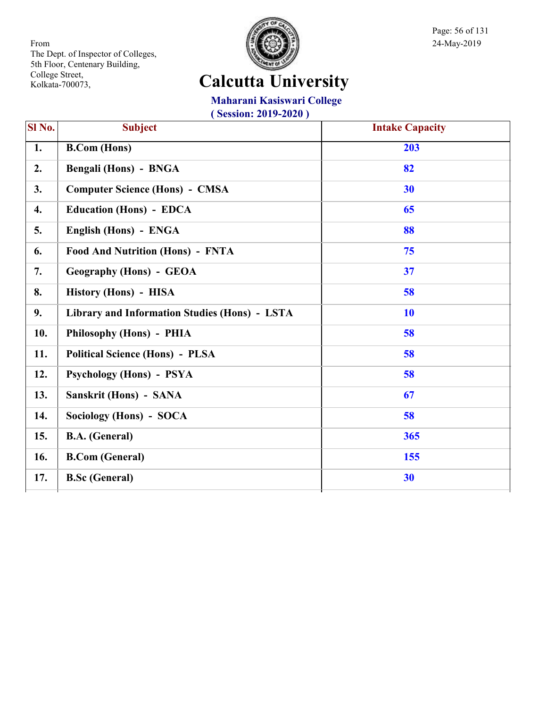

Page: 56 of 131

## **Calcutta University**

**Maharani Kasiswari College**

| Sl No. | <b>Subject</b>                                | <b>Intake Capacity</b> |
|--------|-----------------------------------------------|------------------------|
| 1.     | <b>B.Com</b> (Hons)                           | 203                    |
| 2.     | Bengali (Hons) - BNGA                         | 82                     |
| 3.     | <b>Computer Science (Hons) - CMSA</b>         | 30                     |
| 4.     | <b>Education (Hons) - EDCA</b>                | 65                     |
| 5.     | English (Hons) - ENGA                         | 88                     |
| 6.     | <b>Food And Nutrition (Hons) - FNTA</b>       | 75                     |
| 7.     | <b>Geography (Hons) - GEOA</b>                | 37                     |
| 8.     | History (Hons) - HISA                         | 58                     |
| 9.     | Library and Information Studies (Hons) - LSTA | <b>10</b>              |
| 10.    | Philosophy (Hons) - PHIA                      | 58                     |
| 11.    | <b>Political Science (Hons) - PLSA</b>        | 58                     |
| 12.    | <b>Psychology (Hons) - PSYA</b>               | 58                     |
| 13.    | Sanskrit (Hons) - SANA                        | 67                     |
| 14.    | Sociology (Hons) - SOCA                       | 58                     |
| 15.    | <b>B.A.</b> (General)                         | 365                    |
| 16.    | <b>B.Com (General)</b>                        | 155                    |
| 17.    | <b>B.Sc (General)</b>                         | 30                     |
|        |                                               |                        |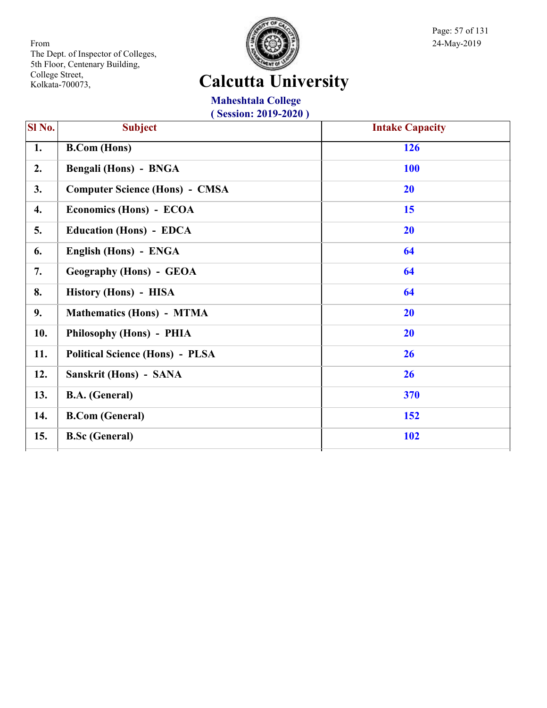

Page: 57 of 131

## **Calcutta University**

**Maheshtala College ( Session: 2019-2020 )**

| $\overline{SI No.}$ | <b>Subject</b>                         | <b>Intake Capacity</b> |
|---------------------|----------------------------------------|------------------------|
| 1.                  | <b>B.Com</b> (Hons)                    | 126                    |
| 2.                  | Bengali (Hons) - BNGA                  | <b>100</b>             |
| 3.                  | <b>Computer Science (Hons) - CMSA</b>  | <b>20</b>              |
| 4.                  | Economics (Hons) - ECOA                | 15                     |
| 5.                  | <b>Education (Hons) - EDCA</b>         | 20                     |
| 6.                  | English (Hons) - ENGA                  | 64                     |
| 7.                  | <b>Geography (Hons) - GEOA</b>         | 64                     |
| 8.                  | History (Hons) - HISA                  | 64                     |
| 9.                  | <b>Mathematics (Hons) - MTMA</b>       | 20                     |
| 10.                 | Philosophy (Hons) - PHIA               | 20                     |
| 11.                 | <b>Political Science (Hons) - PLSA</b> | 26                     |
| 12.                 | Sanskrit (Hons) - SANA                 | 26                     |
| 13.                 | <b>B.A.</b> (General)                  | 370                    |
| 14.                 | <b>B.Com (General)</b>                 | 152                    |
| 15.                 | <b>B.Sc (General)</b>                  | <b>102</b>             |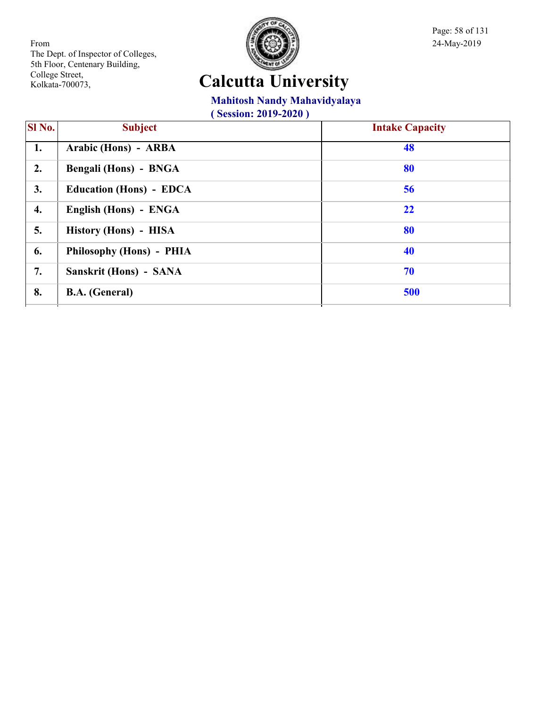

Page: 58 of 131

## **Calcutta University**

### **Mahitosh Nandy Mahavidyalaya**

| $\overline{\textbf{S}}$ l No. | <b>Subject</b>                 | <b>Intake Capacity</b> |
|-------------------------------|--------------------------------|------------------------|
| 1.                            | Arabic (Hons) - ARBA           | 48                     |
| 2.                            | Bengali (Hons) - BNGA          | 80                     |
| 3.                            | <b>Education (Hons) - EDCA</b> | 56                     |
| 4.                            | English (Hons) - ENGA          | 22                     |
| 5.                            | History (Hons) - HISA          | 80                     |
| 6.                            | Philosophy (Hons) - PHIA       | 40                     |
| 7.                            | Sanskrit (Hons) - SANA         | 70                     |
| 8.                            | <b>B.A.</b> (General)          | 500                    |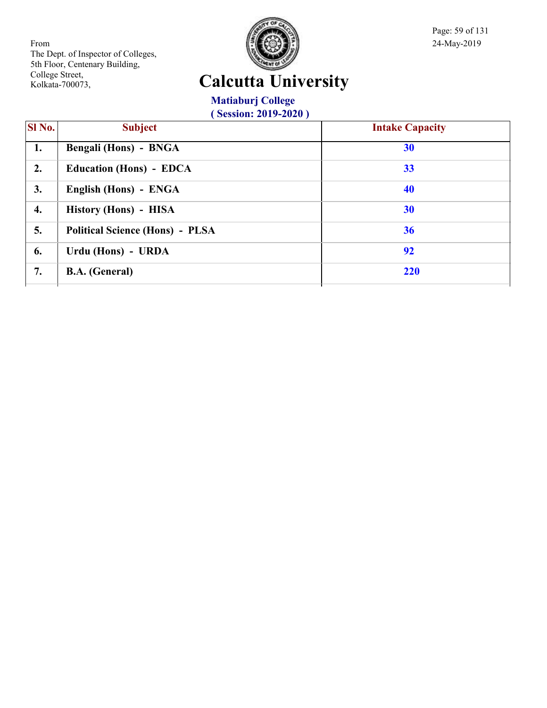

Page: 59 of 131

## **Calcutta University**

**Matiaburj College ( Session: 2019-2020 )**

| <b>SI</b> No. | <b>Subject</b>                         | <b>Intake Capacity</b> |
|---------------|----------------------------------------|------------------------|
| 1.            | Bengali (Hons) - BNGA                  | 30                     |
| 2.            | <b>Education (Hons) - EDCA</b>         | 33                     |
| 3.            | English (Hons) - ENGA                  | 40                     |
| 4.            | History (Hons) - HISA                  | 30                     |
| 5.            | <b>Political Science (Hons) - PLSA</b> | 36                     |
| 6.            | Urdu (Hons) - URDA                     | 92                     |
| 7.            | <b>B.A.</b> (General)                  | 220                    |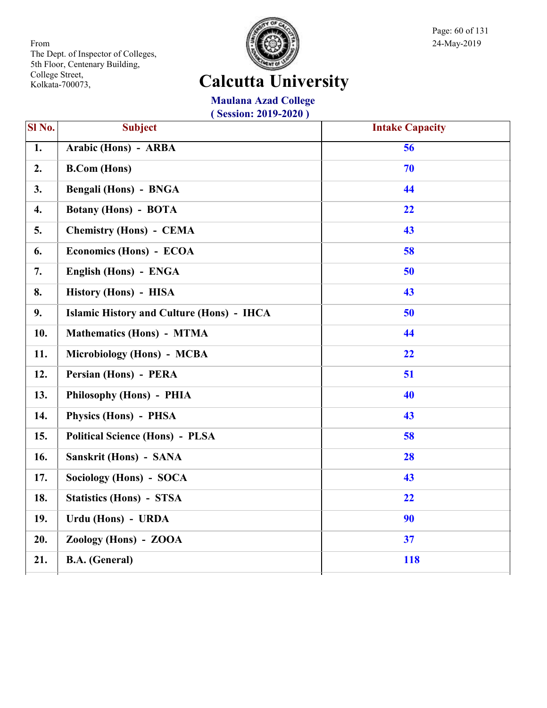

Page: 60 of 131

## **Calcutta University**

**Maulana Azad College ( Session: 2019-2020 )**

| SI No.           | <b>Subject</b>                                   | <b>Intake Capacity</b> |
|------------------|--------------------------------------------------|------------------------|
| $\overline{1}$ . | Arabic (Hons) - ARBA                             | $\overline{56}$        |
| 2.               | <b>B.Com</b> (Hons)                              | 70                     |
| 3.               | Bengali (Hons) - BNGA                            | 44                     |
| 4.               | <b>Botany (Hons) - BOTA</b>                      | 22                     |
| 5.               | <b>Chemistry (Hons) - CEMA</b>                   | 43                     |
| 6.               | Economics (Hons) - ECOA                          | 58                     |
| 7.               | English (Hons) - ENGA                            | 50                     |
| 8.               | History (Hons) - HISA                            | 43                     |
| 9.               | <b>Islamic History and Culture (Hons) - IHCA</b> | 50                     |
| 10.              | <b>Mathematics (Hons) - MTMA</b>                 | 44                     |
| 11.              | Microbiology (Hons) - MCBA                       | 22                     |
| 12.              | Persian (Hons) - PERA                            | 51                     |
| 13.              | Philosophy (Hons) - PHIA                         | 40                     |
| 14.              | Physics (Hons) - PHSA                            | 43                     |
| 15.              | <b>Political Science (Hons) - PLSA</b>           | 58                     |
| 16.              | Sanskrit (Hons) - SANA                           | 28                     |
| 17.              | Sociology (Hons) - SOCA                          | 43                     |
| 18.              | <b>Statistics (Hons) - STSA</b>                  | 22                     |
| 19.              | Urdu (Hons) - URDA                               | 90                     |
| 20.              | Zoology (Hons) - ZOOA                            | 37                     |
| 21.              | <b>B.A.</b> (General)                            | <b>118</b>             |
|                  |                                                  |                        |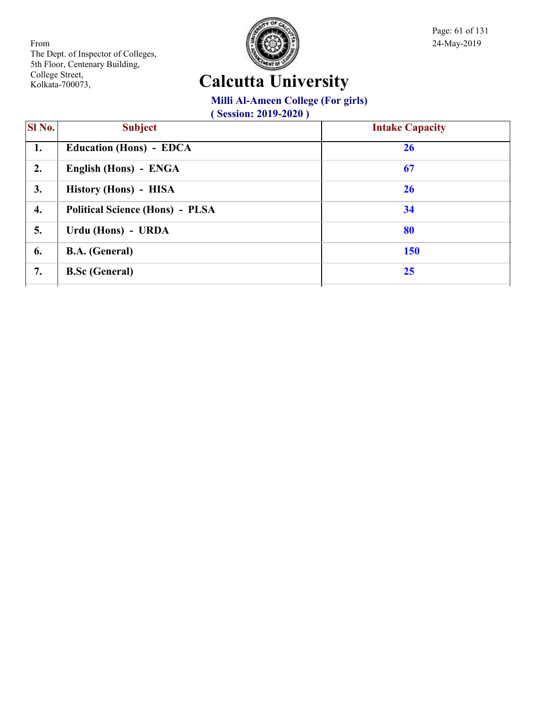

Page: 61 of 131

## **Calcutta University**

**Milli Al-Ameen College (For girls)**

| <b>SI</b> No. | <b>Subject</b>                         | <b>Intake Capacity</b> |
|---------------|----------------------------------------|------------------------|
| 1.            | <b>Education (Hons) - EDCA</b>         | 26                     |
| 2.            | English (Hons) - ENGA                  | 67                     |
| 3.            | History (Hons) - HISA                  | 26                     |
| 4.            | <b>Political Science (Hons) - PLSA</b> | 34                     |
| 5.            | Urdu (Hons) - URDA                     | 80                     |
| 6.            | <b>B.A.</b> (General)                  | 150                    |
| 7.            | <b>B.Sc (General)</b>                  | 25                     |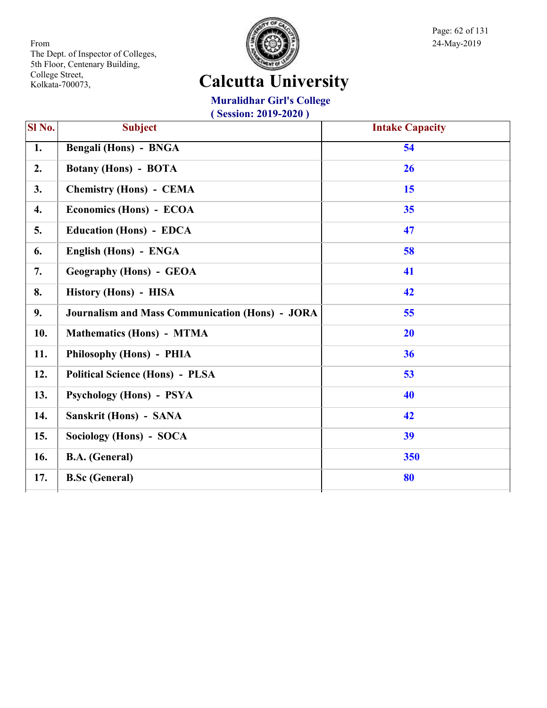

Page: 62 of 131

## **Calcutta University**

### **Muralidhar Girl's College**

| SI No.           | <b>Subject</b>                                         | <b>Intake Capacity</b> |
|------------------|--------------------------------------------------------|------------------------|
| 1.               | Bengali (Hons) - BNGA                                  | 54                     |
| 2.               | <b>Botany (Hons) - BOTA</b>                            | 26                     |
| 3.               | <b>Chemistry (Hons) - CEMA</b>                         | 15                     |
| $\overline{4}$ . | Economics (Hons) - ECOA                                | 35                     |
| 5.               | <b>Education (Hons) - EDCA</b>                         | 47                     |
| 6.               | English (Hons) - ENGA                                  | 58                     |
| 7.               | <b>Geography (Hons) - GEOA</b>                         | 41                     |
| 8.               | History (Hons) - HISA                                  | 42                     |
| 9.               | <b>Journalism and Mass Communication (Hons) - JORA</b> | 55                     |
| 10.              | <b>Mathematics (Hons) - MTMA</b>                       | 20                     |
| 11.              | Philosophy (Hons) - PHIA                               | 36                     |
| 12.              | <b>Political Science (Hons) - PLSA</b>                 | 53                     |
| 13.              | <b>Psychology (Hons) - PSYA</b>                        | 40                     |
| 14.              | Sanskrit (Hons) - SANA                                 | 42                     |
| 15.              | Sociology (Hons) - SOCA                                | 39                     |
| 16.              | <b>B.A.</b> (General)                                  | 350                    |
| 17.              | <b>B.Sc</b> (General)                                  | 80                     |
|                  |                                                        |                        |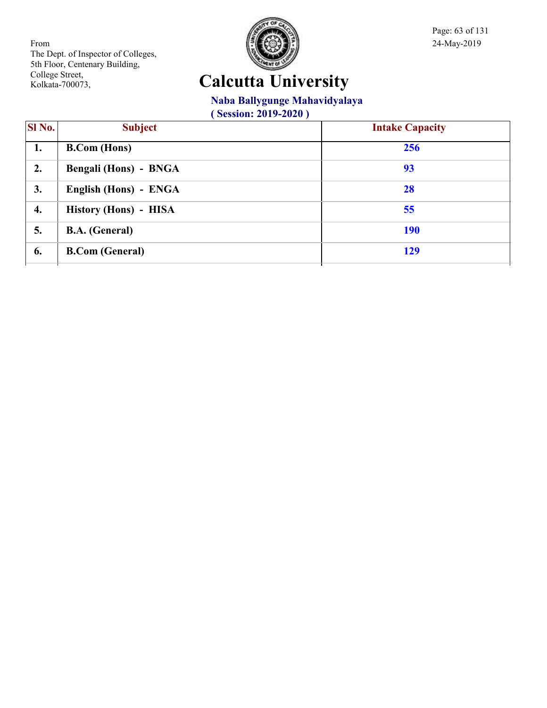

Page: 63 of 131

## **Calcutta University**

### **Naba Ballygunge Mahavidyalaya**

| <b>SI</b> No. | <b>Subject</b>               | <b>Intake Capacity</b> |
|---------------|------------------------------|------------------------|
| 1.            | <b>B.Com</b> (Hons)          | 256                    |
| 2.            | <b>Bengali (Hons) - BNGA</b> | 93                     |
| 3.            | English (Hons) - ENGA        | 28                     |
| 4.            | History (Hons) - HISA        | 55                     |
| 5.            | <b>B.A.</b> (General)        | <b>190</b>             |
| 6.            | <b>B.Com (General)</b>       | 129                    |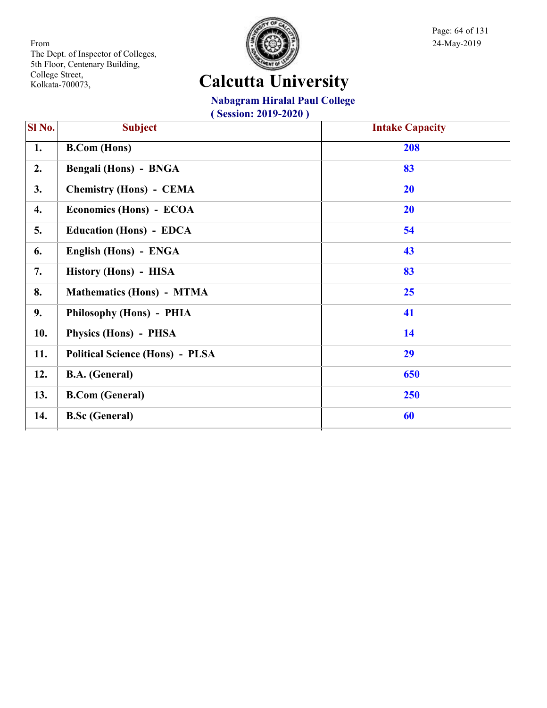

Page: 64 of 131

## **Calcutta University**

**Nabagram Hiralal Paul College**

| SI No. | <b>Subject</b>                         | <b>Intake Capacity</b> |
|--------|----------------------------------------|------------------------|
| 1.     | <b>B.Com</b> (Hons)                    | 208                    |
| 2.     | <b>Bengali (Hons) - BNGA</b>           | 83                     |
| 3.     | <b>Chemistry (Hons) - CEMA</b>         | <b>20</b>              |
| 4.     | Economics (Hons) - ECOA                | 20                     |
| 5.     | <b>Education (Hons) - EDCA</b>         | 54                     |
| 6.     | English (Hons) - ENGA                  | 43                     |
| 7.     | History (Hons) - HISA                  | 83                     |
| 8.     | <b>Mathematics (Hons) - MTMA</b>       | 25                     |
| 9.     | Philosophy (Hons) - PHIA               | 41                     |
| 10.    | Physics (Hons) - PHSA                  | 14                     |
| 11.    | <b>Political Science (Hons) - PLSA</b> | 29                     |
| 12.    | <b>B.A.</b> (General)                  | 650                    |
| 13.    | <b>B.Com</b> (General)                 | 250                    |
| 14.    | <b>B.Sc (General)</b>                  | 60                     |
|        |                                        |                        |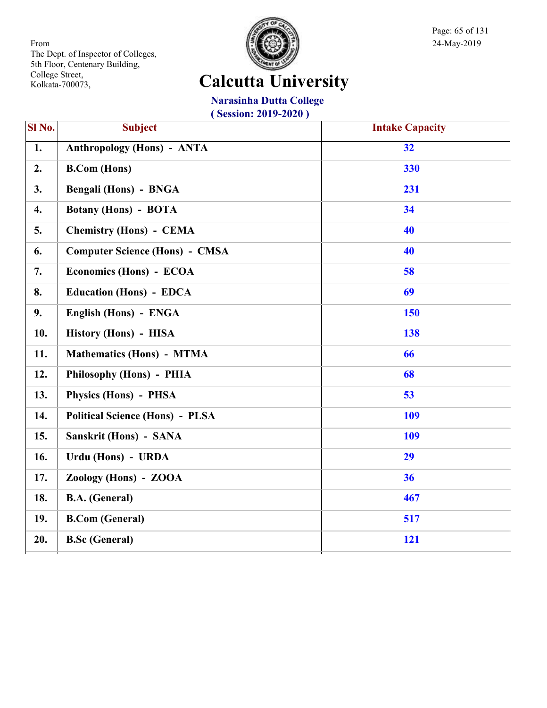

Page: 65 of 131

## **Calcutta University**

### **Narasinha Dutta College**

| SI No.           | <b>Subject</b>                         | <b>Intake Capacity</b> |
|------------------|----------------------------------------|------------------------|
| $\overline{1}$ . | <b>Anthropology (Hons) - ANTA</b>      | $\overline{32}$        |
| 2.               | <b>B.Com</b> (Hons)                    | 330                    |
| 3.               | Bengali (Hons) - BNGA                  | 231                    |
| 4.               | <b>Botany (Hons) - BOTA</b>            | 34                     |
| 5.               | <b>Chemistry (Hons) - CEMA</b>         | 40                     |
| 6.               | <b>Computer Science (Hons) - CMSA</b>  | 40                     |
| 7.               | Economics (Hons) - ECOA                | 58                     |
| 8.               | <b>Education (Hons) - EDCA</b>         | 69                     |
| 9.               | English (Hons) - ENGA                  | 150                    |
| 10.              | History (Hons) - HISA                  | 138                    |
| 11.              | <b>Mathematics (Hons) - MTMA</b>       | 66                     |
| 12.              | Philosophy (Hons) - PHIA               | 68                     |
| 13.              | <b>Physics (Hons) - PHSA</b>           | 53                     |
| 14.              | <b>Political Science (Hons) - PLSA</b> | 109                    |
| 15.              | Sanskrit (Hons) - SANA                 | 109                    |
| 16.              | Urdu (Hons) - URDA                     | 29                     |
| 17.              | Zoology (Hons) - ZOOA                  | 36                     |
| 18.              | <b>B.A.</b> (General)                  | 467                    |
| 19.              | <b>B.Com (General)</b>                 | 517                    |
| 20.              | <b>B.Sc</b> (General)                  | 121                    |
|                  |                                        |                        |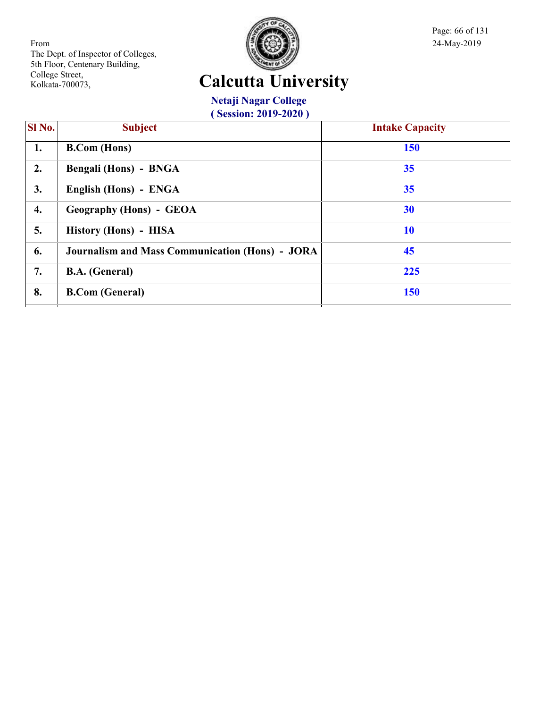

Page: 66 of 131

## **Calcutta University**

**Netaji Nagar College ( Session: 2019-2020 )**

| $\overline{\textbf{SI}}$ No. | <b>Subject</b>                                         | <b>Intake Capacity</b> |
|------------------------------|--------------------------------------------------------|------------------------|
| 1.                           | <b>B.Com</b> (Hons)                                    | <b>150</b>             |
| 2.                           | Bengali (Hons) - BNGA                                  | 35                     |
| 3.                           | English (Hons) - ENGA                                  | 35                     |
| 4.                           | <b>Geography (Hons) - GEOA</b>                         | 30                     |
| 5.                           | History (Hons) - HISA                                  | <b>10</b>              |
| 6.                           | <b>Journalism and Mass Communication (Hons) - JORA</b> | 45                     |
| 7.                           | <b>B.A.</b> (General)                                  | 225                    |
| 8.                           | <b>B.Com (General)</b>                                 | <b>150</b>             |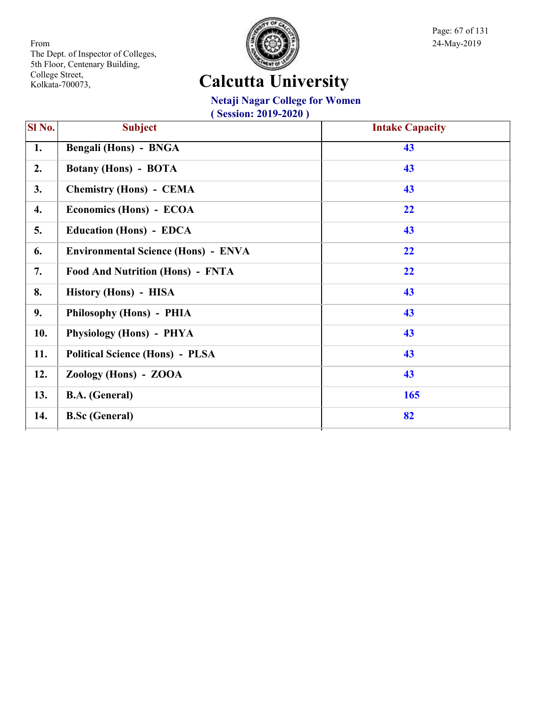

Page: 67 of 131

## **Calcutta University**

### **Netaji Nagar College for Women**

| SI No. | <b>Subject</b>                             | <b>Intake Capacity</b> |
|--------|--------------------------------------------|------------------------|
| 1.     | Bengali (Hons) - BNGA                      | 43                     |
| 2.     | <b>Botany (Hons) - BOTA</b>                | 43                     |
| 3.     | <b>Chemistry (Hons) - CEMA</b>             | 43                     |
| 4.     | Economics (Hons) - ECOA                    | 22                     |
| 5.     | <b>Education (Hons) - EDCA</b>             | 43                     |
| 6.     | <b>Environmental Science (Hons) - ENVA</b> | 22                     |
| 7.     | <b>Food And Nutrition (Hons) - FNTA</b>    | 22                     |
| 8.     | History (Hons) - HISA                      | 43                     |
| 9.     | Philosophy (Hons) - PHIA                   | 43                     |
| 10.    | Physiology (Hons) - PHYA                   | 43                     |
| 11.    | <b>Political Science (Hons) - PLSA</b>     | 43                     |
| 12.    | Zoology (Hons) - ZOOA                      | 43                     |
| 13.    | <b>B.A.</b> (General)                      | 165                    |
| 14.    | <b>B.Sc (General)</b>                      | 82                     |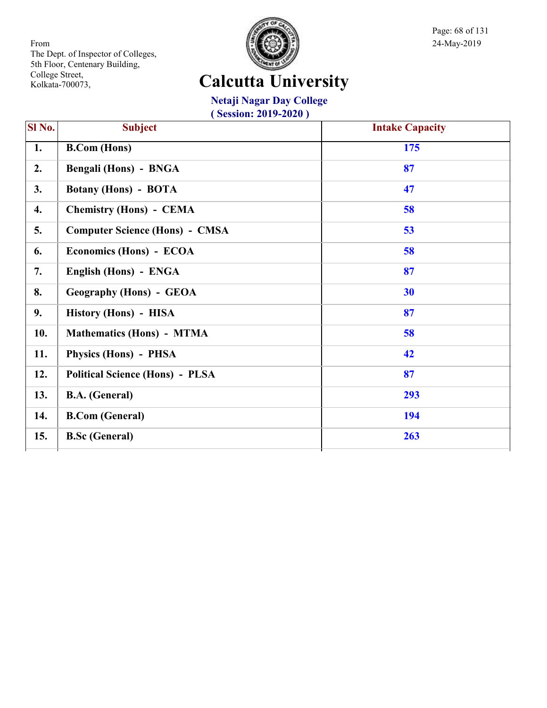

Page: 68 of 131

## **Calcutta University**

**Netaji Nagar Day College ( Session: 2019-2020 )**

| SI No. | <b>Subject</b>                         | <b>Intake Capacity</b> |
|--------|----------------------------------------|------------------------|
| 1.     | <b>B.Com</b> (Hons)                    | 175                    |
| 2.     | <b>Bengali (Hons) - BNGA</b>           | 87                     |
| 3.     | <b>Botany (Hons) - BOTA</b>            | 47                     |
| 4.     | <b>Chemistry (Hons) - CEMA</b>         | 58                     |
| 5.     | <b>Computer Science (Hons) - CMSA</b>  | 53                     |
| 6.     | Economics (Hons) - ECOA                | 58                     |
| 7.     | English (Hons) - ENGA                  | 87                     |
| 8.     | <b>Geography (Hons) - GEOA</b>         | 30                     |
| 9.     | History (Hons) - HISA                  | 87                     |
| 10.    | <b>Mathematics (Hons) - MTMA</b>       | 58                     |
| 11.    | Physics (Hons) - PHSA                  | 42                     |
| 12.    | <b>Political Science (Hons) - PLSA</b> | 87                     |
| 13.    | <b>B.A.</b> (General)                  | 293                    |
| 14.    | <b>B.Com (General)</b>                 | 194                    |
| 15.    | <b>B.Sc (General)</b>                  | 263                    |
|        |                                        |                        |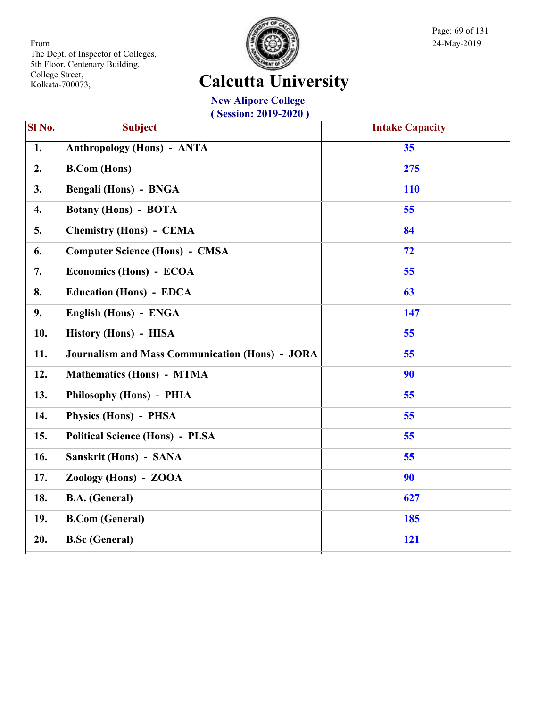

Page: 69 of 131

## **Calcutta University**

**New Alipore College ( Session: 2019-2020 )**

| SI <sub>No.</sub> | <b>Subject</b>                                         | <b>Intake Capacity</b> |
|-------------------|--------------------------------------------------------|------------------------|
| $\overline{1}$ .  | <b>Anthropology (Hons) - ANTA</b>                      | 35                     |
| 2.                | <b>B.Com (Hons)</b>                                    | 275                    |
| 3.                | <b>Bengali (Hons) - BNGA</b>                           | <b>110</b>             |
| 4.                | <b>Botany (Hons) - BOTA</b>                            | 55                     |
| 5.                | <b>Chemistry (Hons) - CEMA</b>                         | 84                     |
| 6.                | <b>Computer Science (Hons) - CMSA</b>                  | 72                     |
| 7.                | Economics (Hons) - ECOA                                | 55                     |
| 8.                | <b>Education (Hons) - EDCA</b>                         | 63                     |
| 9.                | English (Hons) - ENGA                                  | 147                    |
| 10.               | History (Hons) - HISA                                  | 55                     |
| 11.               | <b>Journalism and Mass Communication (Hons) - JORA</b> | 55                     |
| 12.               | <b>Mathematics (Hons) - MTMA</b>                       | 90                     |
| 13.               | Philosophy (Hons) - PHIA                               | 55                     |
| 14.               | <b>Physics (Hons) - PHSA</b>                           | 55                     |
| 15.               | <b>Political Science (Hons) - PLSA</b>                 | 55                     |
| 16.               | Sanskrit (Hons) - SANA                                 | 55                     |
| 17.               | Zoology (Hons) - ZOOA                                  | 90                     |
| 18.               | <b>B.A.</b> (General)                                  | 627                    |
| 19.               | <b>B.Com (General)</b>                                 | 185                    |
| 20.               | <b>B.Sc</b> (General)                                  | 121                    |
|                   |                                                        |                        |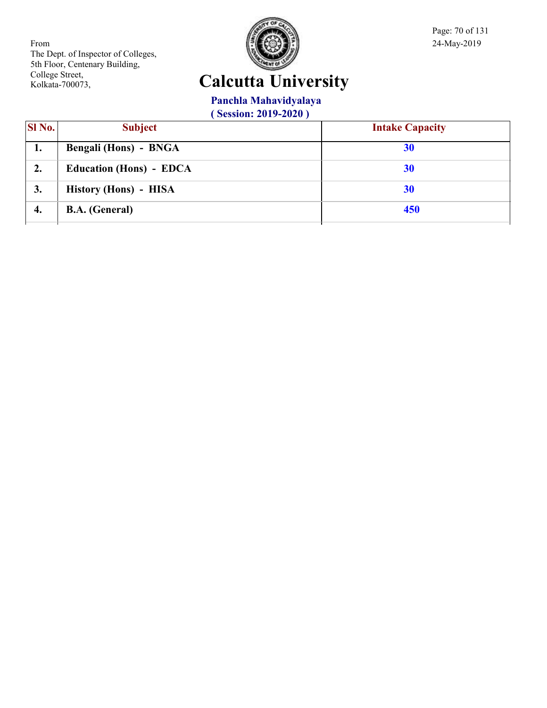

Page: 70 of 131

## **Calcutta University**

**Panchla Mahavidyalaya**

| <b>SI</b> No. | <b>Subject</b>                 | <b>Intake Capacity</b> |
|---------------|--------------------------------|------------------------|
| ı.            | <b>Bengali (Hons) - BNGA</b>   | 30                     |
| 2.            | <b>Education (Hons) - EDCA</b> | 30                     |
| 3.            | History (Hons) - HISA          | 30                     |
| 4.            | <b>B.A.</b> (General)          | 450                    |
|               |                                |                        |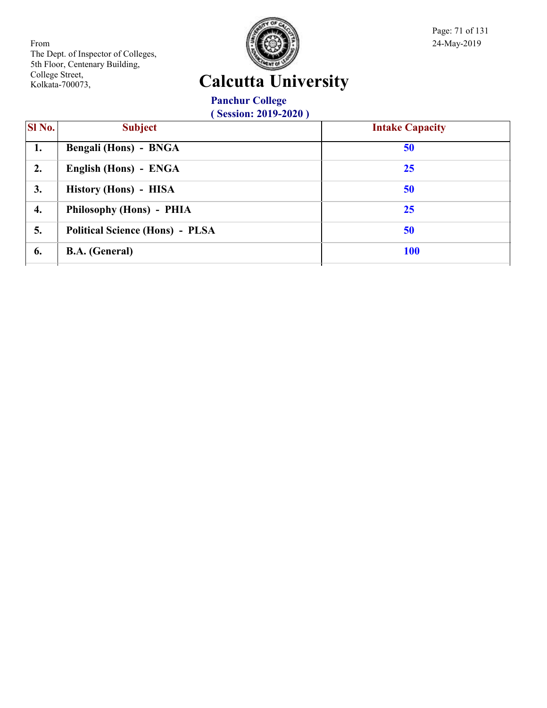

Page: 71 of 131

# **Calcutta University**

**Panchur College ( Session: 2019-2020 )**

| SI No. | <b>Subject</b>                         | <b>Intake Capacity</b> |
|--------|----------------------------------------|------------------------|
| 1.     | Bengali (Hons) - BNGA                  | 50                     |
| 2.     | English (Hons) - ENGA                  | 25                     |
| 3.     | History (Hons) - HISA                  | 50                     |
| 4.     | Philosophy (Hons) - PHIA               | 25                     |
| 5.     | <b>Political Science (Hons) - PLSA</b> | 50                     |
| 6.     | <b>B.A.</b> (General)                  | <b>100</b>             |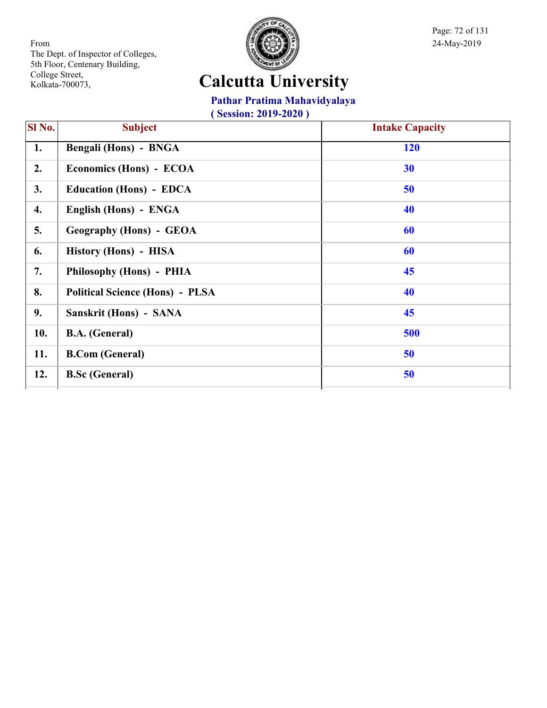

Page: 72 of 131

# **Calcutta University**

**Pathar Pratima Mahavidyalaya**

| SI No. | <b>Subject</b>                         | <b>Intake Capacity</b> |
|--------|----------------------------------------|------------------------|
| 1.     | Bengali (Hons) - BNGA                  | <b>120</b>             |
| 2.     | Economics (Hons) - ECOA                | 30                     |
| 3.     | <b>Education (Hons) - EDCA</b>         | 50                     |
| 4.     | English (Hons) - ENGA                  | 40                     |
| 5.     | <b>Geography (Hons) - GEOA</b>         | 60                     |
| 6.     | History (Hons) - HISA                  | 60                     |
| 7.     | Philosophy (Hons) - PHIA               | 45                     |
| 8.     | <b>Political Science (Hons) - PLSA</b> | 40                     |
| 9.     | Sanskrit (Hons) - SANA                 | 45                     |
| 10.    | <b>B.A.</b> (General)                  | 500                    |
| 11.    | <b>B.Com</b> (General)                 | 50                     |
| 12.    | <b>B.Sc (General)</b>                  | 50                     |
|        |                                        |                        |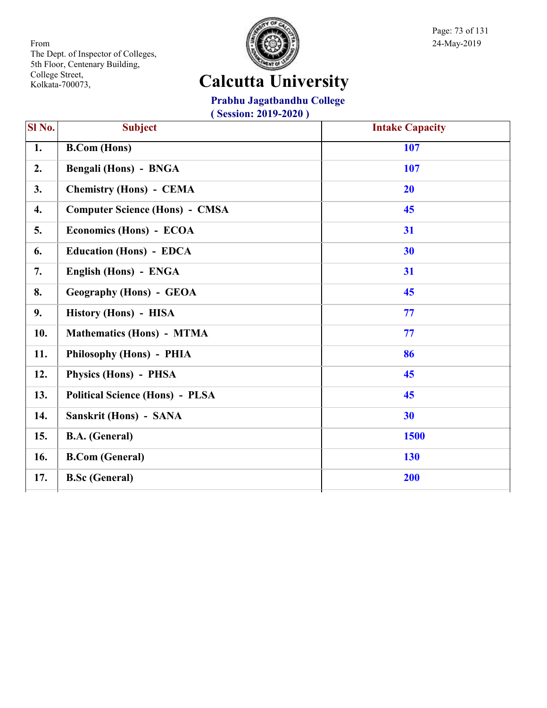

Page: 73 of 131

# **Calcutta University**

**Prabhu Jagatbandhu College**

| Sl No. | <b>Subject</b>                         | <b>Intake Capacity</b> |
|--------|----------------------------------------|------------------------|
| 1.     | <b>B.Com</b> (Hons)                    | 107                    |
| 2.     | Bengali (Hons) - BNGA                  | 107                    |
| 3.     | <b>Chemistry (Hons) - CEMA</b>         | 20                     |
| 4.     | <b>Computer Science (Hons) - CMSA</b>  | 45                     |
| 5.     | Economics (Hons) - ECOA                | 31                     |
| 6.     | <b>Education (Hons) - EDCA</b>         | 30                     |
| 7.     | English (Hons) - ENGA                  | 31                     |
| 8.     | <b>Geography (Hons) - GEOA</b>         | 45                     |
| 9.     | History (Hons) - HISA                  | 77                     |
| 10.    | <b>Mathematics (Hons) - MTMA</b>       | 77                     |
| 11.    | Philosophy (Hons) - PHIA               | 86                     |
| 12.    | Physics (Hons) - PHSA                  | 45                     |
| 13.    | <b>Political Science (Hons) - PLSA</b> | 45                     |
| 14.    | Sanskrit (Hons) - SANA                 | 30                     |
| 15.    | <b>B.A.</b> (General)                  | 1500                   |
| 16.    | <b>B.Com (General)</b>                 | 130                    |
| 17.    | <b>B.Sc (General)</b>                  | 200                    |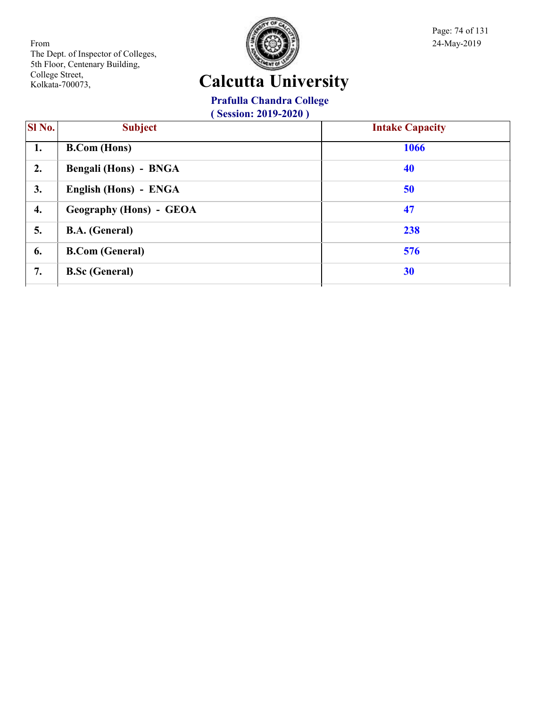

Page: 74 of 131

# **Calcutta University**

#### **Prafulla Chandra College**

| SI No. | <b>Subject</b>                 | <b>Intake Capacity</b> |
|--------|--------------------------------|------------------------|
| 1.     | <b>B.Com</b> (Hons)            | 1066                   |
| 2.     | Bengali (Hons) - BNGA          | 40                     |
| 3.     | English (Hons) - ENGA          | 50                     |
| 4.     | <b>Geography (Hons) - GEOA</b> | 47                     |
| 5.     | <b>B.A.</b> (General)          | 238                    |
| 6.     | <b>B.Com</b> (General)         | 576                    |
| 7.     | <b>B.Sc (General)</b>          | 30                     |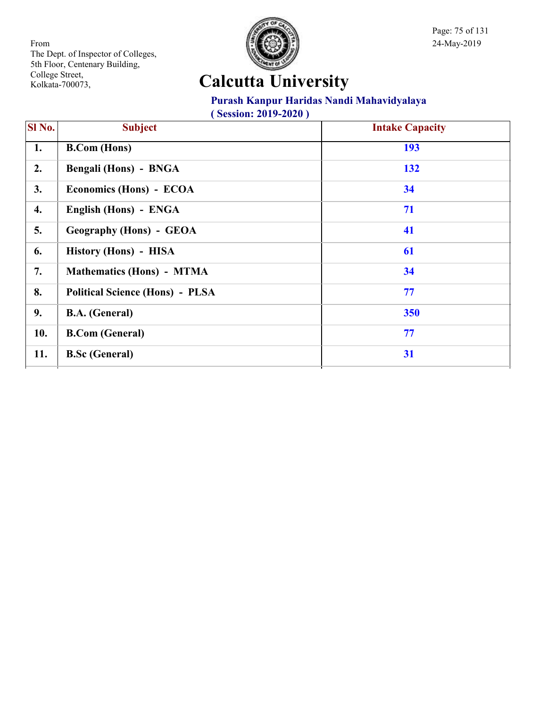

Page: 75 of 131

# **Calcutta University**

#### **Purash Kanpur Haridas Nandi Mahavidyalaya**

| <b>SI</b> No. | <b>Subject</b>                         | <b>Intake Capacity</b> |
|---------------|----------------------------------------|------------------------|
| 1.            | <b>B.Com</b> (Hons)                    | 193                    |
| 2.            | Bengali (Hons) - BNGA                  | 132                    |
| 3.            | Economics (Hons) - ECOA                | 34                     |
| 4.            | English (Hons) - ENGA                  | 71                     |
| 5.            | <b>Geography (Hons) - GEOA</b>         | 41                     |
| 6.            | History (Hons) - HISA                  | 61                     |
| 7.            | <b>Mathematics (Hons) - MTMA</b>       | 34                     |
| 8.            | <b>Political Science (Hons) - PLSA</b> | 77                     |
| 9.            | <b>B.A.</b> (General)                  | 350                    |
| 10.           | <b>B.Com (General)</b>                 | 77                     |
| 11.           | <b>B.Sc (General)</b>                  | 31                     |
|               |                                        |                        |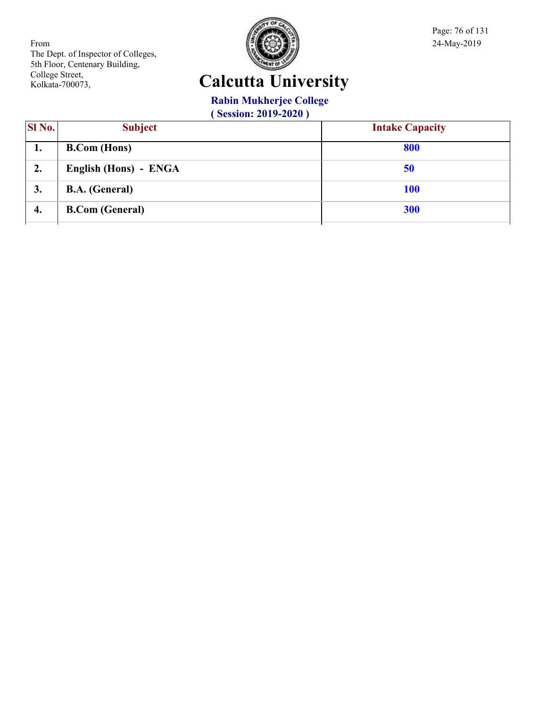

Page: 76 of 131

#### **Calcutta University**

#### **Rabin Mukherjee College**

| <b>SI</b> No. | <b>Subject</b>         | <b>Intake Capacity</b> |
|---------------|------------------------|------------------------|
| ı.            | <b>B.Com</b> (Hons)    | 800                    |
| 2.            | English (Hons) - ENGA  | 50                     |
| 3.            | <b>B.A.</b> (General)  | <b>100</b>             |
| 4.            | <b>B.Com (General)</b> | 300                    |
|               |                        |                        |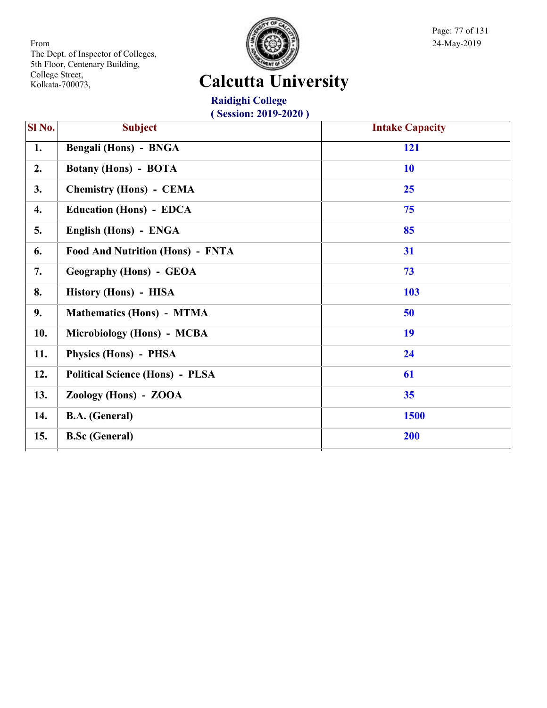

Page: 77 of 131

# **Calcutta University**

**Raidighi College ( Session: 2019-2020 )**

| $\overline{SI}$ No. | <b>Subject</b>                          | <b>Intake Capacity</b> |
|---------------------|-----------------------------------------|------------------------|
| 1.                  | Bengali (Hons) - BNGA                   | 121                    |
| 2.                  | <b>Botany (Hons) - BOTA</b>             | 10                     |
| 3.                  | <b>Chemistry (Hons) - CEMA</b>          | 25                     |
| 4.                  | <b>Education (Hons) - EDCA</b>          | 75                     |
| 5.                  | English (Hons) - ENGA                   | 85                     |
| 6.                  | <b>Food And Nutrition (Hons) - FNTA</b> | 31                     |
| 7.                  | <b>Geography (Hons) - GEOA</b>          | 73                     |
| 8.                  | History (Hons) - HISA                   | 103                    |
| 9.                  | <b>Mathematics (Hons) - MTMA</b>        | 50                     |
| 10.                 | Microbiology (Hons) - MCBA              | 19                     |
| 11.                 | Physics (Hons) - PHSA                   | 24                     |
| 12.                 | <b>Political Science (Hons) - PLSA</b>  | 61                     |
| 13.                 | Zoology (Hons) - ZOOA                   | 35                     |
| 14.                 | <b>B.A.</b> (General)                   | 1500                   |
| 15.                 | <b>B.Sc</b> (General)                   | 200                    |
|                     |                                         |                        |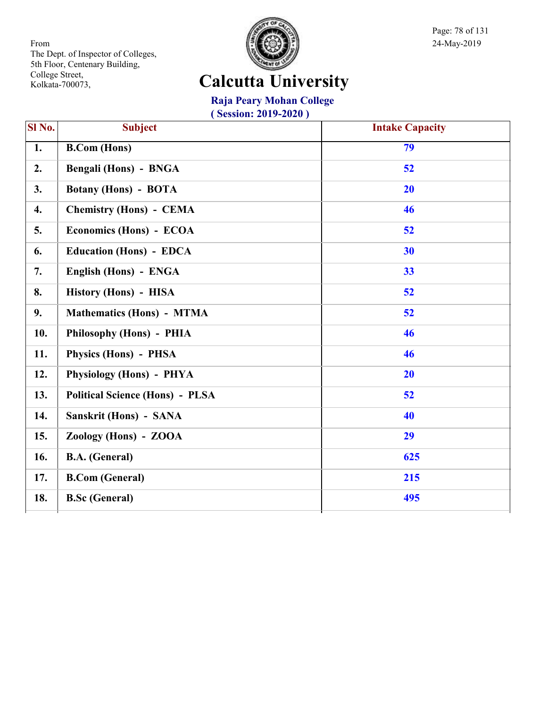

Page: 78 of 131

# **Calcutta University**

#### **Raja Peary Mohan College**

| SI No.          | <b>Subject</b>                         | <b>Intake Capacity</b> |
|-----------------|----------------------------------------|------------------------|
| $\overline{1.}$ | <b>B.Com (Hons)</b>                    | 79                     |
| 2.              | <b>Bengali (Hons) - BNGA</b>           | 52                     |
| 3.              | <b>Botany (Hons) - BOTA</b>            | 20                     |
| 4.              | <b>Chemistry (Hons) - CEMA</b>         | 46                     |
| 5.              | Economics (Hons) - ECOA                | 52                     |
| 6.              | <b>Education (Hons) - EDCA</b>         | 30                     |
| 7.              | English (Hons) - ENGA                  | 33                     |
| 8.              | History (Hons) - HISA                  | 52                     |
| 9.              | <b>Mathematics (Hons) - MTMA</b>       | 52                     |
| 10.             | Philosophy (Hons) - PHIA               | 46                     |
| 11.             | Physics (Hons) - PHSA                  | 46                     |
| 12.             | Physiology (Hons) - PHYA               | 20                     |
| 13.             | <b>Political Science (Hons) - PLSA</b> | 52                     |
| 14.             | Sanskrit (Hons) - SANA                 | 40                     |
| 15.             | Zoology (Hons) - ZOOA                  | 29                     |
| 16.             | <b>B.A.</b> (General)                  | 625                    |
| 17.             | <b>B.Com (General)</b>                 | 215                    |
| 18.             | <b>B.Sc (General)</b>                  | 495                    |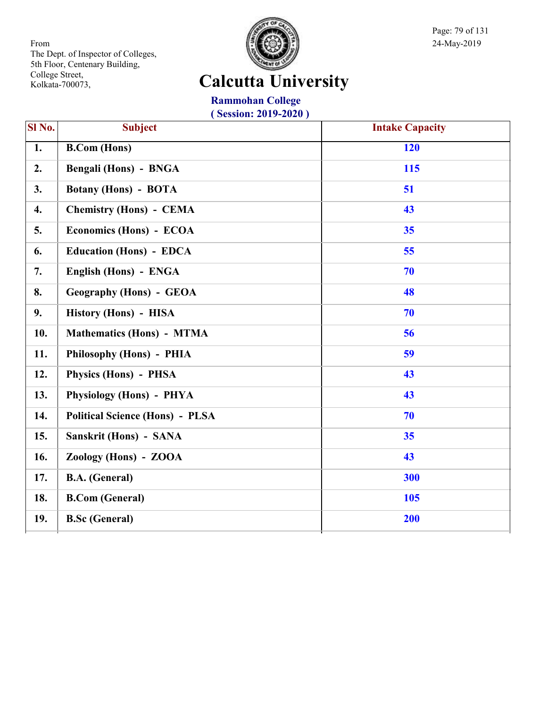

Page: 79 of 131

# **Calcutta University**

**Rammohan College ( Session: 2019-2020 )**

| $\overline{\text{SI No.}}$ | <b>Subject</b>                         | <b>Intake Capacity</b> |
|----------------------------|----------------------------------------|------------------------|
| 1.                         | <b>B.Com (Hons)</b>                    | 120                    |
| 2.                         | <b>Bengali (Hons) - BNGA</b>           | 115                    |
| 3.                         | <b>Botany (Hons) - BOTA</b>            | 51                     |
| 4.                         | <b>Chemistry (Hons) - CEMA</b>         | 43                     |
| 5.                         | Economics (Hons) - ECOA                | 35                     |
| 6.                         | <b>Education (Hons) - EDCA</b>         | 55                     |
| 7.                         | English (Hons) - ENGA                  | 70                     |
| 8.                         | <b>Geography (Hons) - GEOA</b>         | 48                     |
| 9.                         | History (Hons) - HISA                  | 70                     |
| 10.                        | <b>Mathematics (Hons) - MTMA</b>       | 56                     |
| 11.                        | Philosophy (Hons) - PHIA               | 59                     |
| 12.                        | Physics (Hons) - PHSA                  | 43                     |
| 13.                        | Physiology (Hons) - PHYA               | 43                     |
| 14.                        | <b>Political Science (Hons) - PLSA</b> | 70                     |
| 15.                        | Sanskrit (Hons) - SANA                 | 35                     |
| 16.                        | Zoology (Hons) - ZOOA                  | 43                     |
| 17.                        | <b>B.A.</b> (General)                  | 300                    |
| 18.                        | <b>B.Com (General)</b>                 | 105                    |
| 19.                        | <b>B.Sc (General)</b>                  | 200                    |
|                            |                                        |                        |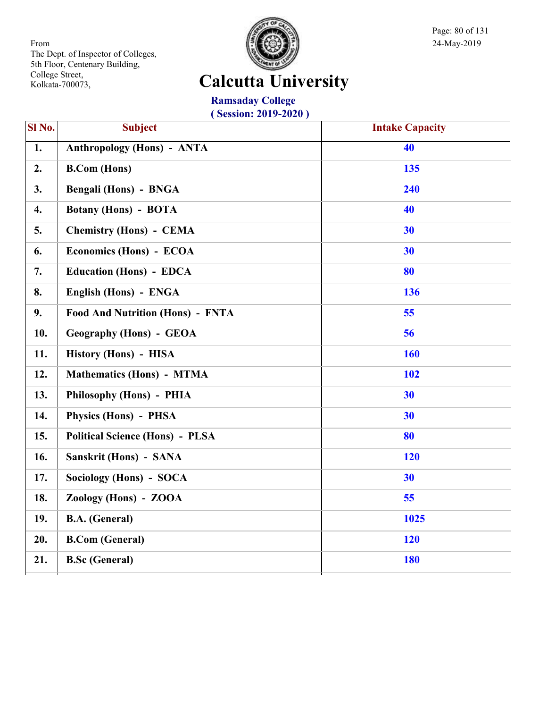

Page: 80 of 131

# **Calcutta University**

**Ramsaday College ( Session: 2019-2020 )**

| SI <sub>No.</sub> | <b>Subject</b>                          | <b>Intake Capacity</b> |
|-------------------|-----------------------------------------|------------------------|
| $\overline{1}$ .  | <b>Anthropology (Hons) - ANTA</b>       | 40                     |
| 2.                | <b>B.Com</b> (Hons)                     | 135                    |
| 3.                | Bengali (Hons) - BNGA                   | 240                    |
| 4.                | <b>Botany (Hons) - BOTA</b>             | 40                     |
| 5.                | <b>Chemistry (Hons) - CEMA</b>          | 30                     |
| 6.                | Economics (Hons) - ECOA                 | 30                     |
| 7.                | <b>Education (Hons) - EDCA</b>          | 80                     |
| 8.                | English (Hons) - ENGA                   | 136                    |
| 9.                | <b>Food And Nutrition (Hons) - FNTA</b> | 55                     |
| 10.               | <b>Geography (Hons) - GEOA</b>          | 56                     |
| 11.               | History (Hons) - HISA                   | 160                    |
| 12.               | <b>Mathematics (Hons) - MTMA</b>        | 102                    |
| 13.               | Philosophy (Hons) - PHIA                | 30                     |
| 14.               | <b>Physics (Hons) - PHSA</b>            | 30                     |
| 15.               | <b>Political Science (Hons) - PLSA</b>  | 80                     |
| 16.               | Sanskrit (Hons) - SANA                  | 120                    |
| 17.               | Sociology (Hons) - SOCA                 | 30                     |
| 18.               | Zoology (Hons) - ZOOA                   | 55                     |
| 19.               | <b>B.A.</b> (General)                   | 1025                   |
| 20.               | <b>B.Com (General)</b>                  | 120                    |
| 21.               | <b>B.Sc (General)</b>                   | <b>180</b>             |
|                   |                                         |                        |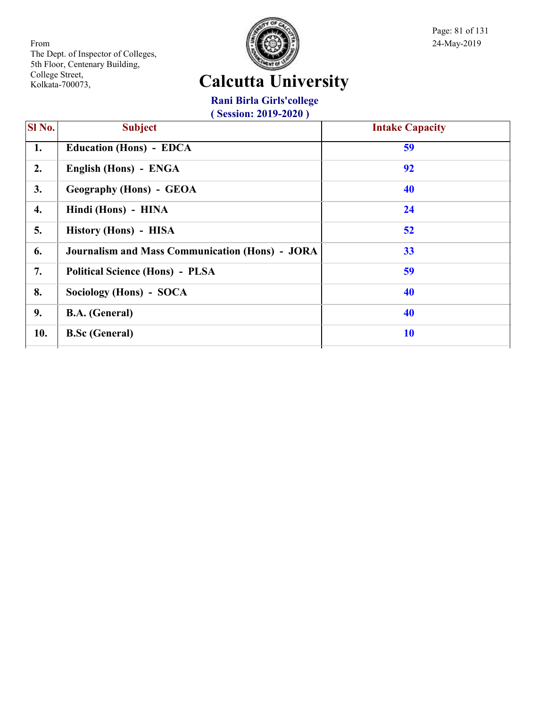

Page: 81 of 131

# **Calcutta University**

**Rani Birla Girls'college**

| <b>SI</b> No. | <b>Subject</b>                                         | <b>Intake Capacity</b> |
|---------------|--------------------------------------------------------|------------------------|
| 1.            | <b>Education (Hons) - EDCA</b>                         | 59                     |
| 2.            | English (Hons) - ENGA                                  | 92                     |
| 3.            | <b>Geography (Hons) - GEOA</b>                         | 40                     |
| 4.            | Hindi (Hons) - HINA                                    | 24                     |
| 5.            | History (Hons) - HISA                                  | 52                     |
| 6.            | <b>Journalism and Mass Communication (Hons) - JORA</b> | 33                     |
| 7.            | <b>Political Science (Hons) - PLSA</b>                 | 59                     |
| 8.            | Sociology (Hons) - SOCA                                | 40                     |
| 9.            | <b>B.A.</b> (General)                                  | 40                     |
| 10.           | <b>B.Sc (General)</b>                                  | 10                     |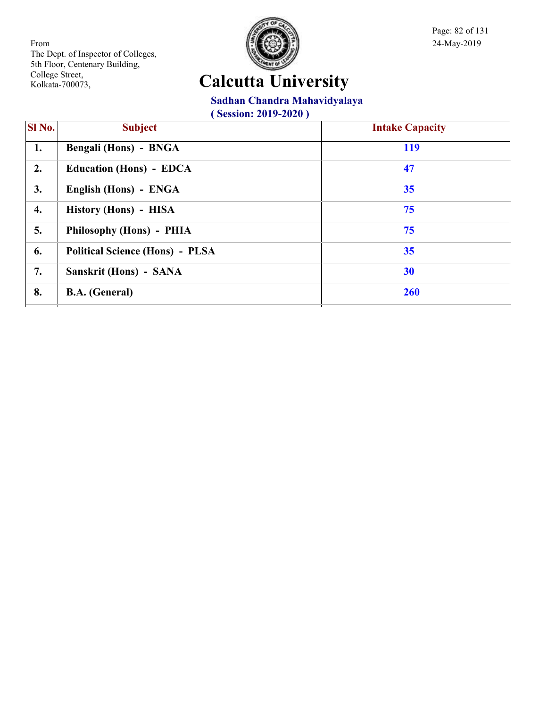

Page: 82 of 131

# **Calcutta University**

#### **Sadhan Chandra Mahavidyalaya**

| SI No. | <b>Subject</b>                         | <b>Intake Capacity</b> |
|--------|----------------------------------------|------------------------|
| 1.     | Bengali (Hons) - BNGA                  | <b>119</b>             |
| 2.     | <b>Education (Hons) - EDCA</b>         | 47                     |
| 3.     | English (Hons) - ENGA                  | 35                     |
| 4.     | History (Hons) - HISA                  | 75                     |
| 5.     | Philosophy (Hons) - PHIA               | 75                     |
| 6.     | <b>Political Science (Hons) - PLSA</b> | 35                     |
| 7.     | Sanskrit (Hons) - SANA                 | 30                     |
| 8.     | <b>B.A.</b> (General)                  | <b>260</b>             |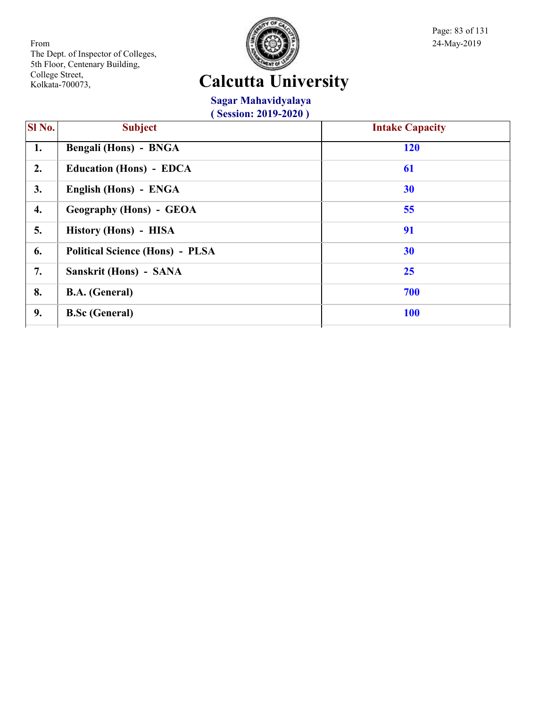

Page: 83 of 131

# **Calcutta University**

**Sagar Mahavidyalaya**

| SI No.<br><b>Subject</b>               | <b>Intake Capacity</b> |
|----------------------------------------|------------------------|
| <b>Bengali (Hons) - BNGA</b>           | <b>120</b>             |
| <b>Education (Hons) - EDCA</b>         | 61                     |
| English (Hons) - ENGA                  | 30                     |
| <b>Geography (Hons) - GEOA</b>         | 55                     |
| History (Hons) - HISA                  | 91                     |
| <b>Political Science (Hons) - PLSA</b> | 30                     |
| Sanskrit (Hons) - SANA                 | 25                     |
| <b>B.A.</b> (General)                  | 700                    |
| <b>B.Sc (General)</b>                  | <b>100</b>             |
|                                        |                        |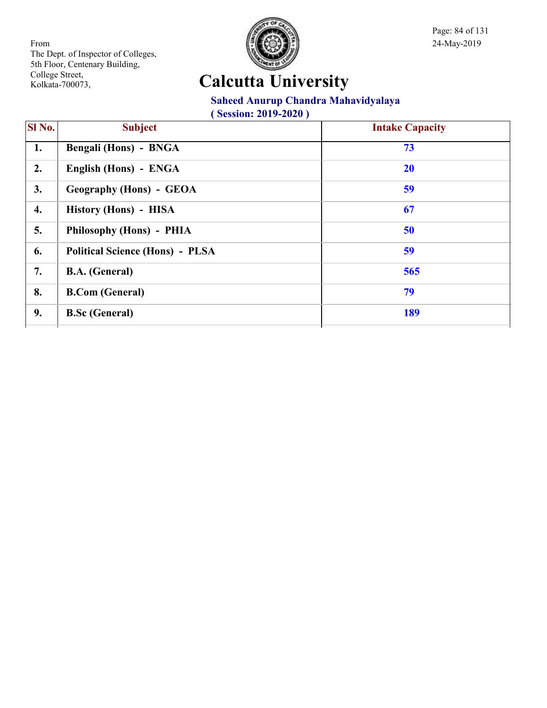

Page: 84 of 131

# **Calcutta University**

#### **Saheed Anurup Chandra Mahavidyalaya**

| <b>SI</b> No. | <b>Subject</b>                         | <b>Intake Capacity</b> |
|---------------|----------------------------------------|------------------------|
| 1.            | Bengali (Hons) - BNGA                  | 73                     |
| 2.            | English (Hons) - ENGA                  | <b>20</b>              |
| 3.            | <b>Geography (Hons) - GEOA</b>         | 59                     |
| 4.            | History (Hons) - HISA                  | 67                     |
| 5.            | Philosophy (Hons) - PHIA               | 50                     |
| 6.            | <b>Political Science (Hons) - PLSA</b> | 59                     |
| 7.            | <b>B.A.</b> (General)                  | 565                    |
| 8.            | <b>B.Com</b> (General)                 | 79                     |
| 9.            | <b>B.Sc (General)</b>                  | 189                    |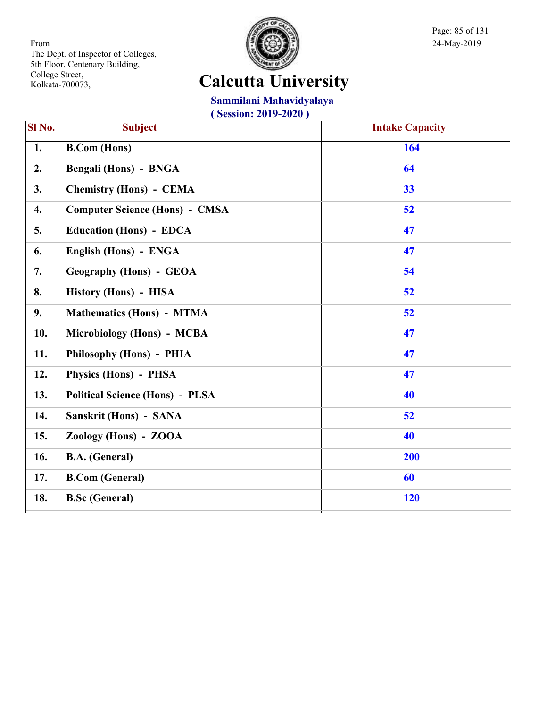

Page: 85 of 131

# **Calcutta University**

#### **Sammilani Mahavidyalaya**

| SI No.           | <b>Subject</b>                         | <b>Intake Capacity</b> |
|------------------|----------------------------------------|------------------------|
| $\overline{1}$ . | <b>B.Com (Hons)</b>                    | 164                    |
| 2.               | Bengali (Hons) - BNGA                  | 64                     |
| 3.               | <b>Chemistry (Hons) - CEMA</b>         | 33                     |
| $\overline{4}$ . | <b>Computer Science (Hons) - CMSA</b>  | 52                     |
| 5.               | <b>Education (Hons) - EDCA</b>         | 47                     |
| 6.               | English (Hons) - ENGA                  | 47                     |
| 7.               | <b>Geography (Hons) - GEOA</b>         | 54                     |
| 8.               | History (Hons) - HISA                  | 52                     |
| 9.               | <b>Mathematics (Hons) - MTMA</b>       | 52                     |
| 10.              | Microbiology (Hons) - MCBA             | 47                     |
| 11.              | Philosophy (Hons) - PHIA               | 47                     |
| 12.              | Physics (Hons) - PHSA                  | 47                     |
| 13.              | <b>Political Science (Hons) - PLSA</b> | 40                     |
| 14.              | Sanskrit (Hons) - SANA                 | 52                     |
| 15.              | Zoology (Hons) - ZOOA                  | 40                     |
| 16.              | <b>B.A.</b> (General)                  | 200                    |
| 17.              | <b>B.Com (General)</b>                 | 60                     |
| 18.              | <b>B.Sc (General)</b>                  | 120                    |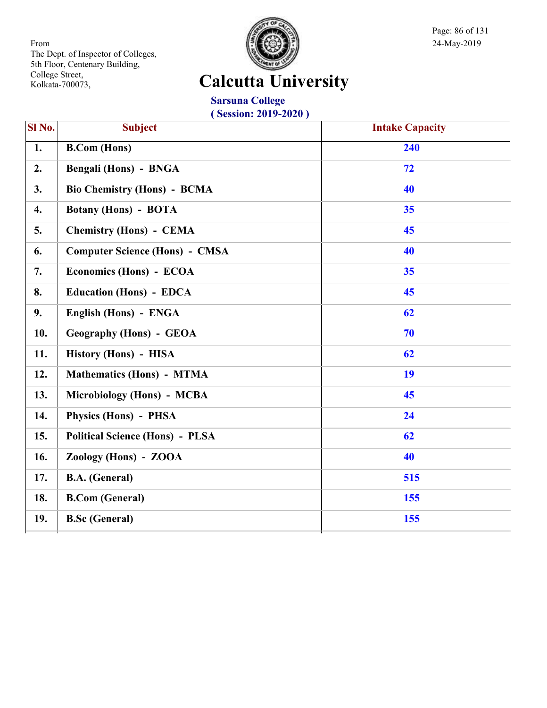

Page: 86 of 131

# **Calcutta University**

**Sarsuna College ( Session: 2019-2020 )**

| SI No. | <b>Subject</b>                         | <b>Intake Capacity</b> |
|--------|----------------------------------------|------------------------|
| 1.     | <b>B.Com (Hons)</b>                    | 240                    |
| 2.     | <b>Bengali (Hons) - BNGA</b>           | 72                     |
| 3.     | <b>Bio Chemistry (Hons) - BCMA</b>     | 40                     |
| 4.     | <b>Botany (Hons) - BOTA</b>            | 35                     |
| 5.     | <b>Chemistry (Hons) - CEMA</b>         | 45                     |
| 6.     | <b>Computer Science (Hons) - CMSA</b>  | 40                     |
| 7.     | Economics (Hons) - ECOA                | 35                     |
| 8.     | <b>Education (Hons) - EDCA</b>         | 45                     |
| 9.     | English (Hons) - ENGA                  | 62                     |
| 10.    | <b>Geography (Hons) - GEOA</b>         | 70                     |
| 11.    | History (Hons) - HISA                  | 62                     |
| 12.    | <b>Mathematics (Hons) - MTMA</b>       | 19                     |
| 13.    | Microbiology (Hons) - MCBA             | 45                     |
| 14.    | <b>Physics (Hons) - PHSA</b>           | 24                     |
| 15.    | <b>Political Science (Hons) - PLSA</b> | 62                     |
| 16.    | Zoology (Hons) - ZOOA                  | 40                     |
| 17.    | <b>B.A.</b> (General)                  | 515                    |
| 18.    | <b>B.Com (General)</b>                 | 155                    |
| 19.    | <b>B.Sc</b> (General)                  | 155                    |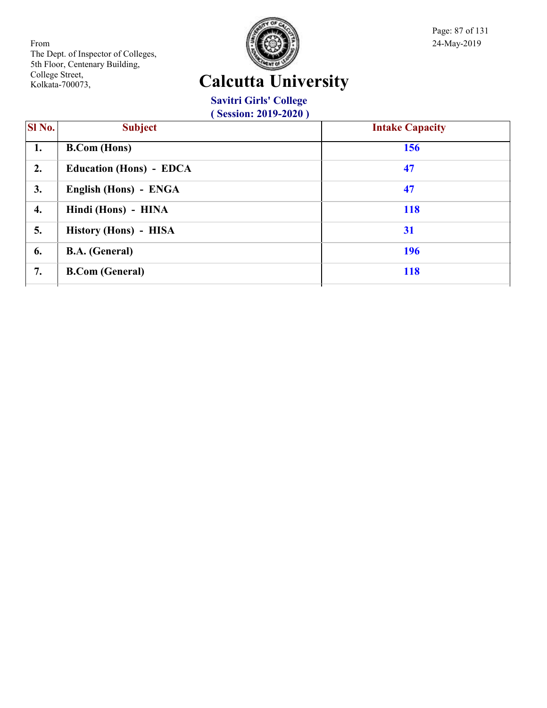

Page: 87 of 131

# **Calcutta University**

**Savitri Girls' College**

| Sl No. | <b>Subject</b>                 | <b>Intake Capacity</b> |
|--------|--------------------------------|------------------------|
| 1.     | <b>B.Com</b> (Hons)            | 156                    |
| 2.     | <b>Education (Hons) - EDCA</b> | 47                     |
| 3.     | English (Hons) - ENGA          | 47                     |
| 4.     | Hindi (Hons) - HINA            | <b>118</b>             |
| 5.     | History (Hons) - HISA          | 31                     |
| 6.     | <b>B.A.</b> (General)          | <b>196</b>             |
| 7.     | <b>B.Com (General)</b>         | <b>118</b>             |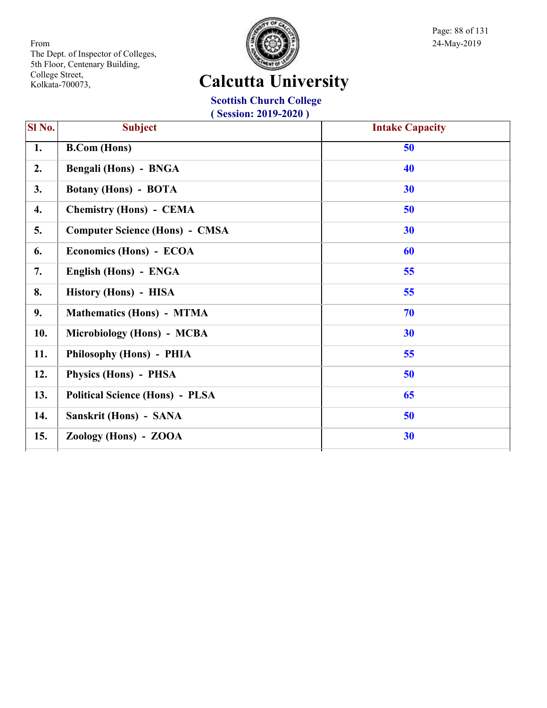

Page: 88 of 131

# **Calcutta University**

**Scottish Church College**

| Sl No. | <b>Subject</b>                         | <b>Intake Capacity</b> |
|--------|----------------------------------------|------------------------|
| 1.     | <b>B.Com</b> (Hons)                    | 50                     |
| 2.     | Bengali (Hons) - BNGA                  | 40                     |
| 3.     | <b>Botany (Hons) - BOTA</b>            | 30                     |
| 4.     | <b>Chemistry (Hons) - CEMA</b>         | 50                     |
| 5.     | <b>Computer Science (Hons) - CMSA</b>  | 30                     |
| 6.     | Economics (Hons) - ECOA                | 60                     |
| 7.     | English (Hons) - ENGA                  | 55                     |
| 8.     | History (Hons) - HISA                  | 55                     |
| 9.     | <b>Mathematics (Hons) - MTMA</b>       | 70                     |
| 10.    | Microbiology (Hons) - MCBA             | 30                     |
| 11.    | Philosophy (Hons) - PHIA               | 55                     |
| 12.    | Physics (Hons) - PHSA                  | 50                     |
| 13.    | <b>Political Science (Hons) - PLSA</b> | 65                     |
| 14.    | Sanskrit (Hons) - SANA                 | 50                     |
| 15.    | Zoology (Hons) - ZOOA                  | 30                     |
|        |                                        |                        |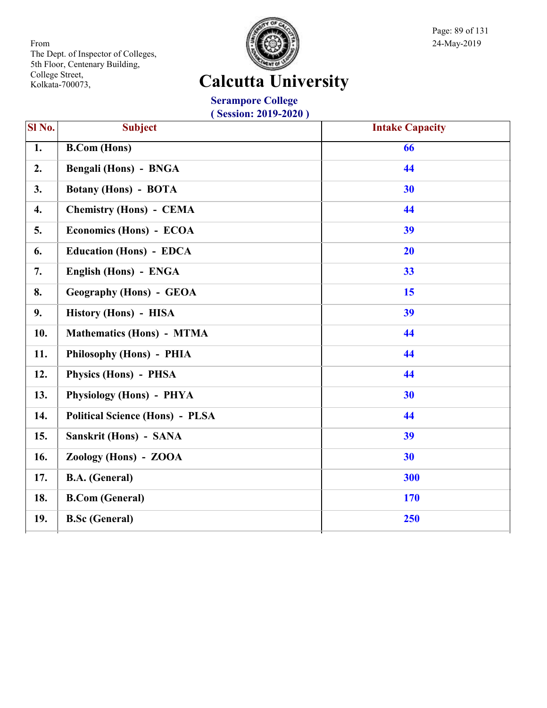

Page: 89 of 131

# **Calcutta University**

**Serampore College ( Session: 2019-2020 )**

| <b>Subject</b>                         | <b>Intake Capacity</b> |
|----------------------------------------|------------------------|
| <b>B.Com (Hons)</b>                    | 66                     |
| Bengali (Hons) - BNGA                  | 44                     |
| <b>Botany (Hons) - BOTA</b>            | 30                     |
| <b>Chemistry (Hons) - CEMA</b>         | 44                     |
| Economics (Hons) - ECOA                | 39                     |
| <b>Education (Hons) - EDCA</b>         | 20                     |
| English (Hons) - ENGA                  | 33                     |
| <b>Geography (Hons) - GEOA</b>         | 15                     |
| History (Hons) - HISA                  | 39                     |
| <b>Mathematics (Hons) - MTMA</b>       | 44                     |
| Philosophy (Hons) - PHIA               | 44                     |
| Physics (Hons) - PHSA                  | 44                     |
| Physiology (Hons) - PHYA               | 30                     |
| <b>Political Science (Hons) - PLSA</b> | 44                     |
| Sanskrit (Hons) - SANA                 | 39                     |
| Zoology (Hons) - ZOOA                  | 30                     |
| <b>B.A.</b> (General)                  | 300                    |
| <b>B.Com</b> (General)                 | 170                    |
| <b>B.Sc (General)</b>                  | 250                    |
|                                        |                        |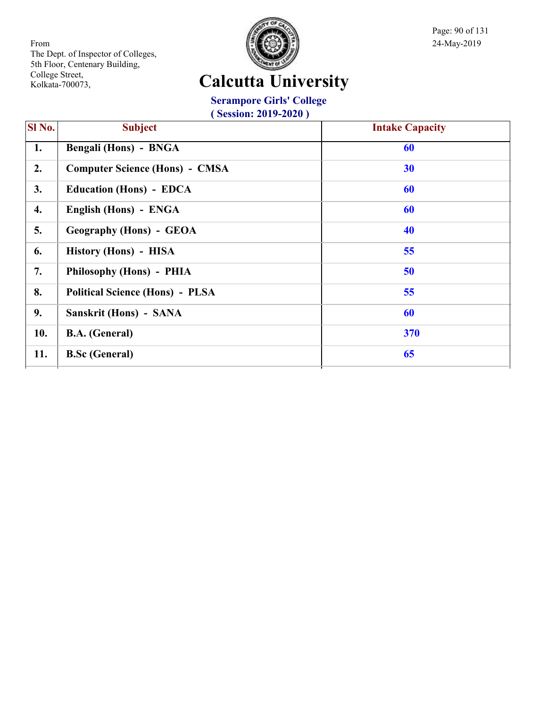

Page: 90 of 131

# **Calcutta University**

#### **Serampore Girls' College**

| SI No. | <b>Subject</b>                         | <b>Intake Capacity</b> |
|--------|----------------------------------------|------------------------|
| 1.     | Bengali (Hons) - BNGA                  | 60                     |
| 2.     | <b>Computer Science (Hons) - CMSA</b>  | 30                     |
| 3.     | <b>Education (Hons) - EDCA</b>         | 60                     |
| 4.     | English (Hons) - ENGA                  | 60                     |
| 5.     | <b>Geography (Hons) - GEOA</b>         | 40                     |
| 6.     | History (Hons) - HISA                  | 55                     |
| 7.     | Philosophy (Hons) - PHIA               | 50                     |
| 8.     | <b>Political Science (Hons) - PLSA</b> | 55                     |
| 9.     | Sanskrit (Hons) - SANA                 | 60                     |
| 10.    | <b>B.A.</b> (General)                  | 370                    |
| 11.    | <b>B.Sc (General)</b>                  | 65                     |
|        |                                        |                        |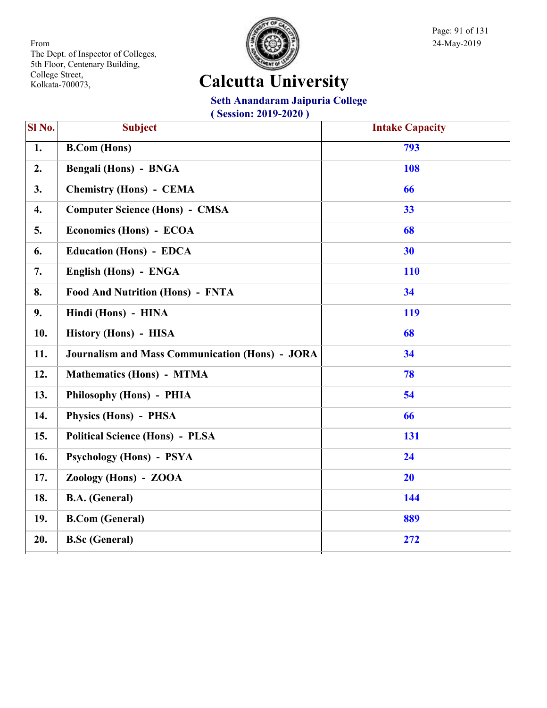

Page: 91 of 131

# **Calcutta University**

#### **Seth Anandaram Jaipuria College**

| SI No. | <b>Subject</b>                                         | <b>Intake Capacity</b> |
|--------|--------------------------------------------------------|------------------------|
| 1.     | <b>B.Com</b> (Hons)                                    | 793                    |
| 2.     | Bengali (Hons) - BNGA                                  | 108                    |
| 3.     | <b>Chemistry (Hons) - CEMA</b>                         | 66                     |
| 4.     | <b>Computer Science (Hons) - CMSA</b>                  | 33                     |
| 5.     | Economics (Hons) - ECOA                                | 68                     |
| 6.     | <b>Education (Hons) - EDCA</b>                         | 30                     |
| 7.     | English (Hons) - ENGA                                  | <b>110</b>             |
| 8.     | <b>Food And Nutrition (Hons) - FNTA</b>                | 34                     |
| 9.     | Hindi (Hons) - HINA                                    | 119                    |
| 10.    | History (Hons) - HISA                                  | 68                     |
| 11.    | <b>Journalism and Mass Communication (Hons) - JORA</b> | 34                     |
| 12.    | <b>Mathematics (Hons) - MTMA</b>                       | 78                     |
| 13.    | Philosophy (Hons) - PHIA                               | 54                     |
| 14.    | Physics (Hons) - PHSA                                  | 66                     |
| 15.    | <b>Political Science (Hons) - PLSA</b>                 | 131                    |
| 16.    | Psychology (Hons) - PSYA                               | 24                     |
| 17.    | Zoology (Hons) - ZOOA                                  | 20                     |
| 18.    | <b>B.A.</b> (General)                                  | 144                    |
| 19.    | <b>B.Com</b> (General)                                 | 889                    |
| 20.    | <b>B.Sc (General)</b>                                  | 272                    |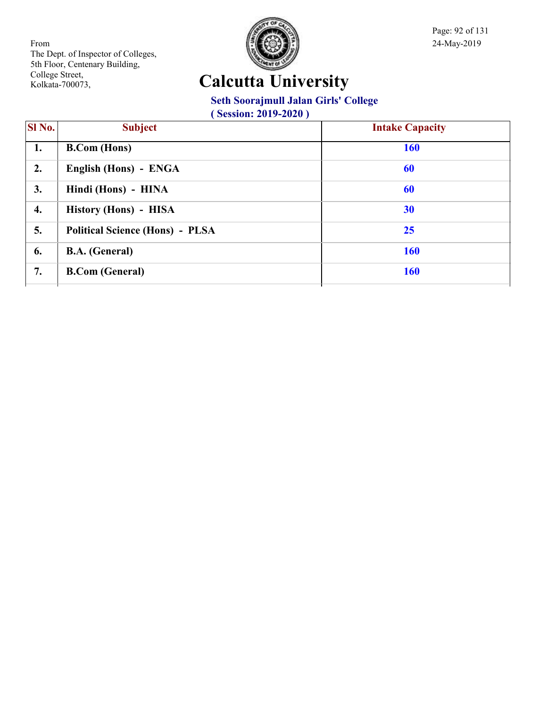

# **Calcutta University**

#### **Seth Soorajmull Jalan Girls' College**

| SI No. | <b>Subject</b>                         | <b>Intake Capacity</b> |
|--------|----------------------------------------|------------------------|
| 1.     | <b>B.Com</b> (Hons)                    | <b>160</b>             |
| 2.     | English (Hons) - ENGA                  | 60                     |
| 3.     | Hindi (Hons) - HINA                    | 60                     |
| 4.     | History (Hons) - HISA                  | 30                     |
| 5.     | <b>Political Science (Hons) - PLSA</b> | 25                     |
| 6.     | <b>B.A.</b> (General)                  | <b>160</b>             |
| 7.     | <b>B.Com (General)</b>                 | <b>160</b>             |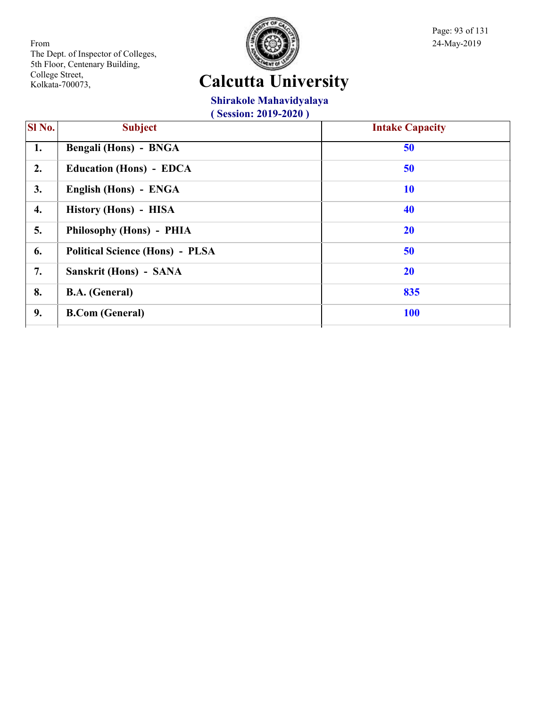

Page: 93 of 131

# **Calcutta University**

#### **Shirakole Mahavidyalaya**

| Sl No. | <b>Subject</b>                         | <b>Intake Capacity</b> |
|--------|----------------------------------------|------------------------|
| 1.     | <b>Bengali (Hons) - BNGA</b>           | 50                     |
| 2.     | <b>Education (Hons) - EDCA</b>         | 50                     |
| 3.     | English (Hons) - ENGA                  | <b>10</b>              |
| 4.     | History (Hons) - HISA                  | 40                     |
| 5.     | Philosophy (Hons) - PHIA               | 20                     |
| 6.     | <b>Political Science (Hons) - PLSA</b> | 50                     |
| 7.     | Sanskrit (Hons) - SANA                 | 20                     |
| 8.     | <b>B.A.</b> (General)                  | 835                    |
| 9.     | <b>B.Com (General)</b>                 | <b>100</b>             |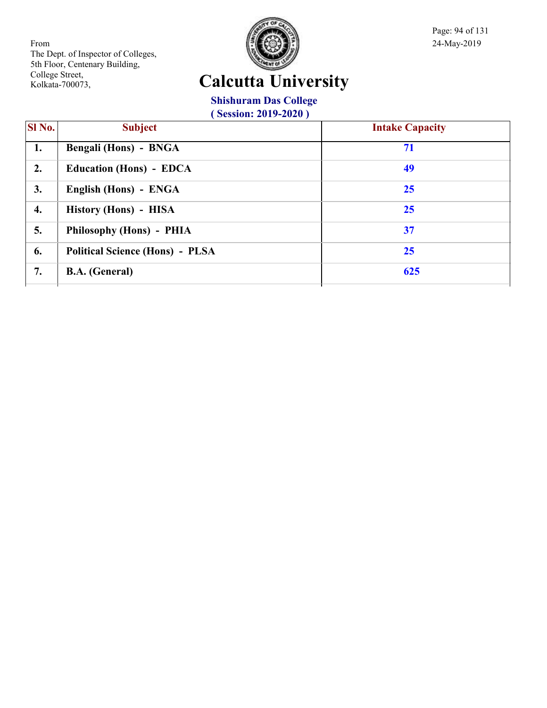

Page: 94 of 131

# **Calcutta University**

#### **Shishuram Das College**

| <b>SI</b> No.    | <b>Subject</b>                         | <b>Intake Capacity</b> |
|------------------|----------------------------------------|------------------------|
| 1.               | Bengali (Hons) - BNGA                  | 71                     |
| 2.               | <b>Education (Hons) - EDCA</b>         | 49                     |
| 3.               | English (Hons) - ENGA                  | 25                     |
| $\overline{4}$ . | History (Hons) - HISA                  | 25                     |
| 5.               | Philosophy (Hons) - PHIA               | 37                     |
| 6.               | <b>Political Science (Hons) - PLSA</b> | 25                     |
| 7.               | <b>B.A.</b> (General)                  | 625                    |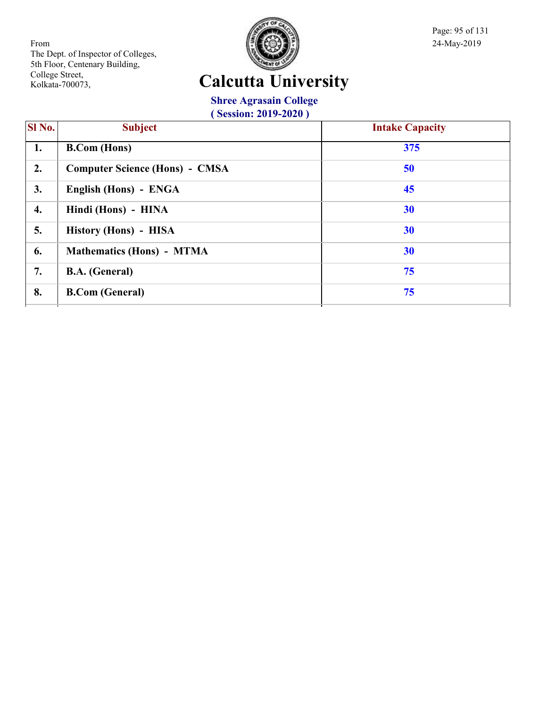

Page: 95 of 131

# **Calcutta University**

**Shree Agrasain College**

| $(Session: 2019-2020)$ |
|------------------------|

| $\overline{\text{SI No.}}$ | <b>Subject</b>                        | <b>Intake Capacity</b> |
|----------------------------|---------------------------------------|------------------------|
| 1.                         | <b>B.Com</b> (Hons)                   | 375                    |
| 2.                         | <b>Computer Science (Hons) - CMSA</b> | 50                     |
| 3.                         | English (Hons) - ENGA                 | 45                     |
| 4.                         | Hindi (Hons) - HINA                   | 30                     |
| 5.                         | History (Hons) - HISA                 | 30                     |
| 6.                         | Mathematics (Hons) - MTMA             | 30                     |
| 7.                         | <b>B.A.</b> (General)                 | 75                     |
| 8.                         | <b>B.Com (General)</b>                | 75                     |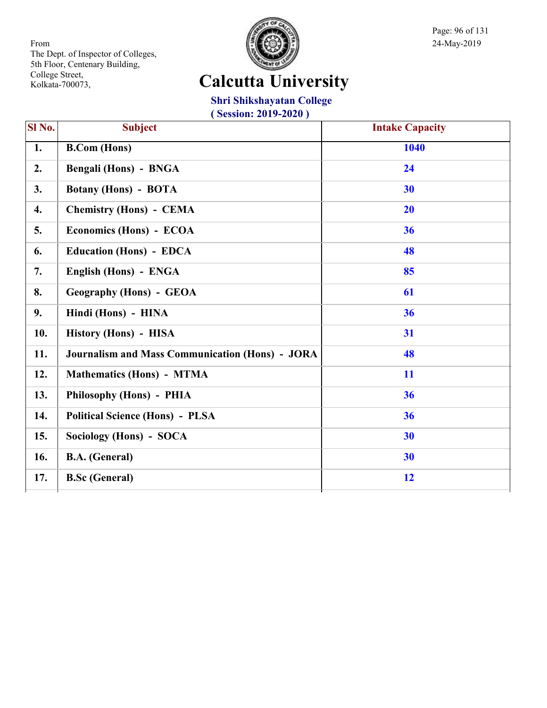

Page: 96 of 131

# **Calcutta University**

#### **Shri Shikshayatan College**

| Sl No. | <b>Subject</b>                                         | <b>Intake Capacity</b> |
|--------|--------------------------------------------------------|------------------------|
| 1.     | <b>B.Com</b> (Hons)                                    | 1040                   |
| 2.     | <b>Bengali (Hons) - BNGA</b>                           | 24                     |
| 3.     | <b>Botany (Hons) - BOTA</b>                            | 30                     |
| 4.     | <b>Chemistry (Hons) - CEMA</b>                         | 20                     |
| 5.     | Economics (Hons) - ECOA                                | 36                     |
| 6.     | <b>Education (Hons) - EDCA</b>                         | 48                     |
| 7.     | English (Hons) - ENGA                                  | 85                     |
| 8.     | <b>Geography (Hons) - GEOA</b>                         | 61                     |
| 9.     | Hindi (Hons) - HINA                                    | 36                     |
| 10.    | History (Hons) - HISA                                  | 31                     |
| 11.    | <b>Journalism and Mass Communication (Hons) - JORA</b> | 48                     |
| 12.    | <b>Mathematics (Hons) - MTMA</b>                       | 11                     |
| 13.    | Philosophy (Hons) - PHIA                               | 36                     |
| 14.    | <b>Political Science (Hons) - PLSA</b>                 | 36                     |
| 15.    | Sociology (Hons) - SOCA                                | 30                     |
| 16.    | <b>B.A.</b> (General)                                  | 30                     |
| 17.    | <b>B.Sc (General)</b>                                  | 12                     |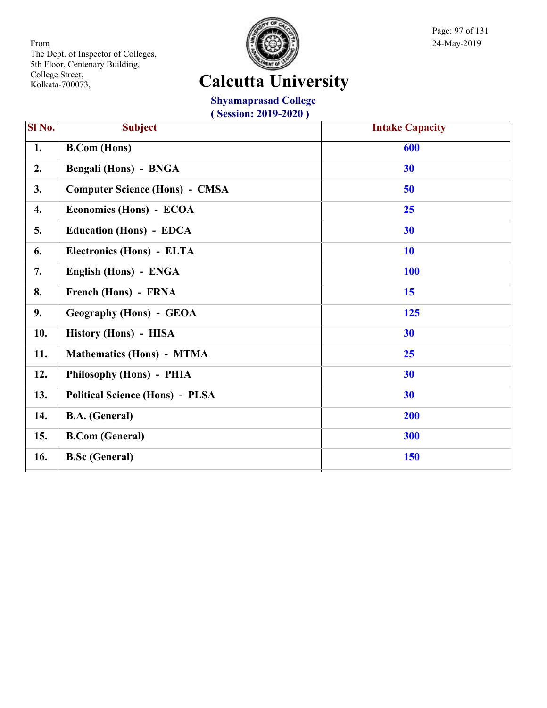

Page: 97 of 131

# **Calcutta University**

**Shyamaprasad College ( Session: 2019-2020 )**

| SI No. | <b>Subject</b>                         | <b>Intake Capacity</b> |
|--------|----------------------------------------|------------------------|
| 1.     | <b>B.Com (Hons)</b>                    | 600                    |
| 2.     | Bengali (Hons) - BNGA                  | 30                     |
| 3.     | <b>Computer Science (Hons) - CMSA</b>  | 50                     |
| 4.     | Economics (Hons) - ECOA                | 25                     |
| 5.     | <b>Education (Hons) - EDCA</b>         | 30                     |
| 6.     | Electronics (Hons) - ELTA              | <b>10</b>              |
| 7.     | English (Hons) - ENGA                  | <b>100</b>             |
| 8.     | French (Hons) - FRNA                   | 15                     |
| 9.     | <b>Geography (Hons) - GEOA</b>         | 125                    |
| 10.    | History (Hons) - HISA                  | 30                     |
| 11.    | <b>Mathematics (Hons) - MTMA</b>       | 25                     |
| 12.    | Philosophy (Hons) - PHIA               | 30                     |
| 13.    | <b>Political Science (Hons) - PLSA</b> | 30                     |
| 14.    | <b>B.A.</b> (General)                  | 200                    |
| 15.    | <b>B.Com (General)</b>                 | 300                    |
| 16.    | <b>B.Sc (General)</b>                  | 150                    |
|        |                                        |                        |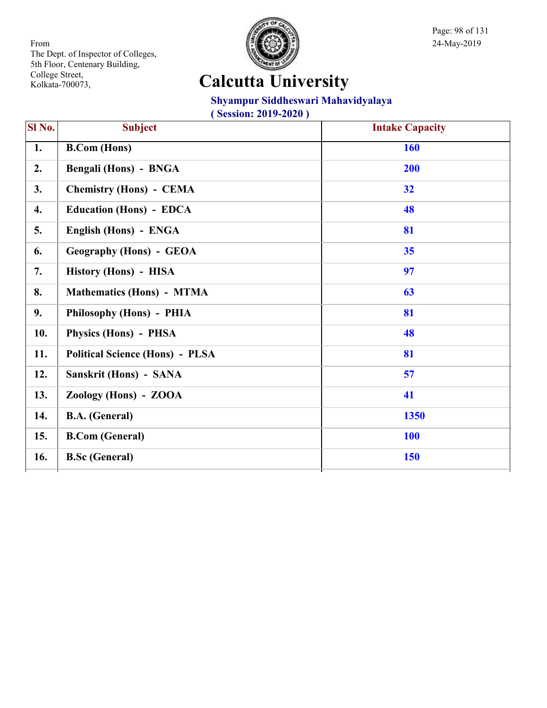

Page: 98 of 131

# **Calcutta University**

#### **Shyampur Siddheswari Mahavidyalaya**

| Sl No. | <b>Subject</b>                         | <b>Intake Capacity</b> |
|--------|----------------------------------------|------------------------|
| 1.     | <b>B.Com</b> (Hons)                    | 160                    |
| 2.     | Bengali (Hons) - BNGA                  | 200                    |
| 3.     | <b>Chemistry (Hons) - CEMA</b>         | 32                     |
| 4.     | <b>Education (Hons) - EDCA</b>         | 48                     |
| 5.     | English (Hons) - ENGA                  | 81                     |
| 6.     | <b>Geography (Hons) - GEOA</b>         | 35                     |
| 7.     | History (Hons) - HISA                  | 97                     |
| 8.     | <b>Mathematics (Hons) - MTMA</b>       | 63                     |
| 9.     | Philosophy (Hons) - PHIA               | 81                     |
| 10.    | Physics (Hons) - PHSA                  | 48                     |
| 11.    | <b>Political Science (Hons) - PLSA</b> | 81                     |
| 12.    | Sanskrit (Hons) - SANA                 | 57                     |
| 13.    | Zoology (Hons) - ZOOA                  | 41                     |
| 14.    | <b>B.A.</b> (General)                  | 1350                   |
| 15.    | <b>B.Com</b> (General)                 | <b>100</b>             |
| 16.    | <b>B.Sc</b> (General)                  | 150                    |
|        |                                        |                        |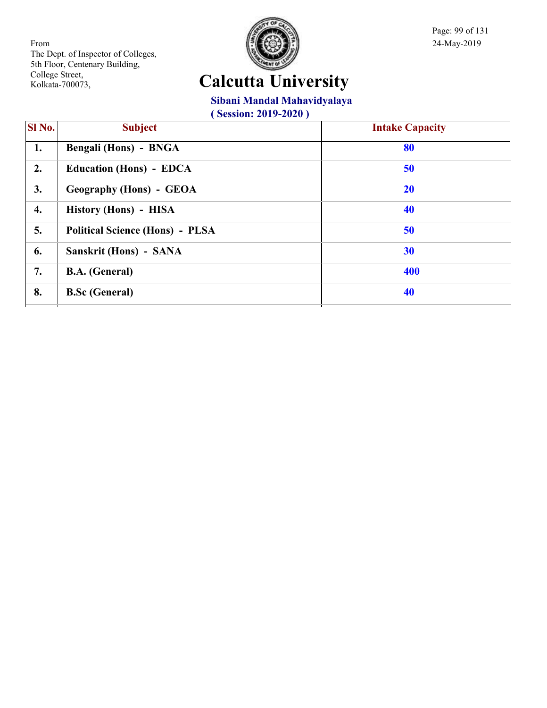

Page: 99 of 131

# **Calcutta University**

#### **Sibani Mandal Mahavidyalaya**

| SI No. | <b>Subject</b>                         | <b>Intake Capacity</b> |
|--------|----------------------------------------|------------------------|
| 1.     | Bengali (Hons) - BNGA                  | 80                     |
| 2.     | <b>Education (Hons) - EDCA</b>         | 50                     |
| 3.     | <b>Geography (Hons) - GEOA</b>         | 20                     |
| 4.     | History (Hons) - HISA                  | 40                     |
| 5.     | <b>Political Science (Hons) - PLSA</b> | 50                     |
| 6.     | Sanskrit (Hons) - SANA                 | 30                     |
| 7.     | <b>B.A.</b> (General)                  | 400                    |
| 8.     | <b>B.Sc (General)</b>                  | 40                     |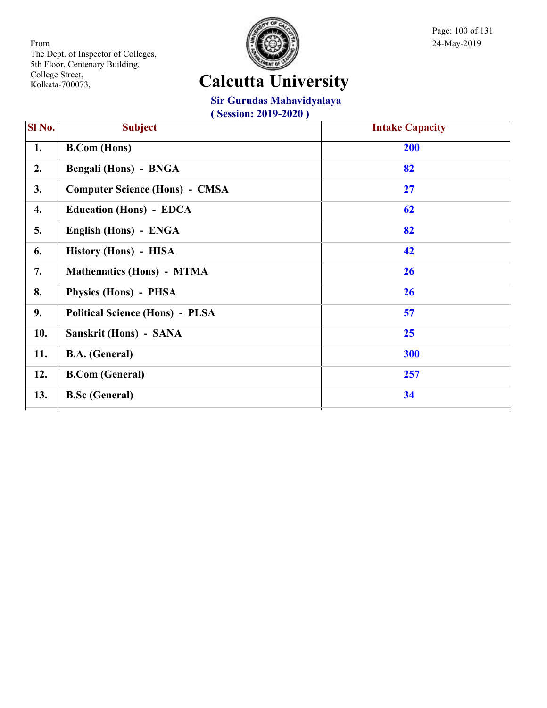

Page: 100 of 131

# **Calcutta University**

**Sir Gurudas Mahavidyalaya**

| Sl No. | <b>Subject</b>                         | <b>Intake Capacity</b> |
|--------|----------------------------------------|------------------------|
| 1.     | <b>B.Com</b> (Hons)                    | 200                    |
| 2.     | Bengali (Hons) - BNGA                  | 82                     |
| 3.     | <b>Computer Science (Hons) - CMSA</b>  | 27                     |
| 4.     | <b>Education (Hons) - EDCA</b>         | 62                     |
| 5.     | English (Hons) - ENGA                  | 82                     |
| 6.     | History (Hons) - HISA                  | 42                     |
| 7.     | <b>Mathematics (Hons) - MTMA</b>       | 26                     |
| 8.     | Physics (Hons) - PHSA                  | 26                     |
| 9.     | <b>Political Science (Hons) - PLSA</b> | 57                     |
| 10.    | Sanskrit (Hons) - SANA                 | 25                     |
| 11.    | <b>B.A.</b> (General)                  | 300                    |
| 12.    | <b>B.Com (General)</b>                 | 257                    |
| 13.    | <b>B.Sc (General)</b>                  | 34                     |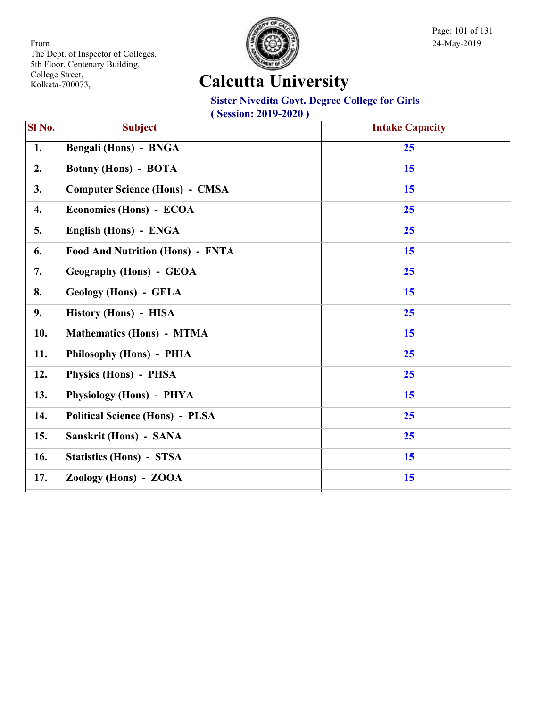

Page: 101 of 131

# **Calcutta University**

#### **Sister Nivedita Govt. Degree College for Girls**

| <b>Subject</b>                          | <b>Intake Capacity</b> |
|-----------------------------------------|------------------------|
| Bengali (Hons) - BNGA                   | 25                     |
| <b>Botany (Hons) - BOTA</b>             | 15                     |
| <b>Computer Science (Hons) - CMSA</b>   | 15                     |
| Economics (Hons) - ECOA                 | 25                     |
| English (Hons) - ENGA                   | 25                     |
| <b>Food And Nutrition (Hons) - FNTA</b> | 15                     |
| <b>Geography (Hons) - GEOA</b>          | 25                     |
| Geology (Hons) - GELA                   | 15                     |
| History (Hons) - HISA                   | 25                     |
| <b>Mathematics (Hons) - MTMA</b>        | 15                     |
| Philosophy (Hons) - PHIA                | 25                     |
| Physics (Hons) - PHSA                   | 25                     |
| Physiology (Hons) - PHYA                | 15                     |
| <b>Political Science (Hons) - PLSA</b>  | 25                     |
| Sanskrit (Hons) - SANA                  | 25                     |
| <b>Statistics (Hons) - STSA</b>         | 15                     |
| Zoology (Hons) - ZOOA                   | 15                     |
|                                         |                        |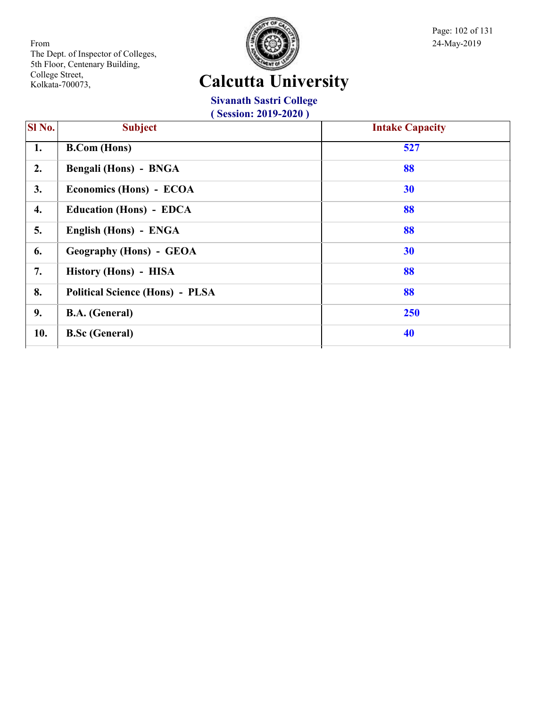

Page: 102 of 131

# **Calcutta University**

**Sivanath Sastri College**

| <b>Session: 2019-2020)</b> |                                        |                        |
|----------------------------|----------------------------------------|------------------------|
| Sl No.                     | <b>Subject</b>                         | <b>Intake Capacity</b> |
| 1.                         | <b>B.Com</b> (Hons)                    | 527                    |
| 2.                         | Bengali (Hons) - BNGA                  | 88                     |
| 3.                         | Economics (Hons) - ECOA                | 30                     |
| 4.                         | <b>Education (Hons) - EDCA</b>         | 88                     |
| 5.                         | English (Hons) - ENGA                  | 88                     |
| 6.                         | <b>Geography (Hons) - GEOA</b>         | 30                     |
| 7.                         | History (Hons) - HISA                  | 88                     |
| 8.                         | <b>Political Science (Hons) - PLSA</b> | 88                     |
| 9.                         | <b>B.A.</b> (General)                  | 250                    |
| 10.                        | <b>B.Sc (General)</b>                  | 40                     |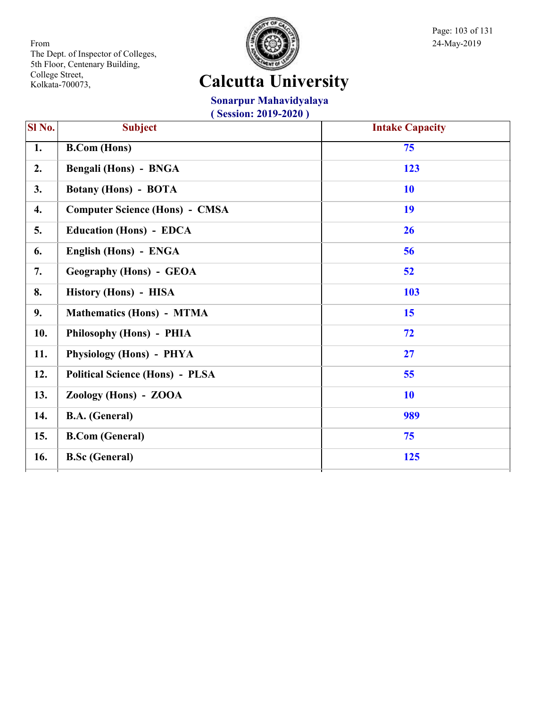

Page: 103 of 131

# **Calcutta University**

**Sonarpur Mahavidyalaya**

| Sl No. | <b>Subject</b>                         | <b>Intake Capacity</b> |
|--------|----------------------------------------|------------------------|
| 1.     | <b>B.Com</b> (Hons)                    | 75                     |
| 2.     | Bengali (Hons) - BNGA                  | 123                    |
| 3.     | <b>Botany (Hons) - BOTA</b>            | <b>10</b>              |
| 4.     | <b>Computer Science (Hons) - CMSA</b>  | 19                     |
| 5.     | <b>Education (Hons) - EDCA</b>         | 26                     |
| 6.     | English (Hons) - ENGA                  | 56                     |
| 7.     | <b>Geography (Hons) - GEOA</b>         | 52                     |
| 8.     | History (Hons) - HISA                  | 103                    |
| 9.     | <b>Mathematics (Hons) - MTMA</b>       | 15                     |
| 10.    | Philosophy (Hons) - PHIA               | 72                     |
| 11.    | Physiology (Hons) - PHYA               | 27                     |
| 12.    | <b>Political Science (Hons) - PLSA</b> | 55                     |
| 13.    | Zoology (Hons) - ZOOA                  | <b>10</b>              |
| 14.    | <b>B.A.</b> (General)                  | 989                    |
| 15.    | <b>B.Com (General)</b>                 | 75                     |
| 16.    | <b>B.Sc (General)</b>                  | 125                    |
|        |                                        |                        |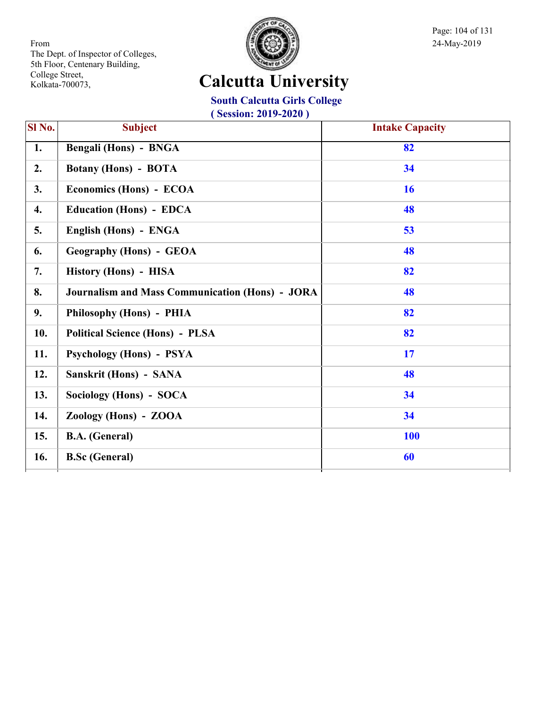

Page: 104 of 131

# **Calcutta University**

**South Calcutta Girls College**

| Sl No. | <b>Subject</b>                                         | <b>Intake Capacity</b> |
|--------|--------------------------------------------------------|------------------------|
| 1.     | Bengali (Hons) - BNGA                                  | 82                     |
| 2.     | <b>Botany (Hons) - BOTA</b>                            | 34                     |
| 3.     | Economics (Hons) - ECOA                                | <b>16</b>              |
| 4.     | <b>Education (Hons) - EDCA</b>                         | 48                     |
| 5.     | English (Hons) - ENGA                                  | 53                     |
| 6.     | <b>Geography (Hons) - GEOA</b>                         | 48                     |
| 7.     | History (Hons) - HISA                                  | 82                     |
| 8.     | <b>Journalism and Mass Communication (Hons) - JORA</b> | 48                     |
| 9.     | Philosophy (Hons) - PHIA                               | 82                     |
| 10.    | <b>Political Science (Hons) - PLSA</b>                 | 82                     |
| 11.    | Psychology (Hons) - PSYA                               | 17                     |
| 12.    | Sanskrit (Hons) - SANA                                 | 48                     |
| 13.    | Sociology (Hons) - SOCA                                | 34                     |
| 14.    | Zoology (Hons) - ZOOA                                  | 34                     |
| 15.    | <b>B.A.</b> (General)                                  | <b>100</b>             |
| 16.    | <b>B.Sc (General)</b>                                  | 60                     |
|        |                                                        |                        |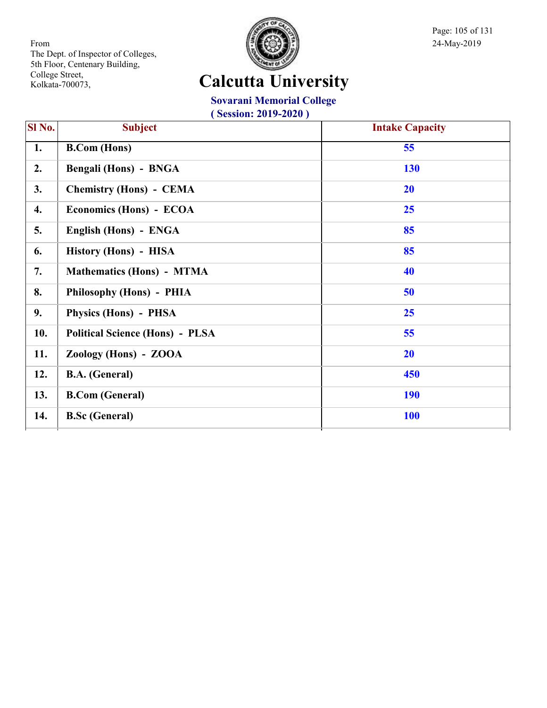

Page: 105 of 131

#### **Calcutta University**

#### **Sovarani Memorial College**

| SI No. | <b>Subject</b>                         | <b>Intake Capacity</b> |
|--------|----------------------------------------|------------------------|
| 1.     | <b>B.Com</b> (Hons)                    | 55                     |
| 2.     | Bengali (Hons) - BNGA                  | 130                    |
| 3.     | <b>Chemistry (Hons) - CEMA</b>         | 20                     |
| 4.     | Economics (Hons) - ECOA                | 25                     |
| 5.     | English (Hons) - ENGA                  | 85                     |
| 6.     | History (Hons) - HISA                  | 85                     |
| 7.     | <b>Mathematics (Hons) - MTMA</b>       | 40                     |
| 8.     | Philosophy (Hons) - PHIA               | 50                     |
| 9.     | Physics (Hons) - PHSA                  | 25                     |
| 10.    | <b>Political Science (Hons) - PLSA</b> | 55                     |
| 11.    | Zoology (Hons) - ZOOA                  | <b>20</b>              |
| 12.    | <b>B.A.</b> (General)                  | 450                    |
| 13.    | <b>B.Com (General)</b>                 | <b>190</b>             |
| 14.    | <b>B.Sc (General)</b>                  | <b>100</b>             |
|        |                                        |                        |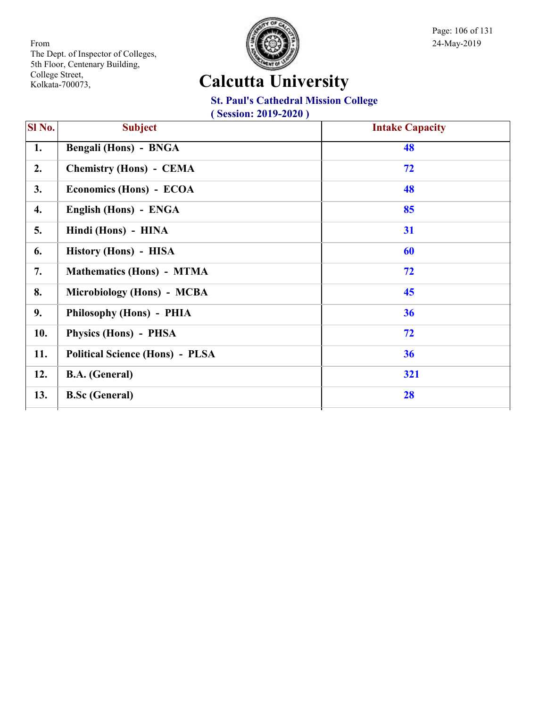

Page: 106 of 131

#### **Calcutta University**

#### **St. Paul's Cathedral Mission College**

| SI No. | <b>Subject</b>                         | <b>Intake Capacity</b> |
|--------|----------------------------------------|------------------------|
| 1.     | Bengali (Hons) - BNGA                  | 48                     |
| 2.     | <b>Chemistry (Hons) - CEMA</b>         | 72                     |
| 3.     | Economics (Hons) - ECOA                | 48                     |
| 4.     | English (Hons) - ENGA                  | 85                     |
| 5.     | Hindi (Hons) - HINA                    | 31                     |
| 6.     | History (Hons) - HISA                  | 60                     |
| 7.     | <b>Mathematics (Hons) - MTMA</b>       | 72                     |
| 8.     | Microbiology (Hons) - MCBA             | 45                     |
| 9.     | Philosophy (Hons) - PHIA               | 36                     |
| 10.    | Physics (Hons) - PHSA                  | 72                     |
| 11.    | <b>Political Science (Hons) - PLSA</b> | 36                     |
| 12.    | <b>B.A.</b> (General)                  | 321                    |
| 13.    | <b>B.Sc (General)</b>                  | 28                     |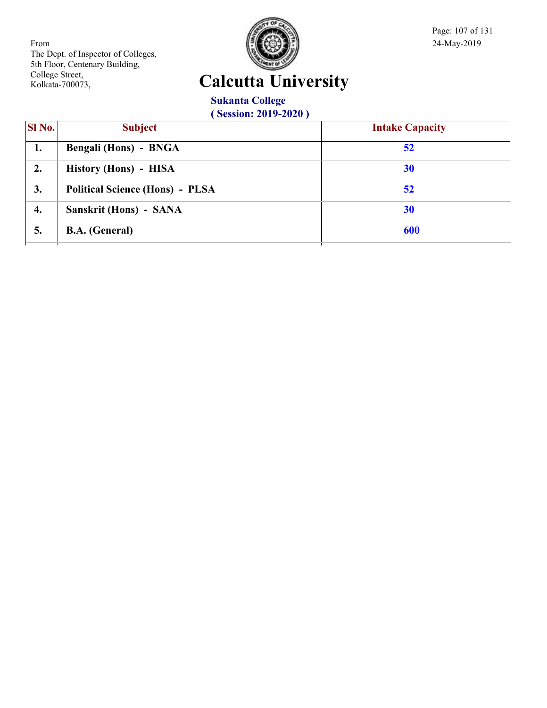

Page: 107 of 131

# **Calcutta University**

**Sukanta College ( Session: 2019-2020 )**

| SI No. | <b>Subject</b>                         | <b>Intake Capacity</b> |
|--------|----------------------------------------|------------------------|
| 1.     | <b>Bengali (Hons) - BNGA</b>           | 52                     |
| 2.     | History (Hons) - HISA                  | 30                     |
| 3.     | <b>Political Science (Hons) - PLSA</b> | 52                     |
| 4.     | Sanskrit (Hons) - SANA                 | 30                     |
| 5.     | <b>B.A.</b> (General)                  | 600                    |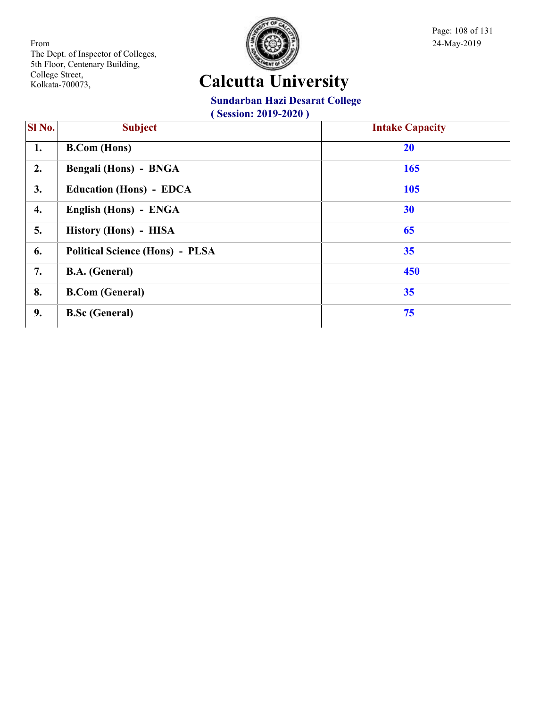

Page: 108 of 131

## **Calcutta University**

#### **Sundarban Hazi Desarat College**

| <b>Subject</b>                         | <b>Intake Capacity</b> |
|----------------------------------------|------------------------|
| <b>B.Com</b> (Hons)                    | 20                     |
| Bengali (Hons) - BNGA                  | 165                    |
| <b>Education (Hons) - EDCA</b>         | 105                    |
| English (Hons) - ENGA                  | 30                     |
| History (Hons) - HISA                  | 65                     |
| <b>Political Science (Hons) - PLSA</b> | 35                     |
| <b>B.A.</b> (General)                  | 450                    |
| <b>B.Com (General)</b>                 | 35                     |
| <b>B.Sc (General)</b>                  | 75                     |
|                                        |                        |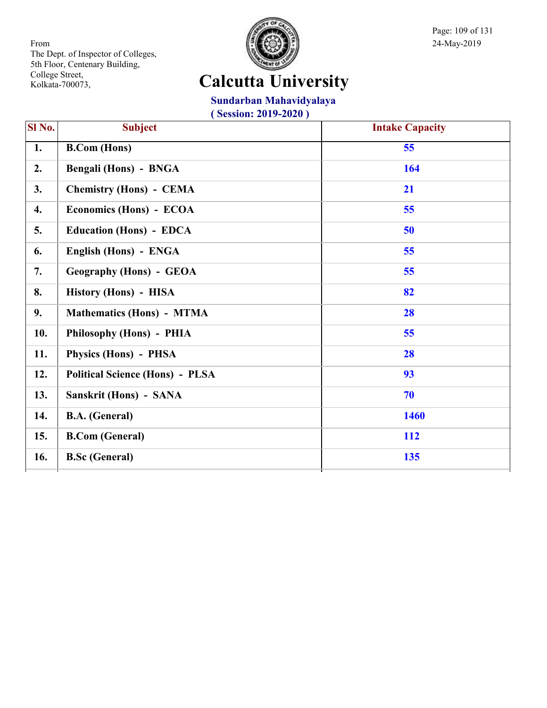

Page: 109 of 131

# **Calcutta University**

#### **Sundarban Mahavidyalaya**

| Sl No. | <b>Subject</b>                         | <b>Intake Capacity</b> |
|--------|----------------------------------------|------------------------|
| 1.     | <b>B.Com (Hons)</b>                    | 55                     |
| 2.     | <b>Bengali (Hons) - BNGA</b>           | 164                    |
| 3.     | <b>Chemistry (Hons) - CEMA</b>         | 21                     |
| 4.     | Economics (Hons) - ECOA                | 55                     |
| 5.     | <b>Education (Hons) - EDCA</b>         | 50                     |
| 6.     | English (Hons) - ENGA                  | 55                     |
| 7.     | <b>Geography (Hons) - GEOA</b>         | 55                     |
| 8.     | History (Hons) - HISA                  | 82                     |
| 9.     | <b>Mathematics (Hons) - MTMA</b>       | 28                     |
| 10.    | Philosophy (Hons) - PHIA               | 55                     |
| 11.    | Physics (Hons) - PHSA                  | 28                     |
| 12.    | <b>Political Science (Hons) - PLSA</b> | 93                     |
| 13.    | Sanskrit (Hons) - SANA                 | 70                     |
| 14.    | <b>B.A.</b> (General)                  | 1460                   |
| 15.    | <b>B.Com (General)</b>                 | <b>112</b>             |
| 16.    | <b>B.Sc</b> (General)                  | 135                    |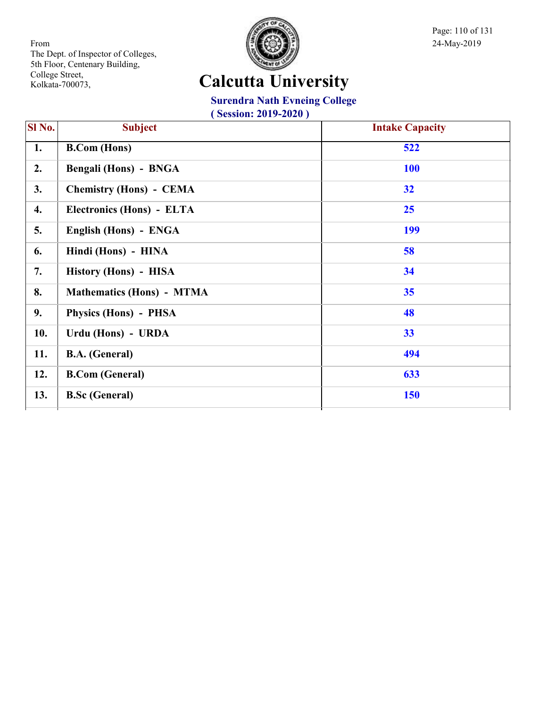

Page: 110 of 131

#### **Calcutta University**

**Surendra Nath Evneing College**

| SI No. | <b>Subject</b>                   | <b>Intake Capacity</b> |
|--------|----------------------------------|------------------------|
| 1.     | <b>B.Com</b> (Hons)              | 522                    |
| 2.     | Bengali (Hons) - BNGA            | <b>100</b>             |
| 3.     | <b>Chemistry (Hons) - CEMA</b>   | 32                     |
| 4.     | Electronics (Hons) - ELTA        | 25                     |
| 5.     | English (Hons) - ENGA            | 199                    |
| 6.     | Hindi (Hons) - HINA              | 58                     |
| 7.     | History (Hons) - HISA            | 34                     |
| 8.     | <b>Mathematics (Hons) - MTMA</b> | 35                     |
| 9.     | Physics (Hons) - PHSA            | 48                     |
| 10.    | Urdu (Hons) - URDA               | 33                     |
| 11.    | <b>B.A.</b> (General)            | 494                    |
| 12.    | <b>B.Com (General)</b>           | 633                    |
| 13.    | <b>B.Sc</b> (General)            | 150                    |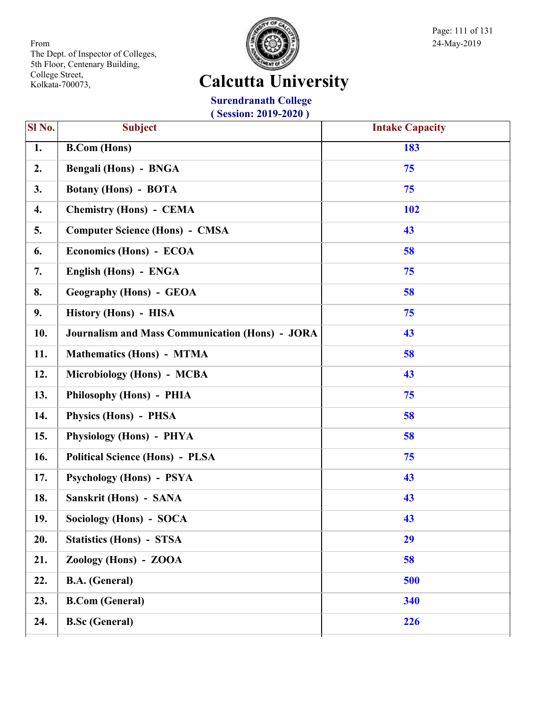

Page: 111 of 131

## **Calcutta University**

**Surendranath College ( Session: 2019-2020 )**

| $\overline{\text{SI No.}}$ | <b>Subject</b>                                         | <b>Intake Capacity</b> |
|----------------------------|--------------------------------------------------------|------------------------|
| $\overline{1}$ .           | <b>B.Com</b> (Hons)                                    | 183                    |
| 2.                         | <b>Bengali (Hons) - BNGA</b>                           | 75                     |
| 3.                         | <b>Botany (Hons) - BOTA</b>                            | 75                     |
| 4.                         | <b>Chemistry (Hons) - CEMA</b>                         | <b>102</b>             |
| 5.                         | <b>Computer Science (Hons) - CMSA</b>                  | 43                     |
| 6.                         | Economics (Hons) - ECOA                                | 58                     |
| 7.                         | English (Hons) - ENGA                                  | 75                     |
| 8.                         | <b>Geography (Hons) - GEOA</b>                         | 58                     |
| 9.                         | History (Hons) - HISA                                  | 75                     |
| 10.                        | <b>Journalism and Mass Communication (Hons) - JORA</b> | 43                     |
| 11.                        | <b>Mathematics (Hons) - MTMA</b>                       | 58                     |
| 12.                        | Microbiology (Hons) - MCBA                             | 43                     |
| 13.                        | Philosophy (Hons) - PHIA                               | 75                     |
| 14.                        | Physics (Hons) - PHSA                                  | 58                     |
| 15.                        | Physiology (Hons) - PHYA                               | 58                     |
| 16.                        | <b>Political Science (Hons) - PLSA</b>                 | 75                     |
| 17.                        | Psychology (Hons) - PSYA                               | 43                     |
| 18.                        | Sanskrit (Hons) - SANA                                 | 43                     |
| 19.                        | Sociology (Hons) - SOCA                                | 43                     |
| 20.                        | <b>Statistics (Hons) - STSA</b>                        | 29                     |
| 21.                        | Zoology (Hons) - ZOOA                                  | 58                     |
| 22.                        | <b>B.A.</b> (General)                                  | 500                    |
| 23.                        | <b>B.Com (General)</b>                                 | 340                    |
| 24.                        | <b>B.Sc (General)</b>                                  | 226                    |
|                            |                                                        |                        |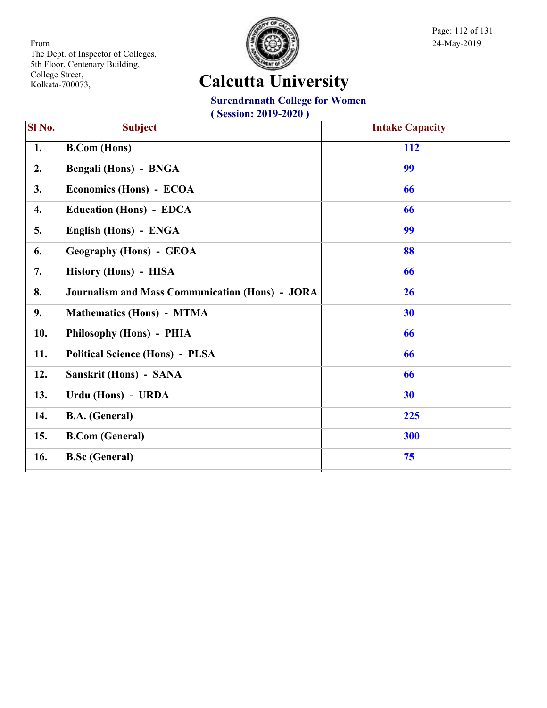

Page: 112 of 131

## **Calcutta University**

#### **Surendranath College for Women**

| <b>Subject</b>                                         | <b>Intake Capacity</b> |
|--------------------------------------------------------|------------------------|
| <b>B.Com</b> (Hons)                                    | 112                    |
| Bengali (Hons) - BNGA                                  | 99                     |
| Economics (Hons) - ECOA                                | 66                     |
| <b>Education (Hons) - EDCA</b>                         | 66                     |
| English (Hons) - ENGA                                  | 99                     |
| <b>Geography (Hons) - GEOA</b>                         | 88                     |
| History (Hons) - HISA                                  | 66                     |
| <b>Journalism and Mass Communication (Hons) - JORA</b> | 26                     |
| <b>Mathematics (Hons) - MTMA</b>                       | 30                     |
| Philosophy (Hons) - PHIA                               | 66                     |
| <b>Political Science (Hons) - PLSA</b>                 | 66                     |
| Sanskrit (Hons) - SANA                                 | 66                     |
| Urdu (Hons) - URDA                                     | 30                     |
| <b>B.A.</b> (General)                                  | 225                    |
| <b>B.Com (General)</b>                                 | 300                    |
| <b>B.Sc (General)</b>                                  | 75                     |
|                                                        |                        |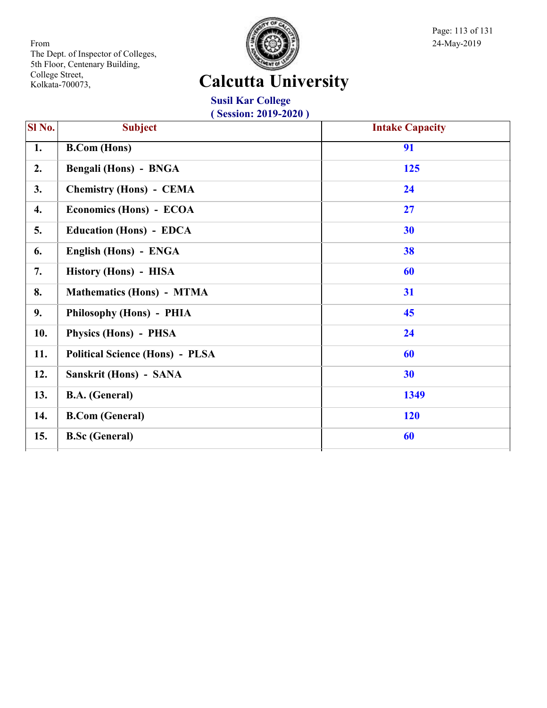

Page: 113 of 131

## **Calcutta University**

**Susil Kar College ( Session: 2019-2020 )**

| Sl No. | <b>Subject</b>                         | <b>Intake Capacity</b> |
|--------|----------------------------------------|------------------------|
| 1.     | <b>B.Com</b> (Hons)                    | 91                     |
| 2.     | Bengali (Hons) - BNGA                  | 125                    |
| 3.     | <b>Chemistry (Hons) - CEMA</b>         | 24                     |
| 4.     | Economics (Hons) - ECOA                | 27                     |
| 5.     | <b>Education (Hons) - EDCA</b>         | 30                     |
| 6.     | English (Hons) - ENGA                  | 38                     |
| 7.     | History (Hons) - HISA                  | 60                     |
| 8.     | <b>Mathematics (Hons) - MTMA</b>       | 31                     |
| 9.     | Philosophy (Hons) - PHIA               | 45                     |
| 10.    | Physics (Hons) - PHSA                  | 24                     |
| 11.    | <b>Political Science (Hons) - PLSA</b> | 60                     |
| 12.    | Sanskrit (Hons) - SANA                 | 30                     |
| 13.    | <b>B.A.</b> (General)                  | 1349                   |
| 14.    | <b>B.Com (General)</b>                 | <b>120</b>             |
| 15.    | <b>B.Sc (General)</b>                  | 60                     |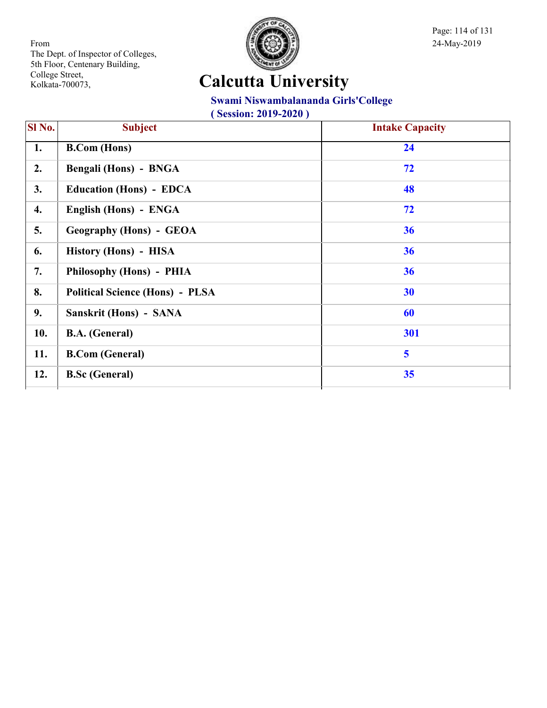

Page: 114 of 131

## **Calcutta University**

#### **Swami Niswambalananda Girls'College**

| SI No. | <b>Subject</b>                         | <b>Intake Capacity</b>  |
|--------|----------------------------------------|-------------------------|
| 1.     | <b>B.Com</b> (Hons)                    | 24                      |
| 2.     | Bengali (Hons) - BNGA                  | 72                      |
| 3.     | <b>Education (Hons) - EDCA</b>         | 48                      |
| 4.     | English (Hons) - ENGA                  | 72                      |
| 5.     | <b>Geography (Hons) - GEOA</b>         | 36                      |
| 6.     | History (Hons) - HISA                  | 36                      |
| 7.     | Philosophy (Hons) - PHIA               | 36                      |
| 8.     | <b>Political Science (Hons) - PLSA</b> | 30                      |
| 9.     | Sanskrit (Hons) - SANA                 | 60                      |
| 10.    | <b>B.A.</b> (General)                  | 301                     |
| 11.    | <b>B.Com</b> (General)                 | $\overline{\mathbf{5}}$ |
| 12.    | <b>B.Sc (General)</b>                  | 35                      |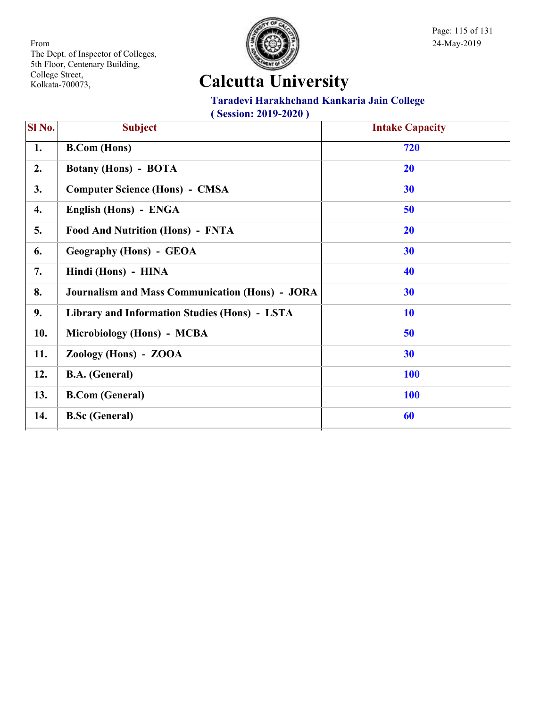

Page: 115 of 131

## **Calcutta University**

#### **Taradevi Harakhchand Kankaria Jain College**

| Sl No. | <b>Subject</b>                                         | <b>Intake Capacity</b> |
|--------|--------------------------------------------------------|------------------------|
| 1.     | <b>B.Com (Hons)</b>                                    | 720                    |
| 2.     | <b>Botany (Hons) - BOTA</b>                            | <b>20</b>              |
| 3.     | <b>Computer Science (Hons) - CMSA</b>                  | 30                     |
| 4.     | English (Hons) - ENGA                                  | 50                     |
| 5.     | <b>Food And Nutrition (Hons) - FNTA</b>                | 20                     |
| 6.     | <b>Geography (Hons) - GEOA</b>                         | 30                     |
| 7.     | Hindi (Hons) - HINA                                    | 40                     |
| 8.     | <b>Journalism and Mass Communication (Hons) - JORA</b> | 30                     |
| 9.     | Library and Information Studies (Hons) - LSTA          | <b>10</b>              |
| 10.    | Microbiology (Hons) - MCBA                             | 50                     |
| 11.    | Zoology (Hons) - ZOOA                                  | 30                     |
| 12.    | <b>B.A.</b> (General)                                  | <b>100</b>             |
| 13.    | <b>B.Com (General)</b>                                 | <b>100</b>             |
| 14.    | <b>B.Sc</b> (General)                                  | 60                     |
|        |                                                        |                        |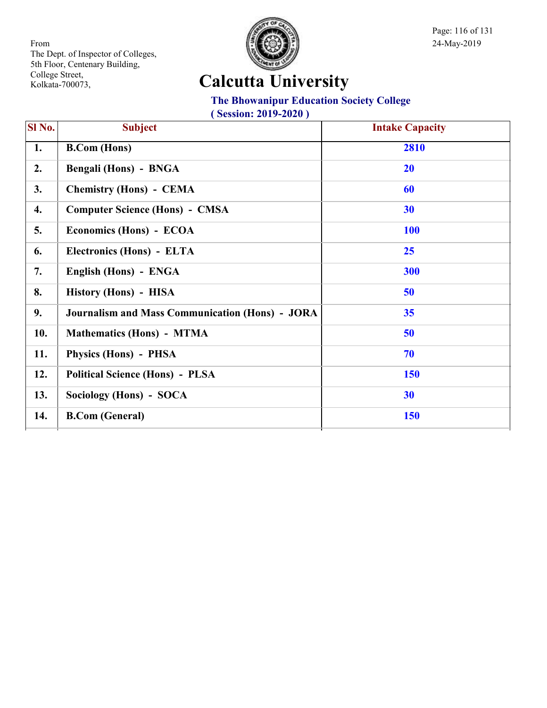

Page: 116 of 131

## **Calcutta University**

#### **The Bhowanipur Education Society College**

| Sl No. | <b>Subject</b>                                         | <b>Intake Capacity</b> |
|--------|--------------------------------------------------------|------------------------|
| 1.     | <b>B.Com</b> (Hons)                                    | 2810                   |
| 2.     | Bengali (Hons) - BNGA                                  | <b>20</b>              |
| 3.     | <b>Chemistry (Hons) - CEMA</b>                         | 60                     |
| 4.     | <b>Computer Science (Hons) - CMSA</b>                  | 30                     |
| 5.     | Economics (Hons) - ECOA                                | <b>100</b>             |
| 6.     | Electronics (Hons) - ELTA                              | <b>25</b>              |
| 7.     | English (Hons) - ENGA                                  | 300                    |
| 8.     | History (Hons) - HISA                                  | 50                     |
| 9.     | <b>Journalism and Mass Communication (Hons) - JORA</b> | 35                     |
| 10.    | <b>Mathematics (Hons) - MTMA</b>                       | 50                     |
| 11.    | Physics (Hons) - PHSA                                  | 70                     |
| 12.    | <b>Political Science (Hons) - PLSA</b>                 | <b>150</b>             |
| 13.    | Sociology (Hons) - SOCA                                | 30                     |
| 14.    | <b>B.Com (General)</b>                                 | <b>150</b>             |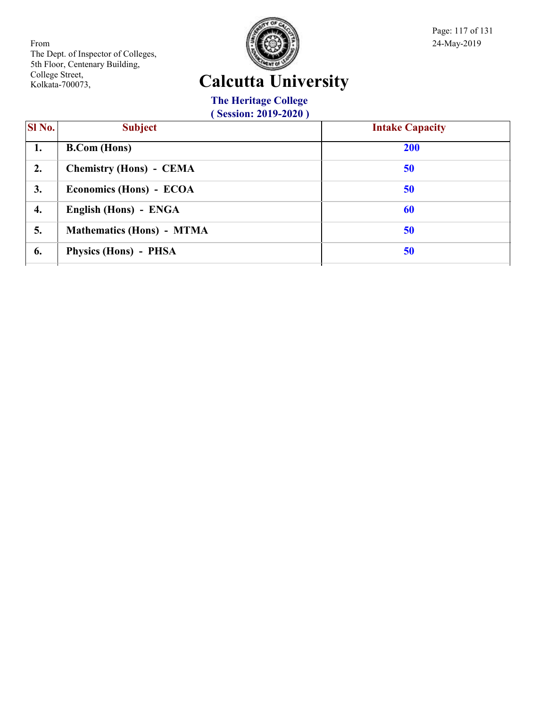

Page: 117 of 131

## **Calcutta University**

**The Heritage College**

| SI No. | <b>Subject</b>                   | <b>Intake Capacity</b> |
|--------|----------------------------------|------------------------|
| 1.     | <b>B.Com</b> (Hons)              | <b>200</b>             |
| 2.     | <b>Chemistry (Hons) - CEMA</b>   | 50                     |
| 3.     | Economics (Hons) - ECOA          | 50                     |
| 4.     | English (Hons) - ENGA            | 60                     |
| 5.     | <b>Mathematics (Hons) - MTMA</b> | 50                     |
| 6.     | Physics (Hons) - PHSA            | 50                     |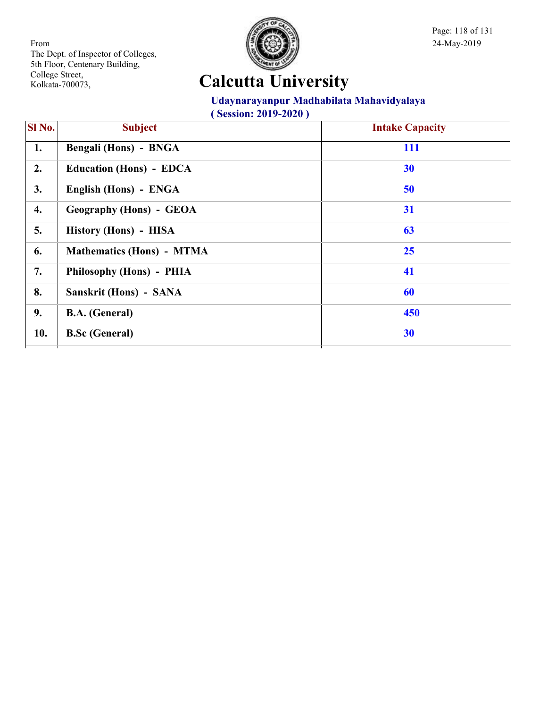

Page: 118 of 131

## **Calcutta University**

#### **Udaynarayanpur Madhabilata Mahavidyalaya**

| SI No. | <b>Subject</b>                   | <b>Intake Capacity</b> |
|--------|----------------------------------|------------------------|
| 1.     | Bengali (Hons) - BNGA            | 111                    |
| 2.     | <b>Education (Hons) - EDCA</b>   | 30                     |
| 3.     | English (Hons) - ENGA            | 50                     |
| 4.     | <b>Geography (Hons) - GEOA</b>   | 31                     |
| 5.     | History (Hons) - HISA            | 63                     |
| 6.     | <b>Mathematics (Hons) - MTMA</b> | 25                     |
| 7.     | Philosophy (Hons) - PHIA         | 41                     |
| 8.     | Sanskrit (Hons) - SANA           | 60                     |
| 9.     | <b>B.A.</b> (General)            | 450                    |
| 10.    | <b>B.Sc (General)</b>            | 30                     |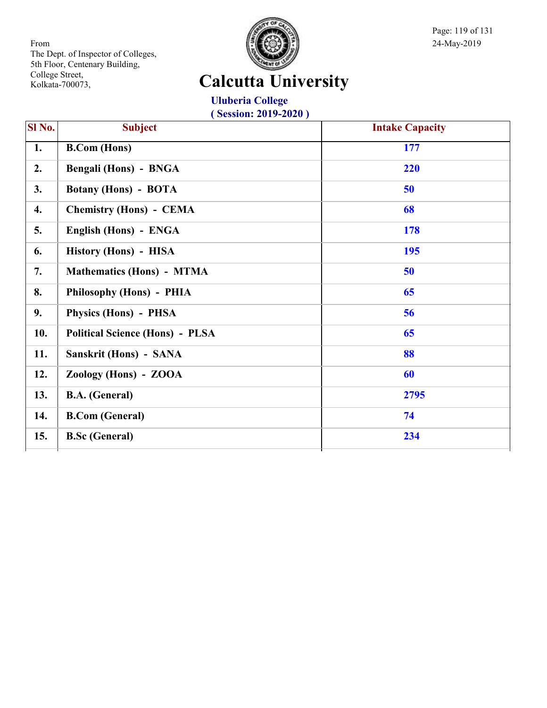

Page: 119 of 131

## **Calcutta University**

**Uluberia College ( Session: 2019-2020 )**

| <b>Subject</b>                         | <b>Intake Capacity</b> |
|----------------------------------------|------------------------|
| <b>B.Com</b> (Hons)                    | 177                    |
| Bengali (Hons) - BNGA                  | 220                    |
| <b>Botany (Hons) - BOTA</b>            | 50                     |
| <b>Chemistry (Hons) - CEMA</b>         | 68                     |
| English (Hons) - ENGA                  | <b>178</b>             |
| History (Hons) - HISA                  | 195                    |
| <b>Mathematics (Hons) - MTMA</b>       | 50                     |
| Philosophy (Hons) - PHIA               | 65                     |
| Physics (Hons) - PHSA                  | 56                     |
| <b>Political Science (Hons) - PLSA</b> | 65                     |
| Sanskrit (Hons) - SANA                 | 88                     |
| Zoology (Hons) - ZOOA                  | 60                     |
| <b>B.A.</b> (General)                  | 2795                   |
| <b>B.Com (General)</b>                 | 74                     |
| <b>B.Sc (General)</b>                  | 234                    |
|                                        |                        |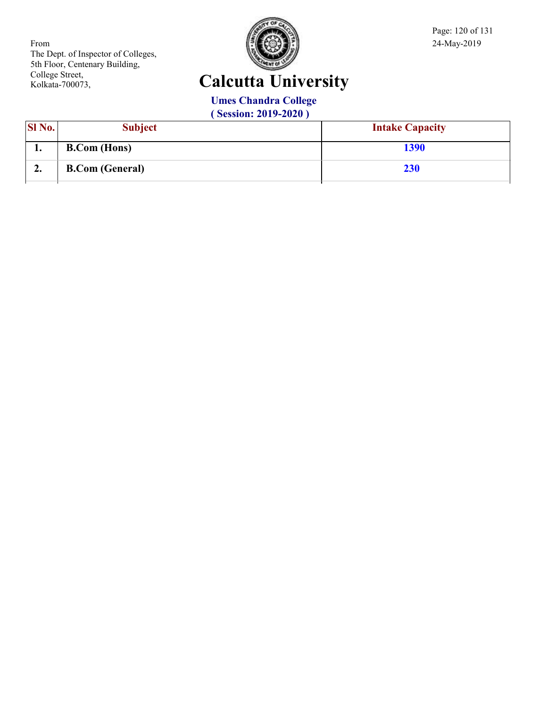

Page: 120 of 131

## **Calcutta University**

**Umes Chandra College**

| <b>SI</b> No. | <b>Subject</b>         | <b>Intake Capacity</b> |
|---------------|------------------------|------------------------|
| . .           | <b>B.Com</b> (Hons)    | 1390                   |
| ∠.            | <b>B.Com (General)</b> | <b>230</b>             |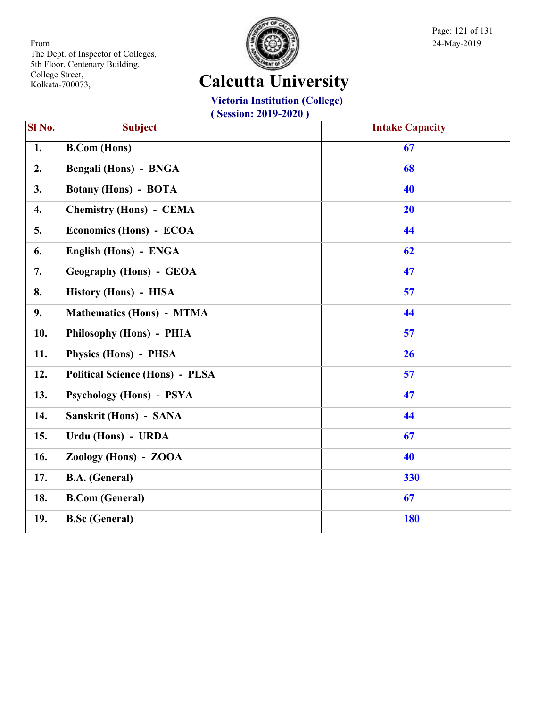

Page: 121 of 131

# **Calcutta University**

**Victoria Institution (College)**

| Sl No.           | <b>Subject</b>                         | <b>Intake Capacity</b> |
|------------------|----------------------------------------|------------------------|
| $\overline{1}$ . | <b>B.Com</b> (Hons)                    | 67                     |
| 2.               | Bengali (Hons) - BNGA                  | 68                     |
| 3.               | <b>Botany (Hons) - BOTA</b>            | 40                     |
| 4.               | <b>Chemistry (Hons) - CEMA</b>         | 20                     |
| 5.               | Economics (Hons) - ECOA                | 44                     |
| 6.               | English (Hons) - ENGA                  | 62                     |
| 7.               | <b>Geography (Hons) - GEOA</b>         | 47                     |
| 8.               | History (Hons) - HISA                  | 57                     |
| 9.               | <b>Mathematics (Hons) - MTMA</b>       | 44                     |
| 10.              | Philosophy (Hons) - PHIA               | 57                     |
| 11.              | Physics (Hons) - PHSA                  | 26                     |
| 12.              | <b>Political Science (Hons) - PLSA</b> | 57                     |
| 13.              | <b>Psychology (Hons) - PSYA</b>        | 47                     |
| 14.              | Sanskrit (Hons) - SANA                 | 44                     |
| 15.              | Urdu (Hons) - URDA                     | 67                     |
| 16.              | Zoology (Hons) - ZOOA                  | 40                     |
| 17.              | <b>B.A.</b> (General)                  | 330                    |
| 18.              | <b>B.Com (General)</b>                 | 67                     |
| 19.              | <b>B.Sc</b> (General)                  | <b>180</b>             |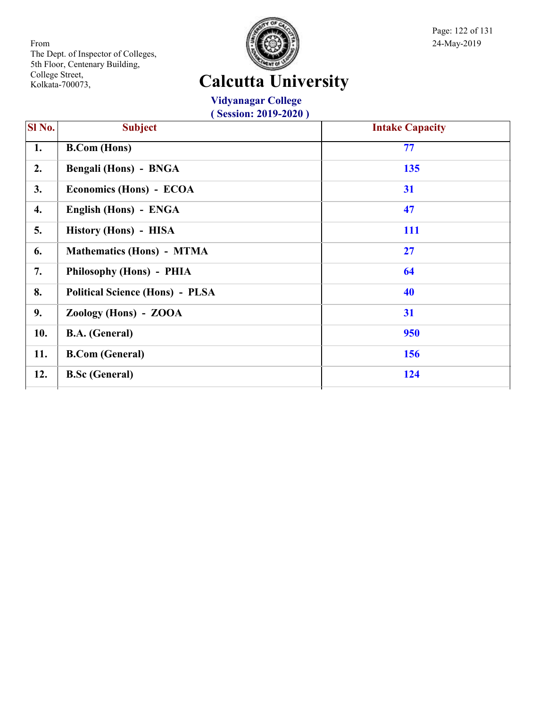

Page: 122 of 131

## **Calcutta University**

**Vidyanagar College ( Session: 2019-2020 )**

| SI No. | <b>Subject</b>                         | <b>Intake Capacity</b> |
|--------|----------------------------------------|------------------------|
| 1.     | <b>B.Com</b> (Hons)                    | 77                     |
| 2.     | <b>Bengali (Hons) - BNGA</b>           | 135                    |
| 3.     | Economics (Hons) - ECOA                | 31                     |
| 4.     | English (Hons) - ENGA                  | 47                     |
| 5.     | History (Hons) - HISA                  | <b>111</b>             |
| 6.     | <b>Mathematics (Hons) - MTMA</b>       | 27                     |
| 7.     | Philosophy (Hons) - PHIA               | 64                     |
| 8.     | <b>Political Science (Hons) - PLSA</b> | 40                     |
| 9.     | Zoology (Hons) - ZOOA                  | 31                     |
| 10.    | <b>B.A.</b> (General)                  | 950                    |
| 11.    | <b>B.Com (General)</b>                 | 156                    |
| 12.    | <b>B.Sc (General)</b>                  | 124                    |
|        |                                        |                        |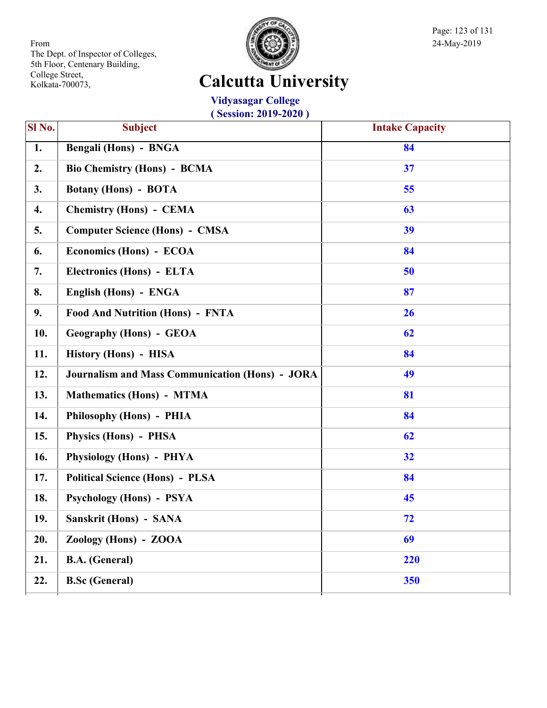

Page: 123 of 131

## **Calcutta University**

**Vidyasagar College ( Session: 2019-2020 )**

| SI No. | <b>Subject</b>                                         | <b>Intake Capacity</b> |
|--------|--------------------------------------------------------|------------------------|
| 1.     | <b>Bengali (Hons) - BNGA</b>                           | 84                     |
| 2.     | <b>Bio Chemistry (Hons) - BCMA</b>                     | 37                     |
| 3.     | <b>Botany (Hons) - BOTA</b>                            | 55                     |
| 4.     | <b>Chemistry (Hons) - CEMA</b>                         | 63                     |
| 5.     | <b>Computer Science (Hons) - CMSA</b>                  | 39                     |
| 6.     | Economics (Hons) - ECOA                                | 84                     |
| 7.     | Electronics (Hons) - ELTA                              | 50                     |
| 8.     | English (Hons) - ENGA                                  | 87                     |
| 9.     | <b>Food And Nutrition (Hons) - FNTA</b>                | 26                     |
| 10.    | <b>Geography (Hons) - GEOA</b>                         | 62                     |
| 11.    | History (Hons) - HISA                                  | 84                     |
| 12.    | <b>Journalism and Mass Communication (Hons) - JORA</b> | 49                     |
| 13.    | <b>Mathematics (Hons) - MTMA</b>                       | 81                     |
| 14.    | Philosophy (Hons) - PHIA                               | 84                     |
| 15.    | Physics (Hons) - PHSA                                  | 62                     |
| 16.    | Physiology (Hons) - PHYA                               | 32                     |
| 17.    | <b>Political Science (Hons) - PLSA</b>                 | 84                     |
| 18.    | <b>Psychology (Hons) - PSYA</b>                        | 45                     |
| 19.    | Sanskrit (Hons) - SANA                                 | 72                     |
| 20.    | Zoology (Hons) - ZOOA                                  | 69                     |
| 21.    | <b>B.A.</b> (General)                                  | 220                    |
| 22.    | <b>B.Sc (General)</b>                                  | 350                    |
|        |                                                        |                        |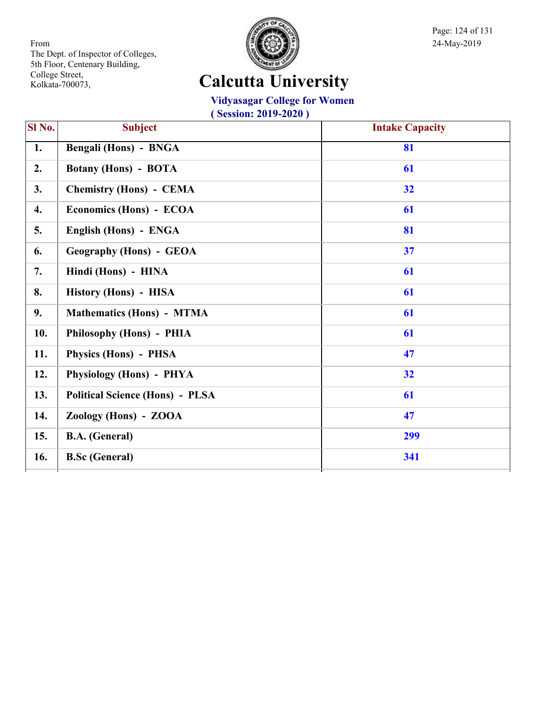

Page: 124 of 131

# **Calcutta University**

#### **Vidyasagar College for Women**

| Sl No. | <b>Subject</b>                         | <b>Intake Capacity</b> |
|--------|----------------------------------------|------------------------|
| 1.     | <b>Bengali (Hons) - BNGA</b>           | 81                     |
| 2.     | <b>Botany (Hons) - BOTA</b>            | 61                     |
| 3.     | <b>Chemistry (Hons) - CEMA</b>         | 32                     |
| 4.     | Economics (Hons) - ECOA                | 61                     |
| 5.     | English (Hons) - ENGA                  | 81                     |
| 6.     | <b>Geography (Hons) - GEOA</b>         | 37                     |
| 7.     | Hindi (Hons) - HINA                    | 61                     |
| 8.     | History (Hons) - HISA                  | 61                     |
| 9.     | <b>Mathematics (Hons) - MTMA</b>       | 61                     |
| 10.    | Philosophy (Hons) - PHIA               | 61                     |
| 11.    | Physics (Hons) - PHSA                  | 47                     |
| 12.    | Physiology (Hons) - PHYA               | 32                     |
| 13.    | <b>Political Science (Hons) - PLSA</b> | 61                     |
| 14.    | Zoology (Hons) - ZOOA                  | 47                     |
| 15.    | <b>B.A.</b> (General)                  | 299                    |
| 16.    | <b>B.Sc</b> (General)                  | 341                    |
|        |                                        |                        |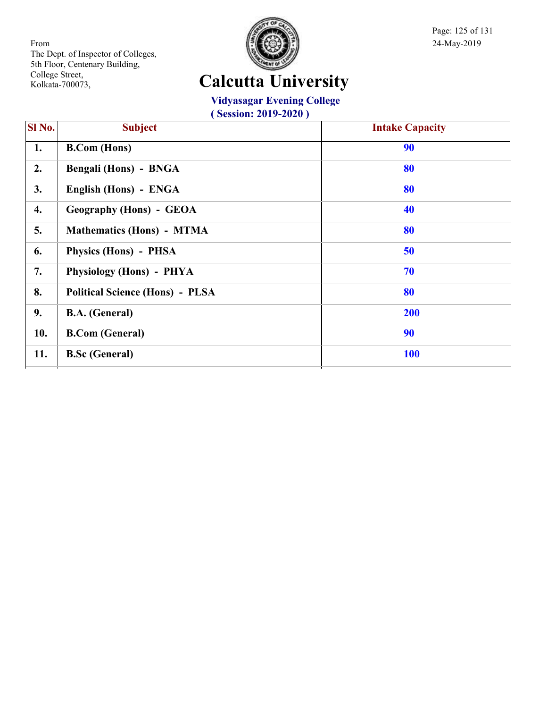

Page: 125 of 131

## **Calcutta University**

#### **Vidyasagar Evening College**

| SI <sub>No.</sub> | <b>Subject</b>                         | <b>Intake Capacity</b> |
|-------------------|----------------------------------------|------------------------|
| 1.                | <b>B.Com</b> (Hons)                    | 90                     |
| 2.                | Bengali (Hons) - BNGA                  | 80                     |
| 3.                | English (Hons) - ENGA                  | 80                     |
| 4.                | <b>Geography (Hons) - GEOA</b>         | 40                     |
| 5.                | <b>Mathematics (Hons) - MTMA</b>       | 80                     |
| 6.                | Physics (Hons) - PHSA                  | 50                     |
| 7.                | Physiology (Hons) - PHYA               | 70                     |
| 8.                | <b>Political Science (Hons) - PLSA</b> | 80                     |
| 9.                | <b>B.A.</b> (General)                  | 200                    |
| 10.               | <b>B.Com (General)</b>                 | 90                     |
| 11.               | <b>B.Sc</b> (General)                  | <b>100</b>             |
|                   |                                        |                        |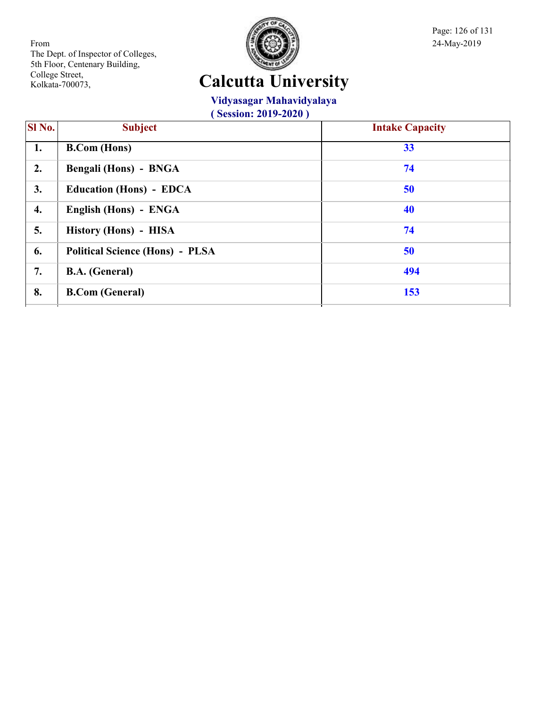

Page: 126 of 131

## **Calcutta University**

#### **Vidyasagar Mahavidyalaya**

| SI No. | <b>Subject</b>                         | <b>Intake Capacity</b> |
|--------|----------------------------------------|------------------------|
| 1.     | <b>B.Com</b> (Hons)                    | 33                     |
| 2.     | Bengali (Hons) - BNGA                  | 74                     |
| 3.     | <b>Education (Hons) - EDCA</b>         | 50                     |
| 4.     | English (Hons) - ENGA                  | 40                     |
| 5.     | History (Hons) - HISA                  | 74                     |
| 6.     | <b>Political Science (Hons) - PLSA</b> | 50                     |
| 7.     | <b>B.A.</b> (General)                  | 494                    |
| 8.     | <b>B.Com (General)</b>                 | 153                    |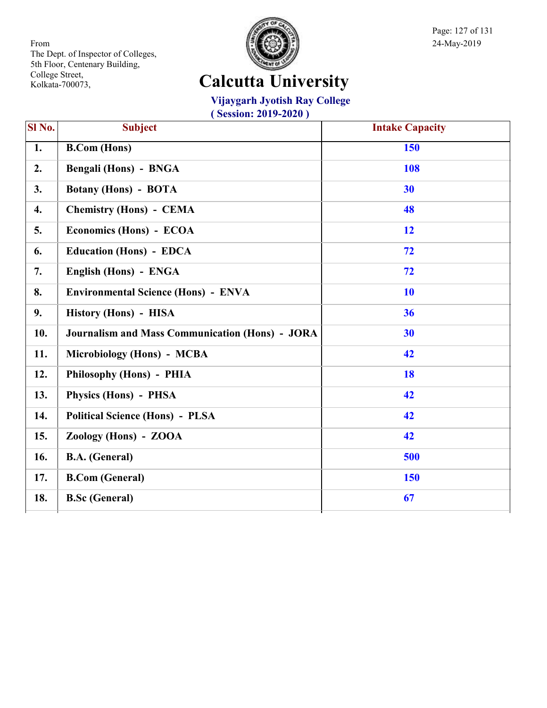

Page: 127 of 131

# **Calcutta University**

**Vijaygarh Jyotish Ray College**

| Sl No.           | <b>Subject</b>                                         | <b>Intake Capacity</b> |
|------------------|--------------------------------------------------------|------------------------|
| 1.               | <b>B.Com</b> (Hons)                                    | 150                    |
| 2.               | Bengali (Hons) - BNGA                                  | 108                    |
| 3.               | <b>Botany (Hons) - BOTA</b>                            | 30                     |
| $\overline{4}$ . | <b>Chemistry (Hons) - CEMA</b>                         | 48                     |
| 5.               | Economics (Hons) - ECOA                                | 12                     |
| 6.               | <b>Education (Hons) - EDCA</b>                         | 72                     |
| 7.               | English (Hons) - ENGA                                  | 72                     |
| 8.               | <b>Environmental Science (Hons) - ENVA</b>             | <b>10</b>              |
| 9.               | History (Hons) - HISA                                  | 36                     |
| 10.              | <b>Journalism and Mass Communication (Hons) - JORA</b> | 30                     |
| 11.              | Microbiology (Hons) - MCBA                             | 42                     |
| 12.              | Philosophy (Hons) - PHIA                               | <b>18</b>              |
| 13.              | Physics (Hons) - PHSA                                  | 42                     |
| 14.              | <b>Political Science (Hons) - PLSA</b>                 | 42                     |
| 15.              | Zoology (Hons) - ZOOA                                  | 42                     |
| 16.              | <b>B.A.</b> (General)                                  | 500                    |
| 17.              | <b>B.Com (General)</b>                                 | <b>150</b>             |
| 18.              | <b>B.Sc (General)</b>                                  | 67                     |
|                  |                                                        |                        |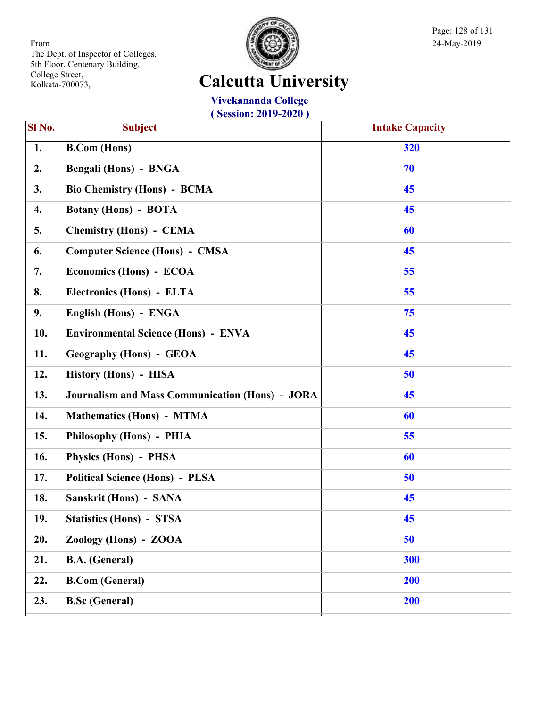

Page: 128 of 131

## **Calcutta University**

**Vivekananda College ( Session: 2019-2020 )**

| SI No. | <b>Subject</b>                                         | <b>Intake Capacity</b> |
|--------|--------------------------------------------------------|------------------------|
|        |                                                        |                        |
| 1.     | <b>B.Com (Hons)</b>                                    | 320                    |
| 2.     | Bengali (Hons) - BNGA                                  | 70                     |
| 3.     | <b>Bio Chemistry (Hons) - BCMA</b>                     | 45                     |
| 4.     | <b>Botany (Hons) - BOTA</b>                            | 45                     |
| 5.     | <b>Chemistry (Hons) - CEMA</b>                         | 60                     |
| 6.     | <b>Computer Science (Hons) - CMSA</b>                  | 45                     |
| 7.     | Economics (Hons) - ECOA                                | 55                     |
| 8.     | Electronics (Hons) - ELTA                              | 55                     |
| 9.     | English (Hons) - ENGA                                  | 75                     |
| 10.    | <b>Environmental Science (Hons) - ENVA</b>             | 45                     |
| 11.    | <b>Geography (Hons) - GEOA</b>                         | 45                     |
| 12.    | History (Hons) - HISA                                  | 50                     |
| 13.    | <b>Journalism and Mass Communication (Hons) - JORA</b> | 45                     |
| 14.    | <b>Mathematics (Hons) - MTMA</b>                       | 60                     |
| 15.    | Philosophy (Hons) - PHIA                               | 55                     |
| 16.    | <b>Physics (Hons) - PHSA</b>                           | 60                     |
| 17.    | <b>Political Science (Hons) - PLSA</b>                 | 50                     |
| 18.    | Sanskrit (Hons) - SANA                                 | 45                     |
| 19.    | <b>Statistics (Hons) - STSA</b>                        | 45                     |
| 20.    | Zoology (Hons) - ZOOA                                  | 50                     |
| 21.    | <b>B.A.</b> (General)                                  | 300                    |
| 22.    | <b>B.Com (General)</b>                                 | 200                    |
| 23.    | <b>B.Sc (General)</b>                                  | 200                    |
|        |                                                        |                        |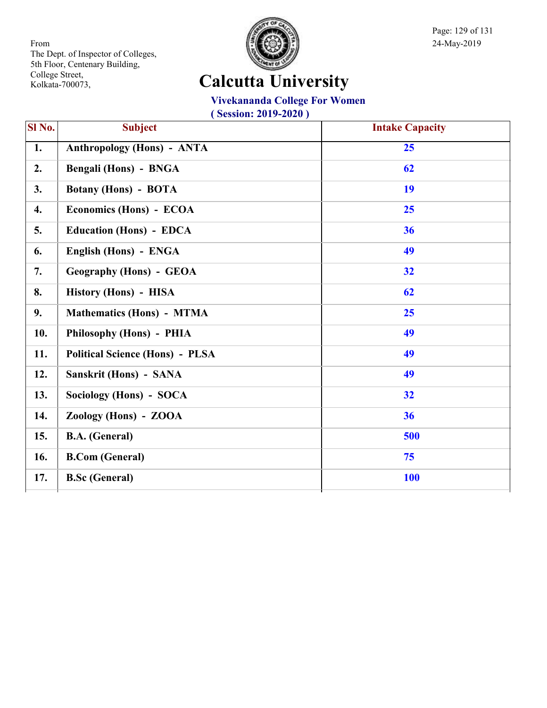

Page: 129 of 131

## **Calcutta University**

#### **Vivekananda College For Women**

| SI No.             | <b>Subject</b>                         | <b>Intake Capacity</b> |
|--------------------|----------------------------------------|------------------------|
| 1.                 | <b>Anthropology (Hons) - ANTA</b>      | 25                     |
| 2.                 | <b>Bengali (Hons) - BNGA</b>           | 62                     |
| 3.                 | <b>Botany (Hons) - BOTA</b>            | 19                     |
| $\boldsymbol{4}$ . | Economics (Hons) - ECOA                | 25                     |
| 5.                 | <b>Education (Hons) - EDCA</b>         | 36                     |
| 6.                 | English (Hons) - ENGA                  | 49                     |
| 7.                 | <b>Geography (Hons) - GEOA</b>         | 32                     |
| 8.                 | History (Hons) - HISA                  | 62                     |
| 9.                 | <b>Mathematics (Hons) - MTMA</b>       | 25                     |
| 10.                | Philosophy (Hons) - PHIA               | 49                     |
| 11.                | <b>Political Science (Hons) - PLSA</b> | 49                     |
| 12.                | Sanskrit (Hons) - SANA                 | 49                     |
| 13.                | Sociology (Hons) - SOCA                | 32                     |
| 14.                | Zoology (Hons) - ZOOA                  | 36                     |
| 15.                | <b>B.A.</b> (General)                  | 500                    |
| 16.                | <b>B.Com (General)</b>                 | 75                     |
| 17.                | <b>B.Sc (General)</b>                  | <b>100</b>             |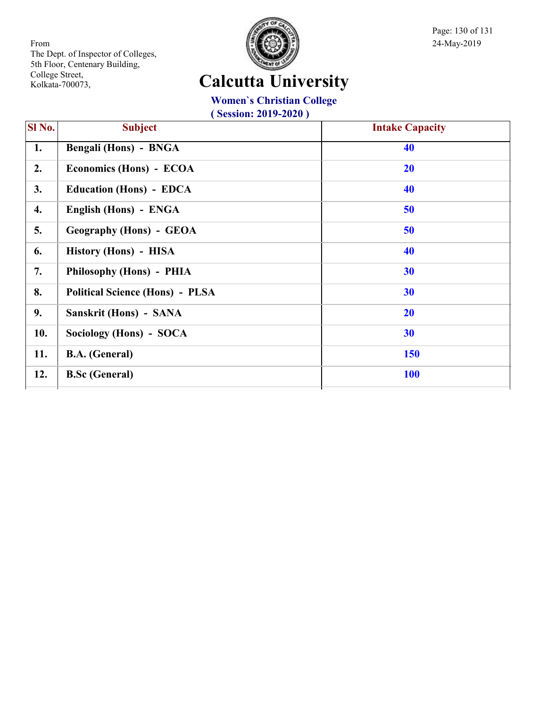

Page: 130 of 131

#### **Calcutta University**

#### **Women`s Christian College**

| SI <sub>No.</sub> | <b>Subject</b>                         | <b>Intake Capacity</b> |
|-------------------|----------------------------------------|------------------------|
| 1.                | Bengali (Hons) - BNGA                  | 40                     |
| 2.                | Economics (Hons) - ECOA                | <b>20</b>              |
| 3.                | <b>Education (Hons) - EDCA</b>         | 40                     |
| 4.                | English (Hons) - ENGA                  | 50                     |
| 5.                | <b>Geography (Hons) - GEOA</b>         | 50                     |
| 6.                | History (Hons) - HISA                  | 40                     |
| 7.                | Philosophy (Hons) - PHIA               | 30                     |
| 8.                | <b>Political Science (Hons) - PLSA</b> | 30                     |
| 9.                | Sanskrit (Hons) - SANA                 | 20                     |
| 10.               | Sociology (Hons) - SOCA                | 30                     |
| 11.               | <b>B.A.</b> (General)                  | 150                    |
| 12.               | <b>B.Sc (General)</b>                  | <b>100</b>             |